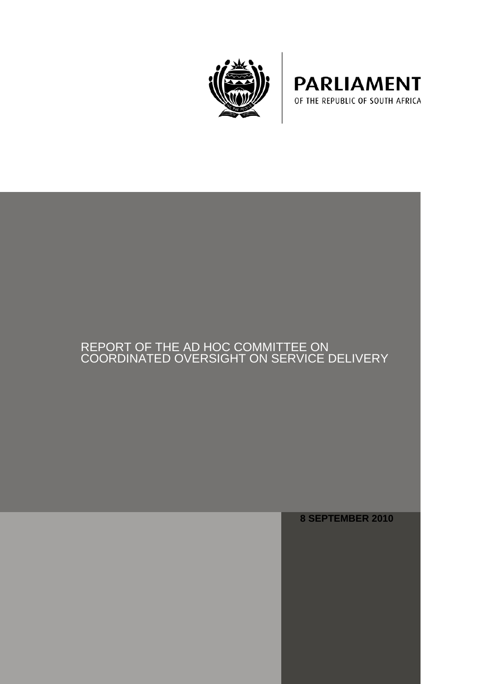



# REPORT OF THE AD HOC COMMITTEE ON COORDINATED OVERSIGHT ON SERVICE DELIVERY

**8 SEPTEMBER 2010**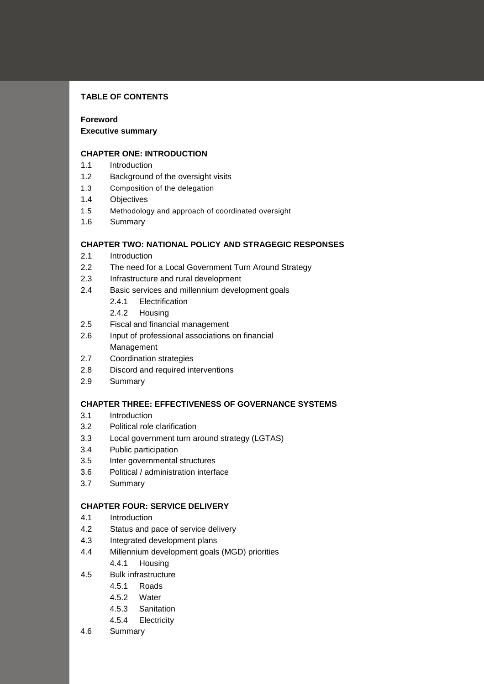# **TABLE OF CONTENTS**

# **Foreword**

### **Executive summary**

### **CHAPTER ONE: INTRODUCTION**

- 1.1 Introduction
- 1.2 Background of the oversight visits
- 1.3 Composition of the delegation
- 1.4 Objectives
- 1.5 Methodology and approach of coordinated oversight
- 1.6 Summary

# **CHAPTER TWO: NATIONAL POLICY AND STRAGEGIC RESPONSES**

- 2.1 Introduction
- 2.2 The need for a Local Government Turn Around Strategy
- 2.3 Infrastructure and rural development
- 2.4 Basic services and millennium development goals
	- 2.4.1 Electrification
	- 2.4.2 Housing
- 2.5 Fiscal and financial management
- 2.6 Input of professional associations on financial Management
- 2.7 Coordination strategies
- 2.8 Discord and required interventions
- 2.9 Summary

# **CHAPTER THREE: EFFECTIVENESS OF GOVERNANCE SYSTEMS**

- 3.1 Introduction
- 3.2 Political role clarification
- 3.3 Local government turn around strategy (LGTAS)
- 3.4 Public participation
- 3.5 Inter governmental structures
- 3.6 Political / administration interface
- 3.7 Summary

### **CHAPTER FOUR: SERVICE DELIVERY**

- 4.1 Introduction
- 4.2 Status and pace of service delivery
- 4.3 Integrated development plans
- 4.4 Millennium development goals (MGD) priorities
	- 4.4.1 Housing
- 4.5 Bulk infrastructure
	- 4.5.1 Roads
	- 4.5.2 Water
	- 4.5.3 Sanitation
	- 4.5.4 Electricity
- 4.6 Summary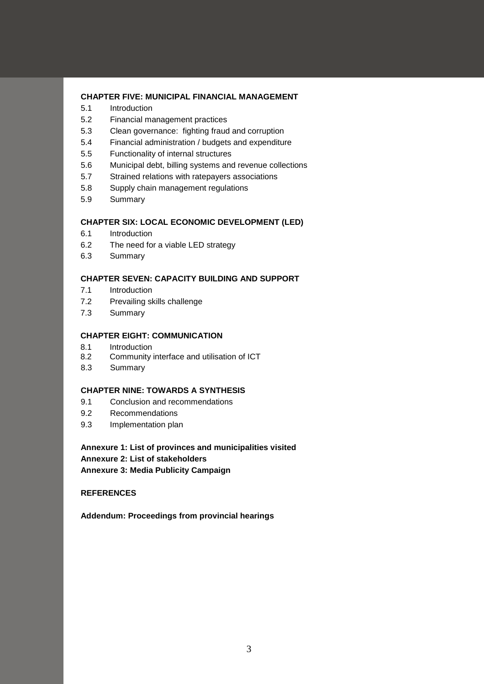### **CHAPTER FIVE: MUNICIPAL FINANCIAL MANAGEMENT**

- 5.1 Introduction
- 5.2 Financial management practices
- 5.3 Clean governance: fighting fraud and corruption
- 5.4 Financial administration / budgets and expenditure
- 5.5 Functionality of internal structures
- 5.6 Municipal debt, billing systems and revenue collections
- 5.7 Strained relations with ratepayers associations
- 5.8 Supply chain management regulations
- 5.9 Summary

### **CHAPTER SIX: LOCAL ECONOMIC DEVELOPMENT (LED)**

- 6.1 Introduction
- 6.2 The need for a viable LED strategy
- 6.3 Summary

### **CHAPTER SEVEN: CAPACITY BUILDING AND SUPPORT**

- 7.1 Introduction
- 7.2 Prevailing skills challenge
- 7.3 Summary

### **CHAPTER EIGHT: COMMUNICATION**

- 8.1 Introduction
- 8.2 Community interface and utilisation of ICT
- 8.3 Summary

### **CHAPTER NINE: TOWARDS A SYNTHESIS**

- 9.1 Conclusion and recommendations
- 9.2 Recommendations
- 9.3 Implementation plan

**Annexure 1: List of provinces and municipalities visited Annexure 2: List of stakeholders Annexure 3: Media Publicity Campaign**

# **REFERENCES**

**Addendum: Proceedings from provincial hearings**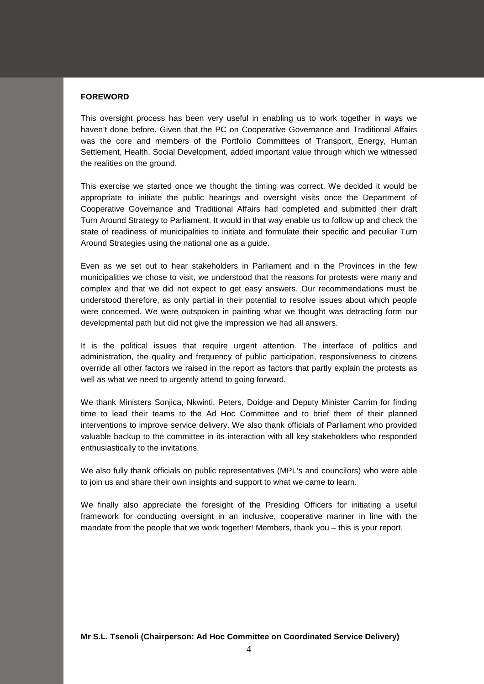#### **FOREWORD**

This oversight process has been very useful in enabling us to work together in ways we haven't done before. Given that the PC on Cooperative Governance and Traditional Affairs was the core and members of the Portfolio Committees of Transport, Energy, Human Settlement, Health, Social Development, added important value through which we witnessed the realities on the ground.

This exercise we started once we thought the timing was correct. We decided it would be appropriate to initiate the public hearings and oversight visits once the Department of Cooperative Governance and Traditional Affairs had completed and submitted their draft Turn Around Strategy to Parliament. It would in that way enable us to follow up and check the state of readiness of municipalities to initiate and formulate their specific and peculiar Turn Around Strategies using the national one as a guide.

Even as we set out to hear stakeholders in Parliament and in the Provinces in the few municipalities we chose to visit, we understood that the reasons for protests were many and complex and that we did not expect to get easy answers. Our recommendations must be understood therefore, as only partial in their potential to resolve issues about which people were concerned. We were outspoken in painting what we thought was detracting form our developmental path but did not give the impression we had all answers.

It is the political issues that require urgent attention. The interface of politics and administration, the quality and frequency of public participation, responsiveness to citizens override all other factors we raised in the report as factors that partly explain the protests as well as what we need to urgently attend to going forward.

We thank Ministers Sonjica, Nkwinti, Peters, Doidge and Deputy Minister Carrim for finding time to lead their teams to the Ad Hoc Committee and to brief them of their planned interventions to improve service delivery. We also thank officials of Parliament who provided valuable backup to the committee in its interaction with all key stakeholders who responded enthusiastically to the invitations.

We also fully thank officials on public representatives (MPL's and councilors) who were able to join us and share their own insights and support to what we came to learn.

We finally also appreciate the foresight of the Presiding Officers for initiating a useful framework for conducting oversight in an inclusive, cooperative manner in line with the mandate from the people that we work together! Members, thank you – this is your report.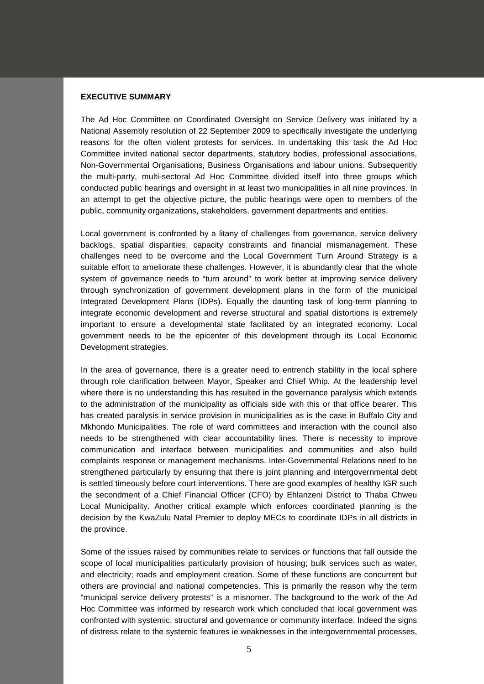#### **EXECUTIVE SUMMARY**

The Ad Hoc Committee on Coordinated Oversight on Service Delivery was initiated by a National Assembly resolution of 22 September 2009 to specifically investigate the underlying reasons for the often violent protests for services. In undertaking this task the Ad Hoc Committee invited national sector departments, statutory bodies, professional associations, Non-Governmental Organisations, Business Organisations and labour unions. Subsequently the multi-party, multi-sectoral Ad Hoc Committee divided itself into three groups which conducted public hearings and oversight in at least two municipalities in all nine provinces. In an attempt to get the objective picture, the public hearings were open to members of the public, community organizations, stakeholders, government departments and entities.

Local government is confronted by a litany of challenges from governance, service delivery backlogs, spatial disparities, capacity constraints and financial mismanagement. These challenges need to be overcome and the Local Government Turn Around Strategy is a suitable effort to ameliorate these challenges. However, it is abundantly clear that the whole system of governance needs to "turn around" to work better at improving service delivery through synchronization of government development plans in the form of the municipal Integrated Development Plans (IDPs). Equally the daunting task of long-term planning to integrate economic development and reverse structural and spatial distortions is extremely important to ensure a developmental state facilitated by an integrated economy. Local government needs to be the epicenter of this development through its Local Economic Development strategies.

In the area of governance, there is a greater need to entrench stability in the local sphere through role clarification between Mayor, Speaker and Chief Whip. At the leadership level where there is no understanding this has resulted in the governance paralysis which extends to the administration of the municipality as officials side with this or that office bearer. This has created paralysis in service provision in municipalities as is the case in Buffalo City and Mkhondo Municipalities. The role of ward committees and interaction with the council also needs to be strengthened with clear accountability lines. There is necessity to improve communication and interface between municipalities and communities and also build complaints response or management mechanisms. Inter-Governmental Relations need to be strengthened particularly by ensuring that there is joint planning and intergovernmental debt is settled timeously before court interventions. There are good examples of healthy IGR such the secondment of a Chief Financial Officer (CFO) by Ehlanzeni District to Thaba Chweu Local Municipality. Another critical example which enforces coordinated planning is the decision by the KwaZulu Natal Premier to deploy MECs to coordinate IDPs in all districts in the province.

Some of the issues raised by communities relate to services or functions that fall outside the scope of local municipalities particularly provision of housing; bulk services such as water, and electricity; roads and employment creation. Some of these functions are concurrent but others are provincial and national competencies. This is primarily the reason why the term "municipal service delivery protests" is a misnomer. The background to the work of the Ad Hoc Committee was informed by research work which concluded that local government was confronted with systemic, structural and governance or community interface. Indeed the signs of distress relate to the systemic features ie weaknesses in the intergovernmental processes,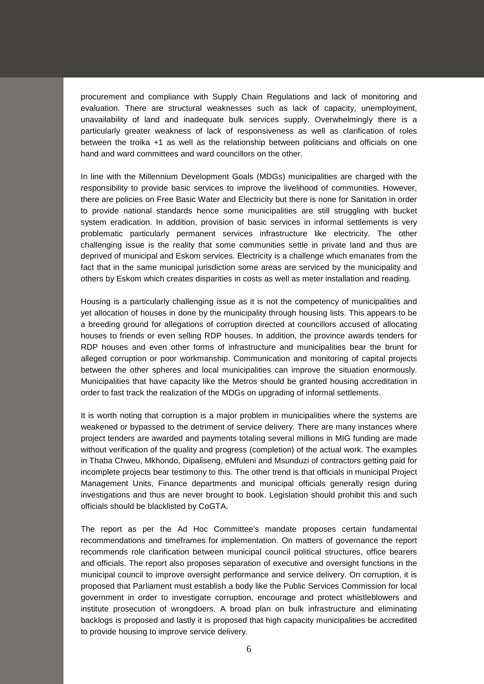procurement and compliance with Supply Chain Regulations and lack of monitoring and evaluation. There are structural weaknesses such as lack of capacity, unemployment, unavailability of land and inadequate bulk services supply. Overwhelmingly there is a particularly greater weakness of lack of responsiveness as well as clarification of roles between the troika +1 as well as the relationship between politicians and officials on one hand and ward committees and ward councillors on the other.

In line with the Millennium Development Goals (MDGs) municipalities are charged with the responsibility to provide basic services to improve the livelihood of communities. However, there are policies on Free Basic Water and Electricity but there is none for Sanitation in order to provide national standards hence some municipalities are still struggling with bucket system eradication. In addition, provision of basic services in informal settlements is very problematic particularly permanent services infrastructure like electricity. The other challenging issue is the reality that some communities settle in private land and thus are deprived of municipal and Eskom services. Electricity is a challenge which emanates from the fact that in the same municipal jurisdiction some areas are serviced by the municipality and others by Eskom which creates disparities in costs as well as meter installation and reading.

Housing is a particularly challenging issue as it is not the competency of municipalities and yet allocation of houses in done by the municipality through housing lists. This appears to be a breeding ground for allegations of corruption directed at councillors accused of allocating houses to friends or even selling RDP houses. In addition, the province awards tenders for RDP houses and even other forms of infrastructure and municipalities bear the brunt for alleged corruption or poor workmanship. Communication and monitoring of capital projects between the other spheres and local municipalities can improve the situation enormously. Municipalities that have capacity like the Metros should be granted housing accreditation in order to fast track the realization of the MDGs on upgrading of informal settlements.

It is worth noting that corruption is a major problem in municipalities where the systems are weakened or bypassed to the detriment of service delivery. There are many instances where project tenders are awarded and payments totaling several millions in MIG funding are made without verification of the quality and progress (completion) of the actual work. The examples in Thaba Chweu, Mkhondo, Dipaliseng, eMfuleni and Msunduzi of contractors getting paid for incomplete projects bear testimony to this. The other trend is that officials in municipal Project Management Units, Finance departments and municipal officials generally resign during investigations and thus are never brought to book. Legislation should prohibit this and such officials should be blacklisted by CoGTA.

The report as per the Ad Hoc Committee's mandate proposes certain fundamental recommendations and timeframes for implementation. On matters of governance the report recommends role clarification between municipal council political structures, office bearers and officials. The report also proposes separation of executive and oversight functions in the municipal council to improve oversight performance and service delivery. On corruption, it is proposed that Parliament must establish a body like the Public Services Commission for local government in order to investigate corruption, encourage and protect whistleblowers and institute prosecution of wrongdoers. A broad plan on bulk infrastructure and eliminating backlogs is proposed and lastly it is proposed that high capacity municipalities be accredited to provide housing to improve service delivery.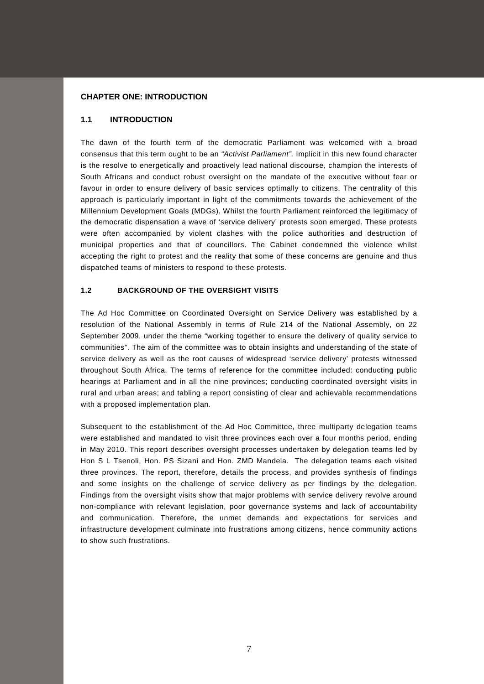#### **CHAPTER ONE: INTRODUCTION**

#### **1.1 INTRODUCTION**

The dawn of the fourth term of the democratic Parliament was welcomed with a broad consensus that this term ought to be an *"Activist Parliament".* Implicit in this new found character is the resolve to energetically and proactively lead national discourse, champion the interests of South Africans and conduct robust oversight on the mandate of the executive without fear or favour in order to ensure delivery of basic services optimally to citizens. The centrality of this approach is particularly important in light of the commitments towards the achievement of the Millennium Development Goals (MDGs). Whilst the fourth Parliament reinforced the legitimacy of the democratic dispensation a wave of 'service delivery' protests soon emerged. These protests were often accompanied by violent clashes with the police authorities and destruction of municipal properties and that of councillors. The Cabinet condemned the violence whilst accepting the right to protest and the reality that some of these concerns are genuine and thus dispatched teams of ministers to respond to these protests.

### **1.2 BACKGROUND OF THE OVERSIGHT VISITS**

The Ad Hoc Committee on Coordinated Oversight on Service Delivery was established by a resolution of the National Assembly in terms of Rule 214 of the National Assembly, on 22 September 2009, under the theme "working together to ensure the delivery of quality service to communities". The aim of the committee was to obtain insights and understanding of the state of service delivery as well as the root causes of widespread 'service delivery' protests witnessed throughout South Africa. The terms of reference for the committee included: conducting public hearings at Parliament and in all the nine provinces; conducting coordinated oversight visits in rural and urban areas; and tabling a report consisting of clear and achievable recommendations with a proposed implementation plan.

Subsequent to the establishment of the Ad Hoc Committee, three multiparty delegation teams were established and mandated to visit three provinces each over a four months period, ending in May 2010. This report describes oversight processes undertaken by delegation teams led by Hon S L Tsenoli, Hon. PS Sizani and Hon. ZMD Mandela. The delegation teams each visited three provinces. The report, therefore, details the process, and provides synthesis of findings and some insights on the challenge of service delivery as per findings by the delegation. Findings from the oversight visits show that major problems with service delivery revolve around non-compliance with relevant legislation, poor governance systems and lack of accountability and communication. Therefore, the unmet demands and expectations for services and infrastructure development culminate into frustrations among citizens, hence community actions to show such frustrations.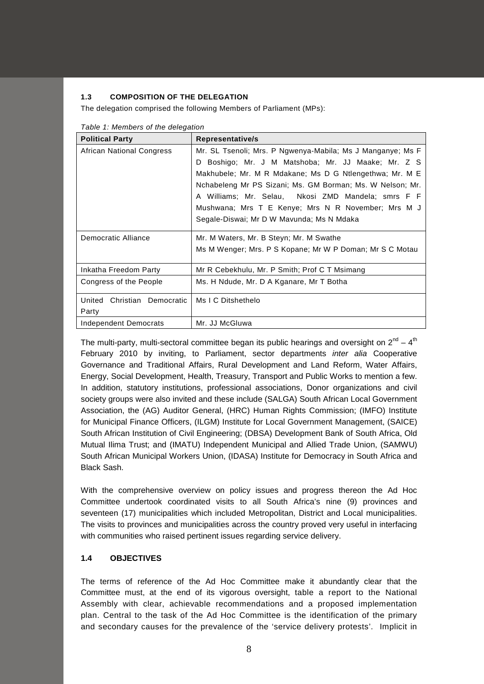# **1.3 COMPOSITION OF THE DELEGATION**

The delegation comprised the following Members of Parliament (MPs):

| <b>Political Party</b>      | Representative/s                                           |  |  |
|-----------------------------|------------------------------------------------------------|--|--|
| African National Congress   | Mr. SL Tsenoli; Mrs. P Ngwenya-Mabila; Ms J Manganye; Ms F |  |  |
|                             | Boshigo; Mr. J M Matshoba; Mr. JJ Maake; Mr. Z S<br>D.     |  |  |
|                             | Makhubele; Mr. M R Mdakane; Ms D G Ntlengethwa; Mr. M E    |  |  |
|                             | Nchabeleng Mr PS Sizani; Ms. GM Borman; Ms. W Nelson; Mr.  |  |  |
|                             | A Williams; Mr. Selau, Nkosi ZMD Mandela; smrs F F         |  |  |
|                             | Mushwana; Mrs T E Kenye; Mrs N R November; Mrs M J         |  |  |
|                             | Segale-Diswai; Mr D W Mavunda; Ms N Mdaka                  |  |  |
| Democratic Alliance         | Mr. M Waters, Mr. B Steyn; Mr. M Swathe                    |  |  |
|                             | Ms M Wenger; Mrs. P S Kopane; Mr W P Doman; Mr S C Motau   |  |  |
| Inkatha Freedom Party       | Mr R Cebekhulu, Mr. P Smith; Prof C T Msimang              |  |  |
| Congress of the People      | Ms. H Ndude, Mr. D A Kganare, Mr T Botha                   |  |  |
| United Christian Democratic | Ms I C Ditshethelo                                         |  |  |
| Party                       |                                                            |  |  |
| Independent Democrats       | Mr. JJ McGluwa                                             |  |  |

*Table 1: Members of the delegation*

The multi-party, multi-sectoral committee began its public hearings and oversight on  $2^{nd} - 4^{th}$ February 2010 by inviting, to Parliament, sector departments *inter alia* Cooperative Governance and Traditional Affairs, Rural Development and Land Reform, Water Affairs, Energy, Social Development, Health, Treasury, Transport and Public Works to mention a few. In addition, statutory institutions, professional associations, Donor organizations and civil society groups were also invited and these include (SALGA) South African Local Government Association, the (AG) Auditor General, (HRC) Human Rights Commission; (IMFO) Institute for Municipal Finance Officers, (ILGM) Institute for Local Government Management, (SAICE) South African Institution of Civil Engineering; (DBSA) Development Bank of South Africa, Old Mutual Ilima Trust; and (IMATU) Independent Municipal and Allied Trade Union, (SAMWU) South African Municipal Workers Union, (IDASA) Institute for Democracy in South Africa and Black Sash.

With the comprehensive overview on policy issues and progress thereon the Ad Hoc Committee undertook coordinated visits to all South Africa's nine (9) provinces and seventeen (17) municipalities which included Metropolitan, District and Local municipalities. The visits to provinces and municipalities across the country proved very useful in interfacing with communities who raised pertinent issues regarding service delivery.

# **1.4 OBJECTIVES**

The terms of reference of the Ad Hoc Committee make it abundantly clear that the Committee must, at the end of its vigorous oversight, table a report to the National Assembly with clear, achievable recommendations and a proposed implementation plan. Central to the task of the Ad Hoc Committee is the identification of the primary and secondary causes for the prevalence of the 'service delivery protests'. Implicit in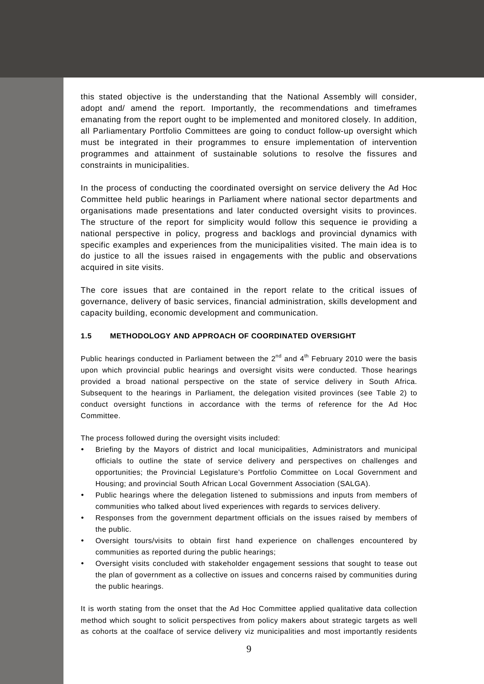this stated objective is the understanding that the National Assembly will consider, adopt and/ amend the report. Importantly, the recommendations and timeframes emanating from the report ought to be implemented and monitored closely. In addition, all Parliamentary Portfolio Committees are going to conduct follow-up oversight which must be integrated in their programmes to ensure implementation of intervention programmes and attainment of sustainable solutions to resolve the fissures and constraints in municipalities.

In the process of conducting the coordinated oversight on service delivery the Ad Hoc Committee held public hearings in Parliament where national sector departments and organisations made presentations and later conducted oversight visits to provinces. The structure of the report for simplicity would follow this sequence ie providing a national perspective in policy, progress and backlogs and provincial dynamics with specific examples and experiences from the municipalities visited. The main idea is to do justice to all the issues raised in engagements with the public and observations acquired in site visits.

The core issues that are contained in the report relate to the critical issues of governance, delivery of basic services, financial administration, skills development and capacity building, economic development and communication.

### **1.5 METHODOLOGY AND APPROACH OF COORDINATED OVERSIGHT**

Public hearings conducted in Parliament between the  $2^{nd}$  and  $4^{th}$  February 2010 were the basis upon which provincial public hearings and oversight visits were conducted. Those hearings provided a broad national perspective on the state of service delivery in South Africa. Subsequent to the hearings in Parliament, the delegation visited provinces (see Table 2) to conduct oversight functions in accordance with the terms of reference for the Ad Hoc Committee.

The process followed during the oversight visits included:

- Briefing by the Mayors of district and local municipalities, Administrators and municipal officials to outline the state of service delivery and perspectives on challenges and opportunities; the Provincial Legislature's Portfolio Committee on Local Government and Housing; and provincial South African Local Government Association (SALGA).
- Public hearings where the delegation listened to submissions and inputs from members of communities who talked about lived experiences with regards to services delivery.
- Responses from the government department officials on the issues raised by members of the public.
- Oversight tours/visits to obtain first hand experience on challenges encountered by communities as reported during the public hearings;
- Oversight visits concluded with stakeholder engagement sessions that sought to tease out the plan of government as a collective on issues and concerns raised by communities during the public hearings.

It is worth stating from the onset that the Ad Hoc Committee applied qualitative data collection method which sought to solicit perspectives from policy makers about strategic targets as well as cohorts at the coalface of service delivery viz municipalities and most importantly residents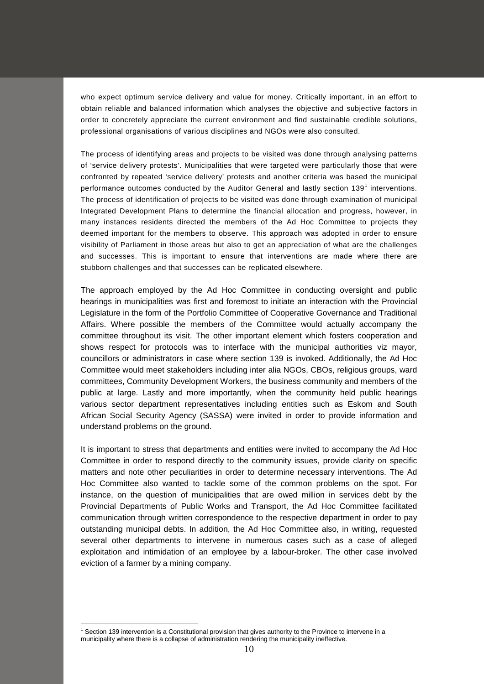who expect optimum service delivery and value for money. Critically important, in an effort to obtain reliable and balanced information which analyses the objective and subjective factors in order to concretely appreciate the current environment and find sustainable credible solutions, professional organisations of various disciplines and NGOs were also consulted.

The process of identifying areas and projects to be visited was done through analysing patterns of 'service delivery protests'. Municipalities that were targeted were particularly those that were confronted by repeated 'service delivery' protests and another criteria was based the municipal performance outcomes conducted by the Auditor General and lastly section  $139<sup>1</sup>$  $139<sup>1</sup>$  interventions. The process of identification of projects to be visited was done through examination of municipal Integrated Development Plans to determine the financial allocation and progress, however, in many instances residents directed the members of the Ad Hoc Committee to projects they deemed important for the members to observe. This approach was adopted in order to ensure visibility of Parliament in those areas but also to get an appreciation of what are the challenges and successes. This is important to ensure that interventions are made where there are stubborn challenges and that successes can be replicated elsewhere.

The approach employed by the Ad Hoc Committee in conducting oversight and public hearings in municipalities was first and foremost to initiate an interaction with the Provincial Legislature in the form of the Portfolio Committee of Cooperative Governance and Traditional Affairs. Where possible the members of the Committee would actually accompany the committee throughout its visit. The other important element which fosters cooperation and shows respect for protocols was to interface with the municipal authorities viz mayor, councillors or administrators in case where section 139 is invoked. Additionally, the Ad Hoc Committee would meet stakeholders including inter alia NGOs, CBOs, religious groups, ward committees, Community Development Workers, the business community and members of the public at large. Lastly and more importantly, when the community held public hearings various sector department representatives including entities such as Eskom and South African Social Security Agency (SASSA) were invited in order to provide information and understand problems on the ground.

It is important to stress that departments and entities were invited to accompany the Ad Hoc Committee in order to respond directly to the community issues, provide clarity on specific matters and note other peculiarities in order to determine necessary interventions. The Ad Hoc Committee also wanted to tackle some of the common problems on the spot. For instance, on the question of municipalities that are owed million in services debt by the Provincial Departments of Public Works and Transport, the Ad Hoc Committee facilitated communication through written correspondence to the respective department in order to pay outstanding municipal debts. In addition, the Ad Hoc Committee also, in writing, requested several other departments to intervene in numerous cases such as a case of alleged exploitation and intimidation of an employee by a labour-broker. The other case involved eviction of a farmer by a mining company.

<span id="page-9-0"></span> $1$  Section 139 intervention is a Constitutional provision that gives authority to the Province to intervene in a municipality where there is a collapse of administration rendering the municipality ineffective.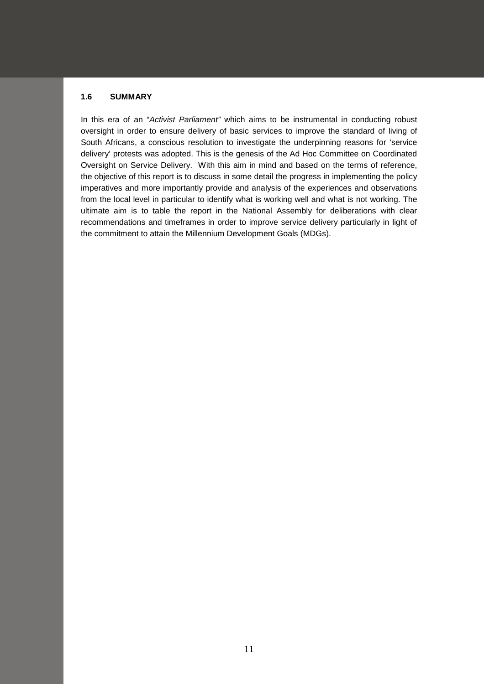# **1.6 SUMMARY**

In this era of an "*Activist Parliament"* which aims to be instrumental in conducting robust oversight in order to ensure delivery of basic services to improve the standard of living of South Africans, a conscious resolution to investigate the underpinning reasons for 'service delivery' protests was adopted. This is the genesis of the Ad Hoc Committee on Coordinated Oversight on Service Delivery. With this aim in mind and based on the terms of reference, the objective of this report is to discuss in some detail the progress in implementing the policy imperatives and more importantly provide and analysis of the experiences and observations from the local level in particular to identify what is working well and what is not working. The ultimate aim is to table the report in the National Assembly for deliberations with clear recommendations and timeframes in order to improve service delivery particularly in light of the commitment to attain the Millennium Development Goals (MDGs).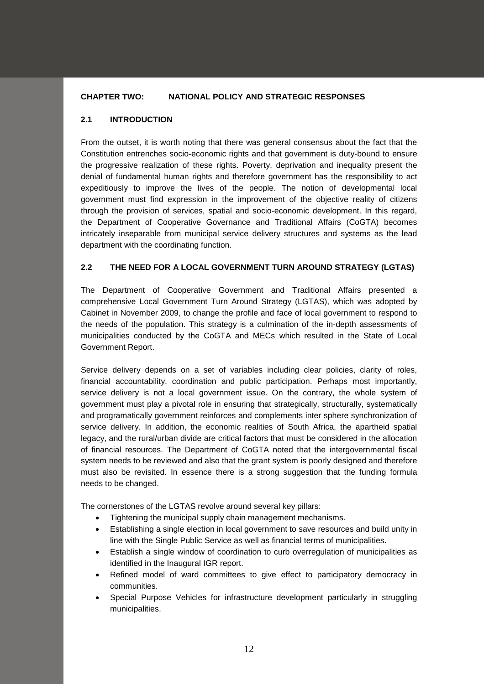# **CHAPTER TWO: NATIONAL POLICY AND STRATEGIC RESPONSES**

# **2.1 INTRODUCTION**

From the outset, it is worth noting that there was general consensus about the fact that the Constitution entrenches socio-economic rights and that government is duty-bound to ensure the progressive realization of these rights. Poverty, deprivation and inequality present the denial of fundamental human rights and therefore government has the responsibility to act expeditiously to improve the lives of the people. The notion of developmental local government must find expression in the improvement of the objective reality of citizens through the provision of services, spatial and socio-economic development. In this regard, the Department of Cooperative Governance and Traditional Affairs (CoGTA) becomes intricately inseparable from municipal service delivery structures and systems as the lead department with the coordinating function.

# **2.2 THE NEED FOR A LOCAL GOVERNMENT TURN AROUND STRATEGY (LGTAS)**

The Department of Cooperative Government and Traditional Affairs presented a comprehensive Local Government Turn Around Strategy (LGTAS), which was adopted by Cabinet in November 2009, to change the profile and face of local government to respond to the needs of the population. This strategy is a culmination of the in-depth assessments of municipalities conducted by the CoGTA and MECs which resulted in the State of Local Government Report.

Service delivery depends on a set of variables including clear policies, clarity of roles, financial accountability, coordination and public participation. Perhaps most importantly, service delivery is not a local government issue. On the contrary, the whole system of government must play a pivotal role in ensuring that strategically, structurally, systematically and programatically government reinforces and complements inter sphere synchronization of service delivery. In addition, the economic realities of South Africa, the apartheid spatial legacy, and the rural/urban divide are critical factors that must be considered in the allocation of financial resources. The Department of CoGTA noted that the intergovernmental fiscal system needs to be reviewed and also that the grant system is poorly designed and therefore must also be revisited. In essence there is a strong suggestion that the funding formula needs to be changed.

The cornerstones of the LGTAS revolve around several key pillars:

- Tightening the municipal supply chain management mechanisms.
- Establishing a single election in local government to save resources and build unity in line with the Single Public Service as well as financial terms of municipalities.
- Establish a single window of coordination to curb overregulation of municipalities as identified in the Inaugural IGR report.
- Refined model of ward committees to give effect to participatory democracy in communities.
- Special Purpose Vehicles for infrastructure development particularly in struggling municipalities.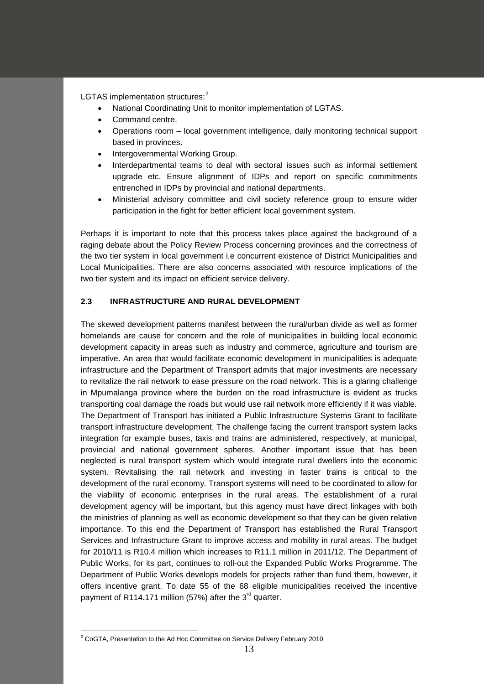LGTAS implementation structures:<sup>[2](#page-12-0)</sup>

- National Coordinating Unit to monitor implementation of LGTAS.
- Command centre.
- Operations room local government intelligence, daily monitoring technical support based in provinces.
- Intergovernmental Working Group.
- Interdepartmental teams to deal with sectoral issues such as informal settlement upgrade etc, Ensure alignment of IDPs and report on specific commitments entrenched in IDPs by provincial and national departments.
- Ministerial advisory committee and civil society reference group to ensure wider participation in the fight for better efficient local government system.

Perhaps it is important to note that this process takes place against the background of a raging debate about the Policy Review Process concerning provinces and the correctness of the two tier system in local government i.e concurrent existence of District Municipalities and Local Municipalities. There are also concerns associated with resource implications of the two tier system and its impact on efficient service delivery.

# **2.3 INFRASTRUCTURE AND RURAL DEVELOPMENT**

The skewed development patterns manifest between the rural/urban divide as well as former homelands are cause for concern and the role of municipalities in building local economic development capacity in areas such as industry and commerce, agriculture and tourism are imperative. An area that would facilitate economic development in municipalities is adequate infrastructure and the Department of Transport admits that major investments are necessary to revitalize the rail network to ease pressure on the road network. This is a glaring challenge in Mpumalanga province where the burden on the road infrastructure is evident as trucks transporting coal damage the roads but would use rail network more efficiently if it was viable. The Department of Transport has initiated a Public Infrastructure Systems Grant to facilitate transport infrastructure development. The challenge facing the current transport system lacks integration for example buses, taxis and trains are administered, respectively, at municipal, provincial and national government spheres. Another important issue that has been neglected is rural transport system which would integrate rural dwellers into the economic system. Revitalising the rail network and investing in faster trains is critical to the development of the rural economy. Transport systems will need to be coordinated to allow for the viability of economic enterprises in the rural areas. The establishment of a rural development agency will be important, but this agency must have direct linkages with both the ministries of planning as well as economic development so that they can be given relative importance. To this end the Department of Transport has established the Rural Transport Services and Infrastructure Grant to improve access and mobility in rural areas. The budget for 2010/11 is R10.4 million which increases to R11.1 million in 2011/12. The Department of Public Works, for its part, continues to roll-out the Expanded Public Works Programme. The Department of Public Works develops models for projects rather than fund them, however, it offers incentive grant. To date 55 of the 68 eligible municipalities received the incentive payment of R114.171 million (57%) after the  $3<sup>rd</sup>$  quarter.

<span id="page-12-0"></span><sup>&</sup>lt;sup>2</sup> CoGTA, Presentation to the Ad Hoc Committee on Service Delivery February 2010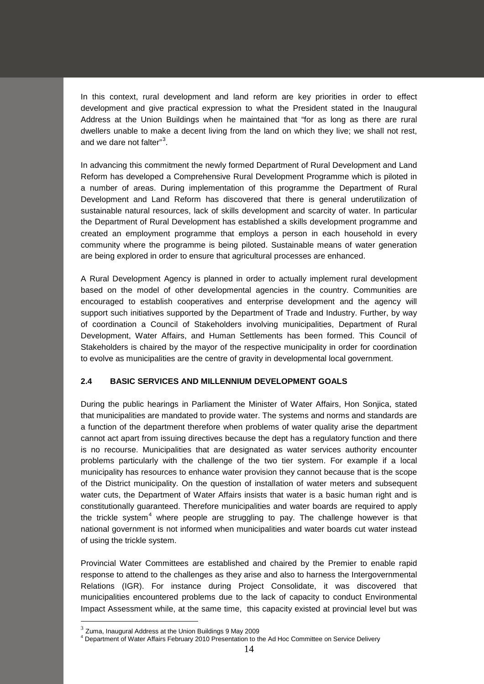In this context, rural development and land reform are key priorities in order to effect development and give practical expression to what the President stated in the Inaugural Address at the Union Buildings when he maintained that "for as long as there are rural dwellers unable to make a decent living from the land on which they live; we shall not rest, and we dare not falter"<sup>[3](#page-13-0)</sup>.

In advancing this commitment the newly formed Department of Rural Development and Land Reform has developed a Comprehensive Rural Development Programme which is piloted in a number of areas. During implementation of this programme the Department of Rural Development and Land Reform has discovered that there is general underutilization of sustainable natural resources, lack of skills development and scarcity of water. In particular the Department of Rural Development has established a skills development programme and created an employment programme that employs a person in each household in every community where the programme is being piloted. Sustainable means of water generation are being explored in order to ensure that agricultural processes are enhanced.

A Rural Development Agency is planned in order to actually implement rural development based on the model of other developmental agencies in the country. Communities are encouraged to establish cooperatives and enterprise development and the agency will support such initiatives supported by the Department of Trade and Industry. Further, by way of coordination a Council of Stakeholders involving municipalities, Department of Rural Development, Water Affairs, and Human Settlements has been formed. This Council of Stakeholders is chaired by the mayor of the respective municipality in order for coordination to evolve as municipalities are the centre of gravity in developmental local government.

# **2.4 BASIC SERVICES AND MILLENNIUM DEVELOPMENT GOALS**

During the public hearings in Parliament the Minister of Water Affairs, Hon Sonjica, stated that municipalities are mandated to provide water. The systems and norms and standards are a function of the department therefore when problems of water quality arise the department cannot act apart from issuing directives because the dept has a regulatory function and there is no recourse. Municipalities that are designated as water services authority encounter problems particularly with the challenge of the two tier system. For example if a local municipality has resources to enhance water provision they cannot because that is the scope of the District municipality. On the question of installation of water meters and subsequent water cuts, the Department of Water Affairs insists that water is a basic human right and is constitutionally guaranteed. Therefore municipalities and water boards are required to apply the trickle system<sup>[4](#page-13-1)</sup> where people are struggling to pay. The challenge however is that national government is not informed when municipalities and water boards cut water instead of using the trickle system.

Provincial Water Committees are established and chaired by the Premier to enable rapid response to attend to the challenges as they arise and also to harness the Intergovernmental Relations (IGR). For instance during Project Consolidate, it was discovered that municipalities encountered problems due to the lack of capacity to conduct Environmental Impact Assessment while, at the same time, this capacity existed at provincial level but was

 $3$  Zuma, Inaugural Address at the Union Buildings 9 May 2009

<span id="page-13-1"></span><span id="page-13-0"></span><sup>4</sup> Department of Water Affairs February 2010 Presentation to the Ad Hoc Committee on Service Delivery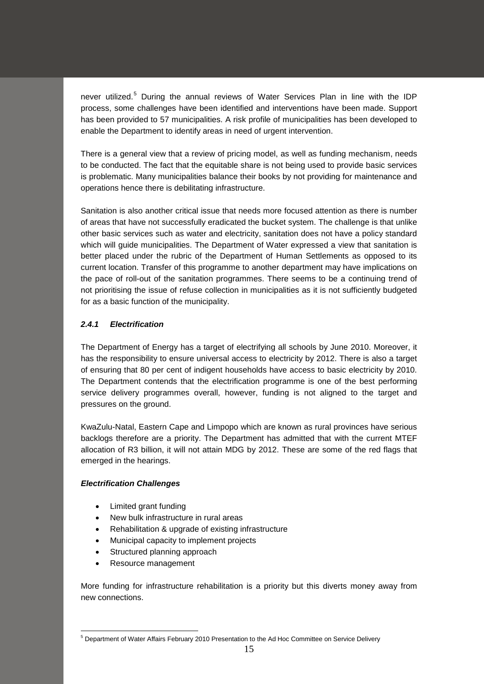never utilized.<sup>[5](#page-14-0)</sup> During the annual reviews of Water Services Plan in line with the IDP process, some challenges have been identified and interventions have been made. Support has been provided to 57 municipalities. A risk profile of municipalities has been developed to enable the Department to identify areas in need of urgent intervention.

There is a general view that a review of pricing model, as well as funding mechanism, needs to be conducted. The fact that the equitable share is not being used to provide basic services is problematic. Many municipalities balance their books by not providing for maintenance and operations hence there is debilitating infrastructure.

Sanitation is also another critical issue that needs more focused attention as there is number of areas that have not successfully eradicated the bucket system. The challenge is that unlike other basic services such as water and electricity, sanitation does not have a policy standard which will guide municipalities. The Department of Water expressed a view that sanitation is better placed under the rubric of the Department of Human Settlements as opposed to its current location. Transfer of this programme to another department may have implications on the pace of roll-out of the sanitation programmes. There seems to be a continuing trend of not prioritising the issue of refuse collection in municipalities as it is not sufficiently budgeted for as a basic function of the municipality.

# *2.4.1 Electrification*

The Department of Energy has a target of electrifying all schools by June 2010. Moreover, it has the responsibility to ensure universal access to electricity by 2012. There is also a target of ensuring that 80 per cent of indigent households have access to basic electricity by 2010. The Department contends that the electrification programme is one of the best performing service delivery programmes overall, however, funding is not aligned to the target and pressures on the ground.

KwaZulu-Natal, Eastern Cape and Limpopo which are known as rural provinces have serious backlogs therefore are a priority. The Department has admitted that with the current MTEF allocation of R3 billion, it will not attain MDG by 2012. These are some of the red flags that emerged in the hearings.

# *Electrification Challenges*

- Limited grant funding
- New bulk infrastructure in rural areas
- Rehabilitation & upgrade of existing infrastructure
- Municipal capacity to implement projects
- Structured planning approach
- Resource management

More funding for infrastructure rehabilitation is a priority but this diverts money away from new connections.

<span id="page-14-0"></span><sup>5</sup> Department of Water Affairs February 2010 Presentation to the Ad Hoc Committee on Service Delivery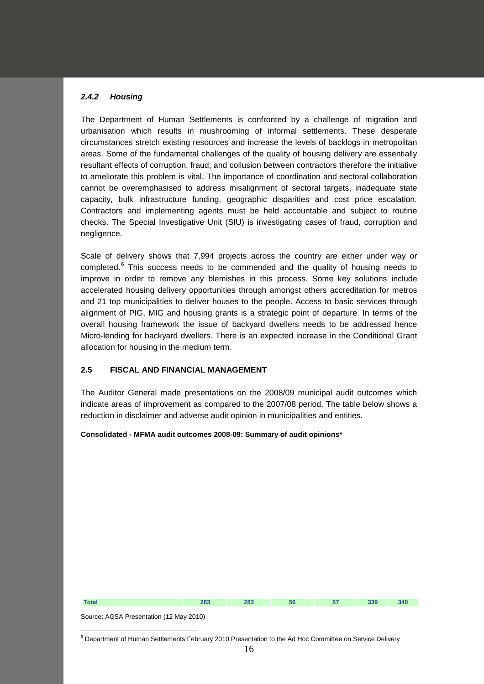### *2.4.2 Housing*

The Department of Human Settlements is confronted by a challenge of migration and urbanisation which results in mushrooming of informal settlements. These desperate circumstances stretch existing resources and increase the levels of backlogs in metropolitan areas. Some of the fundamental challenges of the quality of housing delivery are essentially resultant effects of corruption, fraud, and collusion between contractors therefore the initiative to ameliorate this problem is vital. The importance of coordination and sectoral collaboration cannot be overemphasised to address misalignment of sectoral targets, inadequate state capacity, bulk infrastructure funding, geographic disparities and cost price escalation. Contractors and implementing agents must be held accountable and subject to routine checks. The Special Investigative Unit (SIU) is investigating cases of fraud, corruption and negligence.

Scale of delivery shows that 7,994 projects across the country are either under way or completed.<sup>[6](#page-15-0)</sup> This success needs to be commended and the quality of housing needs to improve in order to remove any blemishes in this process. Some key solutions include accelerated housing delivery opportunities through amongst others accreditation for metros and 21 top municipalities to deliver houses to the people. Access to basic services through alignment of PIG, MIG and housing grants is a strategic point of departure. In terms of the overall housing framework the issue of backyard dwellers needs to be addressed hence Micro-lending for backyard dwellers. There is an expected increase in the Conditional Grant allocation for housing in the medium term.

# **2.5 FISCAL AND FINANCIAL MANAGEMENT**

The Auditor General made presentations on the 2008/09 municipal audit outcomes which indicate areas of improvement as compared to the 2007/08 period. The table below shows a reduction in disclaimer and adverse audit opinion in municipalities and entities.

#### **Consolidated - MFMA audit outcomes 2008-09: Summary of audit opinions\***



Source: AGSA Presentation (12 May 2010)

<span id="page-15-0"></span><sup>&</sup>lt;sup>6</sup> Department of Human Settlements February 2010 Presentation to the Ad Hoc Committee on Service Delivery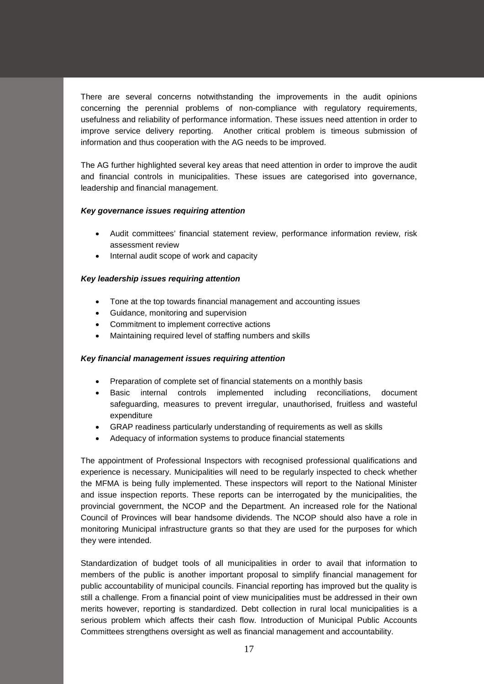There are several concerns notwithstanding the improvements in the audit opinions concerning the perennial problems of non-compliance with regulatory requirements, usefulness and reliability of performance information. These issues need attention in order to improve service delivery reporting. Another critical problem is timeous submission of information and thus cooperation with the AG needs to be improved.

The AG further highlighted several key areas that need attention in order to improve the audit and financial controls in municipalities. These issues are categorised into governance, leadership and financial management.

### *Key governance issues requiring attention*

- Audit committees' financial statement review, performance information review, risk assessment review
- Internal audit scope of work and capacity

# *Key leadership issues requiring attention*

- Tone at the top towards financial management and accounting issues
- Guidance, monitoring and supervision
- Commitment to implement corrective actions
- Maintaining required level of staffing numbers and skills

#### *Key financial management issues requiring attention*

- Preparation of complete set of financial statements on a monthly basis
- Basic internal controls implemented including reconciliations, document safeguarding, measures to prevent irregular, unauthorised, fruitless and wasteful expenditure
- GRAP readiness particularly understanding of requirements as well as skills
- Adequacy of information systems to produce financial statements

The appointment of Professional Inspectors with recognised professional qualifications and experience is necessary. Municipalities will need to be regularly inspected to check whether the MFMA is being fully implemented. These inspectors will report to the National Minister and issue inspection reports. These reports can be interrogated by the municipalities, the provincial government, the NCOP and the Department. An increased role for the National Council of Provinces will bear handsome dividends. The NCOP should also have a role in monitoring Municipal infrastructure grants so that they are used for the purposes for which they were intended.

Standardization of budget tools of all municipalities in order to avail that information to members of the public is another important proposal to simplify financial management for public accountability of municipal councils. Financial reporting has improved but the quality is still a challenge. From a financial point of view municipalities must be addressed in their own merits however, reporting is standardized. Debt collection in rural local municipalities is a serious problem which affects their cash flow. Introduction of Municipal Public Accounts Committees strengthens oversight as well as financial management and accountability.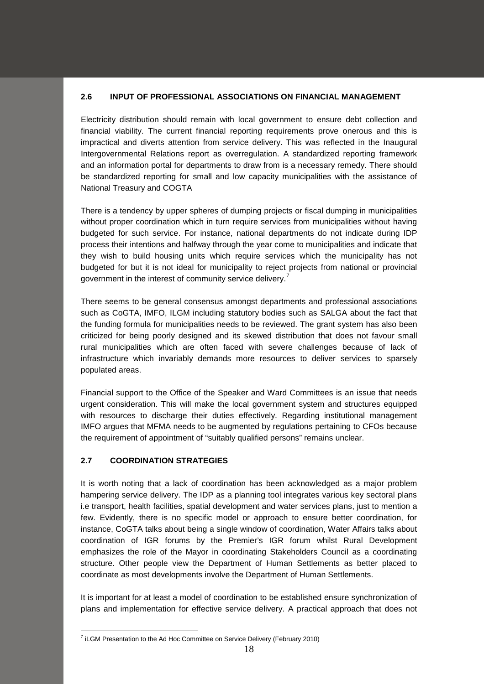# **2.6 INPUT OF PROFESSIONAL ASSOCIATIONS ON FINANCIAL MANAGEMENT**

Electricity distribution should remain with local government to ensure debt collection and financial viability. The current financial reporting requirements prove onerous and this is impractical and diverts attention from service delivery. This was reflected in the Inaugural Intergovernmental Relations report as overregulation. A standardized reporting framework and an information portal for departments to draw from is a necessary remedy. There should be standardized reporting for small and low capacity municipalities with the assistance of National Treasury and COGTA

There is a tendency by upper spheres of dumping projects or fiscal dumping in municipalities without proper coordination which in turn require services from municipalities without having budgeted for such service. For instance, national departments do not indicate during IDP process their intentions and halfway through the year come to municipalities and indicate that they wish to build housing units which require services which the municipality has not budgeted for but it is not ideal for municipality to reject projects from national or provincial government in the interest of community service delivery.<sup>[7](#page-17-0)</sup>

There seems to be general consensus amongst departments and professional associations such as CoGTA, IMFO, ILGM including statutory bodies such as SALGA about the fact that the funding formula for municipalities needs to be reviewed. The grant system has also been criticized for being poorly designed and its skewed distribution that does not favour small rural municipalities which are often faced with severe challenges because of lack of infrastructure which invariably demands more resources to deliver services to sparsely populated areas.

Financial support to the Office of the Speaker and Ward Committees is an issue that needs urgent consideration. This will make the local government system and structures equipped with resources to discharge their duties effectively. Regarding institutional management IMFO argues that MFMA needs to be augmented by regulations pertaining to CFOs because the requirement of appointment of "suitably qualified persons" remains unclear.

# **2.7 COORDINATION STRATEGIES**

It is worth noting that a lack of coordination has been acknowledged as a major problem hampering service delivery. The IDP as a planning tool integrates various key sectoral plans i.e transport, health facilities, spatial development and water services plans, just to mention a few. Evidently, there is no specific model or approach to ensure better coordination, for instance, CoGTA talks about being a single window of coordination, Water Affairs talks about coordination of IGR forums by the Premier's IGR forum whilst Rural Development emphasizes the role of the Mayor in coordinating Stakeholders Council as a coordinating structure. Other people view the Department of Human Settlements as better placed to coordinate as most developments involve the Department of Human Settlements.

It is important for at least a model of coordination to be established ensure synchronization of plans and implementation for effective service delivery. A practical approach that does not

<span id="page-17-0"></span><sup>&</sup>lt;sup>7</sup> iLGM Presentation to the Ad Hoc Committee on Service Delivery (February 2010)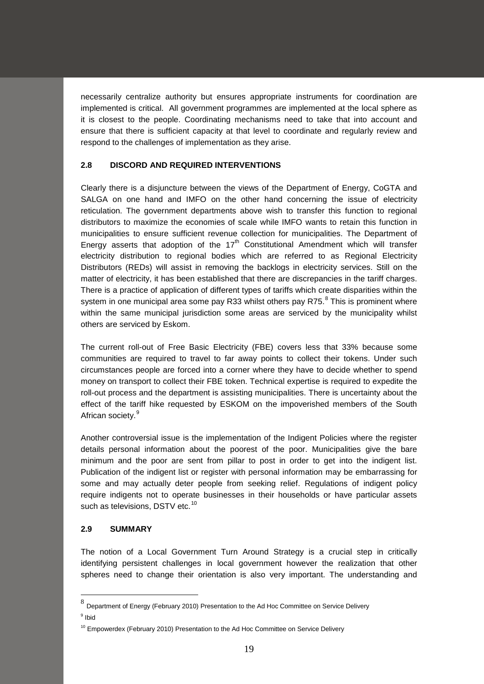necessarily centralize authority but ensures appropriate instruments for coordination are implemented is critical. All government programmes are implemented at the local sphere as it is closest to the people. Coordinating mechanisms need to take that into account and ensure that there is sufficient capacity at that level to coordinate and regularly review and respond to the challenges of implementation as they arise.

# **2.8 DISCORD AND REQUIRED INTERVENTIONS**

Clearly there is a disjuncture between the views of the Department of Energy, CoGTA and SALGA on one hand and IMFO on the other hand concerning the issue of electricity reticulation. The government departments above wish to transfer this function to regional distributors to maximize the economies of scale while IMFO wants to retain this function in municipalities to ensure sufficient revenue collection for municipalities. The Department of Energy asserts that adoption of the  $17<sup>th</sup>$  Constitutional Amendment which will transfer electricity distribution to regional bodies which are referred to as Regional Electricity Distributors (REDs) will assist in removing the backlogs in electricity services. Still on the matter of electricity, it has been established that there are discrepancies in the tariff charges. There is a practice of application of different types of tariffs which create disparities within the system in one municipal area some pay R33 whilst others pay R75. $8$  This is prominent where within the same municipal jurisdiction some areas are serviced by the municipality whilst others are serviced by Eskom.

The current roll-out of Free Basic Electricity (FBE) covers less that 33% because some communities are required to travel to far away points to collect their tokens. Under such circumstances people are forced into a corner where they have to decide whether to spend money on transport to collect their FBE token. Technical expertise is required to expedite the roll-out process and the department is assisting municipalities. There is uncertainty about the effect of the tariff hike requested by ESKOM on the impoverished members of the South African society.<sup>[9](#page-18-1)</sup>

Another controversial issue is the implementation of the Indigent Policies where the register details personal information about the poorest of the poor. Municipalities give the bare minimum and the poor are sent from pillar to post in order to get into the indigent list. Publication of the indigent list or register with personal information may be embarrassing for some and may actually deter people from seeking relief. Regulations of indigent policy require indigents not to operate businesses in their households or have particular assets such as televisions, DSTV etc.<sup>[10](#page-18-2)</sup>

# **2.9 SUMMARY**

The notion of a Local Government Turn Around Strategy is a crucial step in critically identifying persistent challenges in local government however the realization that other spheres need to change their orientation is also very important. The understanding and

<span id="page-18-0"></span> <sup>8</sup> Department of Energy (February 2010) Presentation to the Ad Hoc Committee on Service Delivery

<span id="page-18-1"></span><sup>9</sup> Ibid

<span id="page-18-2"></span> $10$  Empowerdex (February 2010) Presentation to the Ad Hoc Committee on Service Delivery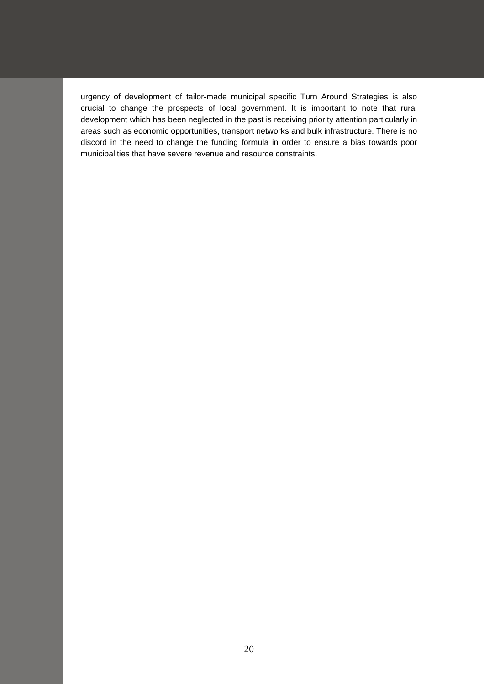urgency of development of tailor-made municipal specific Turn Around Strategies is also crucial to change the prospects of local government. It is important to note that rural development which has been neglected in the past is receiving priority attention particularly in areas such as economic opportunities, transport networks and bulk infrastructure. There is no discord in the need to change the funding formula in order to ensure a bias towards poor municipalities that have severe revenue and resource constraints.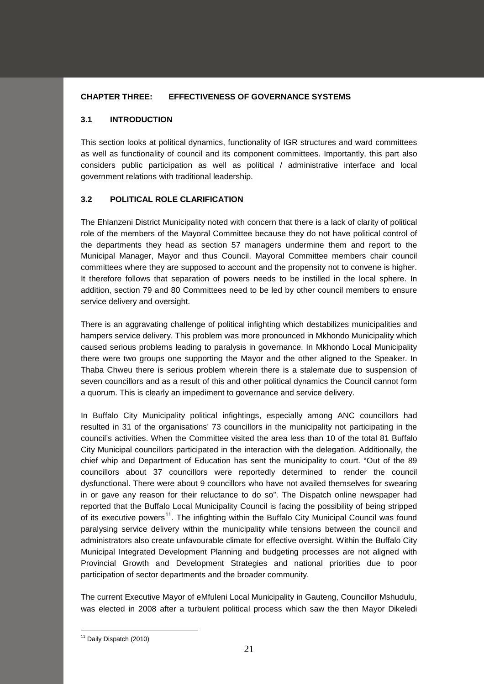# **CHAPTER THREE: EFFECTIVENESS OF GOVERNANCE SYSTEMS**

# **3.1 INTRODUCTION**

This section looks at political dynamics, functionality of IGR structures and ward committees as well as functionality of council and its component committees. Importantly, this part also considers public participation as well as political / administrative interface and local government relations with traditional leadership.

# **3.2 POLITICAL ROLE CLARIFICATION**

The Ehlanzeni District Municipality noted with concern that there is a lack of clarity of political role of the members of the Mayoral Committee because they do not have political control of the departments they head as section 57 managers undermine them and report to the Municipal Manager, Mayor and thus Council. Mayoral Committee members chair council committees where they are supposed to account and the propensity not to convene is higher. It therefore follows that separation of powers needs to be instilled in the local sphere. In addition, section 79 and 80 Committees need to be led by other council members to ensure service delivery and oversight.

There is an aggravating challenge of political infighting which destabilizes municipalities and hampers service delivery. This problem was more pronounced in Mkhondo Municipality which caused serious problems leading to paralysis in governance. In Mkhondo Local Municipality there were two groups one supporting the Mayor and the other aligned to the Speaker. In Thaba Chweu there is serious problem wherein there is a stalemate due to suspension of seven councillors and as a result of this and other political dynamics the Council cannot form a quorum. This is clearly an impediment to governance and service delivery.

In Buffalo City Municipality political infightings, especially among ANC councillors had resulted in 31 of the organisations' 73 councillors in the municipality not participating in the council's activities. When the Committee visited the area less than 10 of the total 81 Buffalo City Municipal councillors participated in the interaction with the delegation. Additionally, the chief whip and Department of Education has sent the municipality to court. "Out of the 89 councillors about 37 councillors were reportedly determined to render the council dysfunctional. There were about 9 councillors who have not availed themselves for swearing in or gave any reason for their reluctance to do so". The Dispatch online newspaper had reported that the Buffalo Local Municipality Council is facing the possibility of being stripped of its executive powers<sup>11</sup>. The infighting within the Buffalo City Municipal Council was found paralysing service delivery within the municipality while tensions between the council and administrators also create unfavourable climate for effective oversight. Within the Buffalo City Municipal Integrated Development Planning and budgeting processes are not aligned with Provincial Growth and Development Strategies and national priorities due to poor participation of sector departments and the broader community.

The current Executive Mayor of eMfuleni Local Municipality in Gauteng, Councillor Mshudulu, was elected in 2008 after a turbulent political process which saw the then Mayor Dikeledi

<span id="page-20-0"></span><sup>&</sup>lt;sup>11</sup> Daily Dispatch (2010)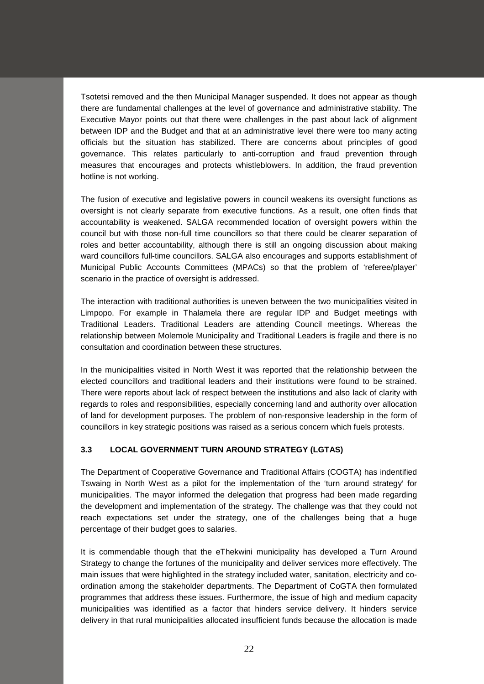Tsotetsi removed and the then Municipal Manager suspended. It does not appear as though there are fundamental challenges at the level of governance and administrative stability. The Executive Mayor points out that there were challenges in the past about lack of alignment between IDP and the Budget and that at an administrative level there were too many acting officials but the situation has stabilized. There are concerns about principles of good governance. This relates particularly to anti-corruption and fraud prevention through measures that encourages and protects whistleblowers. In addition, the fraud prevention hotline is not working.

The fusion of executive and legislative powers in council weakens its oversight functions as oversight is not clearly separate from executive functions. As a result, one often finds that accountability is weakened. SALGA recommended location of oversight powers within the council but with those non-full time councillors so that there could be clearer separation of roles and better accountability, although there is still an ongoing discussion about making ward councillors full-time councillors. SALGA also encourages and supports establishment of Municipal Public Accounts Committees (MPACs) so that the problem of 'referee/player' scenario in the practice of oversight is addressed.

The interaction with traditional authorities is uneven between the two municipalities visited in Limpopo. For example in Thalamela there are regular IDP and Budget meetings with Traditional Leaders. Traditional Leaders are attending Council meetings. Whereas the relationship between Molemole Municipality and Traditional Leaders is fragile and there is no consultation and coordination between these structures.

In the municipalities visited in North West it was reported that the relationship between the elected councillors and traditional leaders and their institutions were found to be strained. There were reports about lack of respect between the institutions and also lack of clarity with regards to roles and responsibilities, especially concerning land and authority over allocation of land for development purposes. The problem of non-responsive leadership in the form of councillors in key strategic positions was raised as a serious concern which fuels protests.

# **3.3 LOCAL GOVERNMENT TURN AROUND STRATEGY (LGTAS)**

The Department of Cooperative Governance and Traditional Affairs (COGTA) has indentified Tswaing in North West as a pilot for the implementation of the 'turn around strategy' for municipalities. The mayor informed the delegation that progress had been made regarding the development and implementation of the strategy. The challenge was that they could not reach expectations set under the strategy, one of the challenges being that a huge percentage of their budget goes to salaries.

It is commendable though that the eThekwini municipality has developed a Turn Around Strategy to change the fortunes of the municipality and deliver services more effectively. The main issues that were highlighted in the strategy included water, sanitation, electricity and coordination among the stakeholder departments. The Department of CoGTA then formulated programmes that address these issues. Furthermore, the issue of high and medium capacity municipalities was identified as a factor that hinders service delivery. It hinders service delivery in that rural municipalities allocated insufficient funds because the allocation is made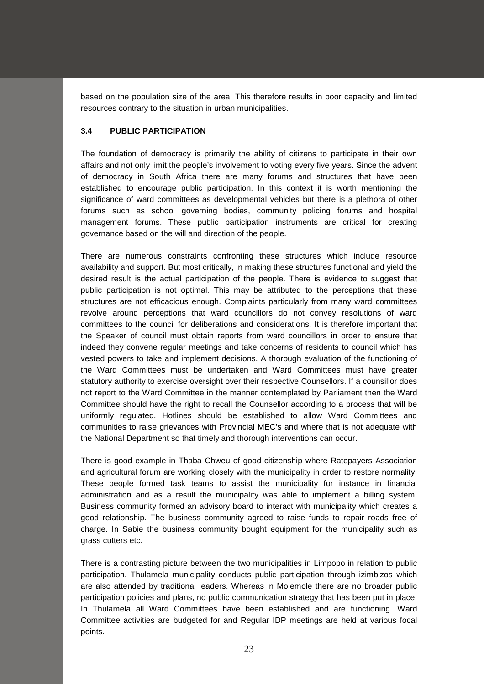based on the population size of the area. This therefore results in poor capacity and limited resources contrary to the situation in urban municipalities.

# **3.4 PUBLIC PARTICIPATION**

The foundation of democracy is primarily the ability of citizens to participate in their own affairs and not only limit the people's involvement to voting every five years. Since the advent of democracy in South Africa there are many forums and structures that have been established to encourage public participation. In this context it is worth mentioning the significance of ward committees as developmental vehicles but there is a plethora of other forums such as school governing bodies, community policing forums and hospital management forums. These public participation instruments are critical for creating governance based on the will and direction of the people.

There are numerous constraints confronting these structures which include resource availability and support. But most critically, in making these structures functional and yield the desired result is the actual participation of the people. There is evidence to suggest that public participation is not optimal. This may be attributed to the perceptions that these structures are not efficacious enough. Complaints particularly from many ward committees revolve around perceptions that ward councillors do not convey resolutions of ward committees to the council for deliberations and considerations. It is therefore important that the Speaker of council must obtain reports from ward councillors in order to ensure that indeed they convene regular meetings and take concerns of residents to council which has vested powers to take and implement decisions. A thorough evaluation of the functioning of the Ward Committees must be undertaken and Ward Committees must have greater statutory authority to exercise oversight over their respective Counsellors. If a counsillor does not report to the Ward Committee in the manner contemplated by Parliament then the Ward Committee should have the right to recall the Counsellor according to a process that will be uniformly regulated. Hotlines should be established to allow Ward Committees and communities to raise grievances with Provincial MEC's and where that is not adequate with the National Department so that timely and thorough interventions can occur.

There is good example in Thaba Chweu of good citizenship where Ratepayers Association and agricultural forum are working closely with the municipality in order to restore normality. These people formed task teams to assist the municipality for instance in financial administration and as a result the municipality was able to implement a billing system. Business community formed an advisory board to interact with municipality which creates a good relationship. The business community agreed to raise funds to repair roads free of charge. In Sabie the business community bought equipment for the municipality such as grass cutters etc.

There is a contrasting picture between the two municipalities in Limpopo in relation to public participation. Thulamela municipality conducts public participation through izimbizos which are also attended by traditional leaders. Whereas in Molemole there are no broader public participation policies and plans, no public communication strategy that has been put in place. In Thulamela all Ward Committees have been established and are functioning. Ward Committee activities are budgeted for and Regular IDP meetings are held at various focal points.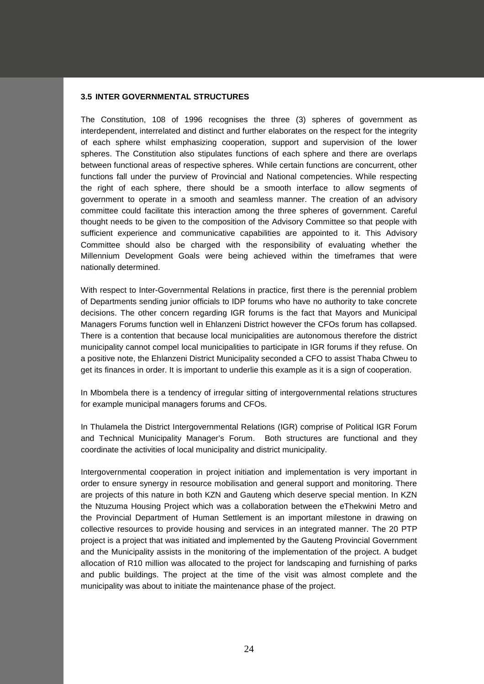### **3.5 INTER GOVERNMENTAL STRUCTURES**

The Constitution, 108 of 1996 recognises the three (3) spheres of government as interdependent, interrelated and distinct and further elaborates on the respect for the integrity of each sphere whilst emphasizing cooperation, support and supervision of the lower spheres. The Constitution also stipulates functions of each sphere and there are overlaps between functional areas of respective spheres. While certain functions are concurrent, other functions fall under the purview of Provincial and National competencies. While respecting the right of each sphere, there should be a smooth interface to allow segments of government to operate in a smooth and seamless manner. The creation of an advisory committee could facilitate this interaction among the three spheres of government. Careful thought needs to be given to the composition of the Advisory Committee so that people with sufficient experience and communicative capabilities are appointed to it. This Advisory Committee should also be charged with the responsibility of evaluating whether the Millennium Development Goals were being achieved within the timeframes that were nationally determined.

With respect to Inter-Governmental Relations in practice, first there is the perennial problem of Departments sending junior officials to IDP forums who have no authority to take concrete decisions. The other concern regarding IGR forums is the fact that Mayors and Municipal Managers Forums function well in Ehlanzeni District however the CFOs forum has collapsed. There is a contention that because local municipalities are autonomous therefore the district municipality cannot compel local municipalities to participate in IGR forums if they refuse. On a positive note, the Ehlanzeni District Municipality seconded a CFO to assist Thaba Chweu to get its finances in order. It is important to underlie this example as it is a sign of cooperation.

In Mbombela there is a tendency of irregular sitting of intergovernmental relations structures for example municipal managers forums and CFOs.

In Thulamela the District Intergovernmental Relations (IGR) comprise of Political IGR Forum and Technical Municipality Manager's Forum. Both structures are functional and they coordinate the activities of local municipality and district municipality.

Intergovernmental cooperation in project initiation and implementation is very important in order to ensure synergy in resource mobilisation and general support and monitoring. There are projects of this nature in both KZN and Gauteng which deserve special mention. In KZN the Ntuzuma Housing Project which was a collaboration between the eThekwini Metro and the Provincial Department of Human Settlement is an important milestone in drawing on collective resources to provide housing and services in an integrated manner. The 20 PTP project is a project that was initiated and implemented by the Gauteng Provincial Government and the Municipality assists in the monitoring of the implementation of the project. A budget allocation of R10 million was allocated to the project for landscaping and furnishing of parks and public buildings. The project at the time of the visit was almost complete and the municipality was about to initiate the maintenance phase of the project.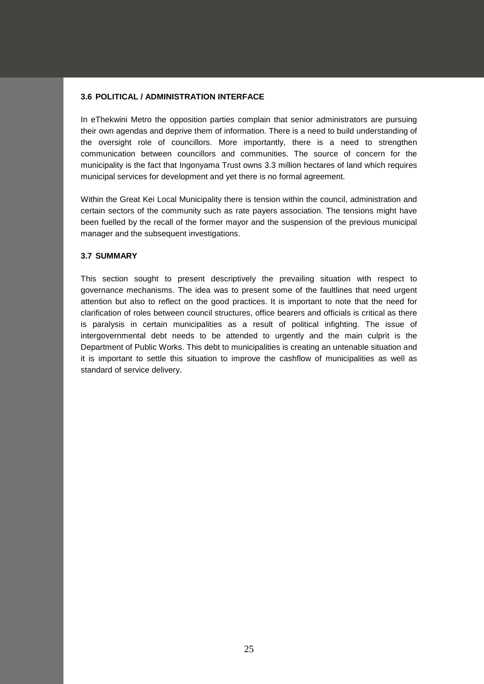### **3.6 POLITICAL / ADMINISTRATION INTERFACE**

In eThekwini Metro the opposition parties complain that senior administrators are pursuing their own agendas and deprive them of information. There is a need to build understanding of the oversight role of councillors. More importantly, there is a need to strengthen communication between councillors and communities. The source of concern for the municipality is the fact that Ingonyama Trust owns 3.3 million hectares of land which requires municipal services for development and yet there is no formal agreement.

Within the Great Kei Local Municipality there is tension within the council, administration and certain sectors of the community such as rate payers association. The tensions might have been fuelled by the recall of the former mayor and the suspension of the previous municipal manager and the subsequent investigations.

### **3.7 SUMMARY**

This section sought to present descriptively the prevailing situation with respect to governance mechanisms. The idea was to present some of the faultlines that need urgent attention but also to reflect on the good practices. It is important to note that the need for clarification of roles between council structures, office bearers and officials is critical as there is paralysis in certain municipalities as a result of political infighting. The issue of intergovernmental debt needs to be attended to urgently and the main culprit is the Department of Public Works. This debt to municipalities is creating an untenable situation and it is important to settle this situation to improve the cashflow of municipalities as well as standard of service delivery.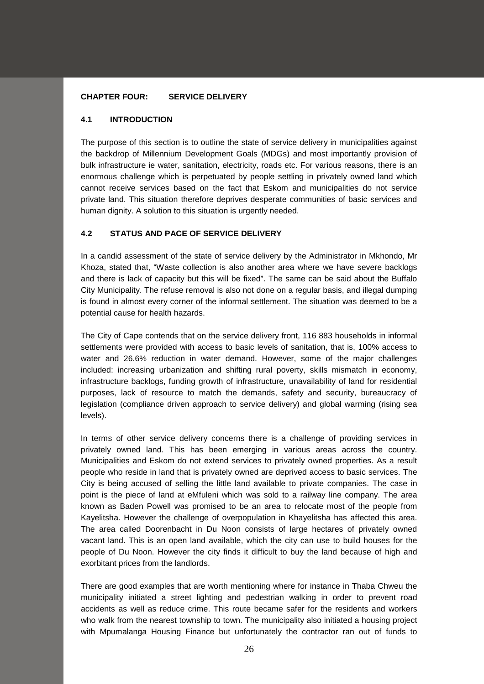### **CHAPTER FOUR: SERVICE DELIVERY**

### **4.1 INTRODUCTION**

The purpose of this section is to outline the state of service delivery in municipalities against the backdrop of Millennium Development Goals (MDGs) and most importantly provision of bulk infrastructure ie water, sanitation, electricity, roads etc. For various reasons, there is an enormous challenge which is perpetuated by people settling in privately owned land which cannot receive services based on the fact that Eskom and municipalities do not service private land. This situation therefore deprives desperate communities of basic services and human dignity. A solution to this situation is urgently needed.

### **4.2 STATUS AND PACE OF SERVICE DELIVERY**

In a candid assessment of the state of service delivery by the Administrator in Mkhondo, Mr Khoza, stated that, "Waste collection is also another area where we have severe backlogs and there is lack of capacity but this will be fixed". The same can be said about the Buffalo City Municipality. The refuse removal is also not done on a regular basis, and illegal dumping is found in almost every corner of the informal settlement. The situation was deemed to be a potential cause for health hazards.

The City of Cape contends that on the service delivery front, 116 883 households in informal settlements were provided with access to basic levels of sanitation, that is, 100% access to water and 26.6% reduction in water demand. However, some of the major challenges included: increasing urbanization and shifting rural poverty, skills mismatch in economy, infrastructure backlogs, funding growth of infrastructure, unavailability of land for residential purposes, lack of resource to match the demands, safety and security, bureaucracy of legislation (compliance driven approach to service delivery) and global warming (rising sea levels).

In terms of other service delivery concerns there is a challenge of providing services in privately owned land. This has been emerging in various areas across the country. Municipalities and Eskom do not extend services to privately owned properties. As a result people who reside in land that is privately owned are deprived access to basic services. The City is being accused of selling the little land available to private companies. The case in point is the piece of land at eMfuleni which was sold to a railway line company. The area known as Baden Powell was promised to be an area to relocate most of the people from Kayelitsha. However the challenge of overpopulation in Khayelitsha has affected this area. The area called Doorenbacht in Du Noon consists of large hectares of privately owned vacant land. This is an open land available, which the city can use to build houses for the people of Du Noon. However the city finds it difficult to buy the land because of high and exorbitant prices from the landlords.

There are good examples that are worth mentioning where for instance in Thaba Chweu the municipality initiated a street lighting and pedestrian walking in order to prevent road accidents as well as reduce crime. This route became safer for the residents and workers who walk from the nearest township to town. The municipality also initiated a housing project with Mpumalanga Housing Finance but unfortunately the contractor ran out of funds to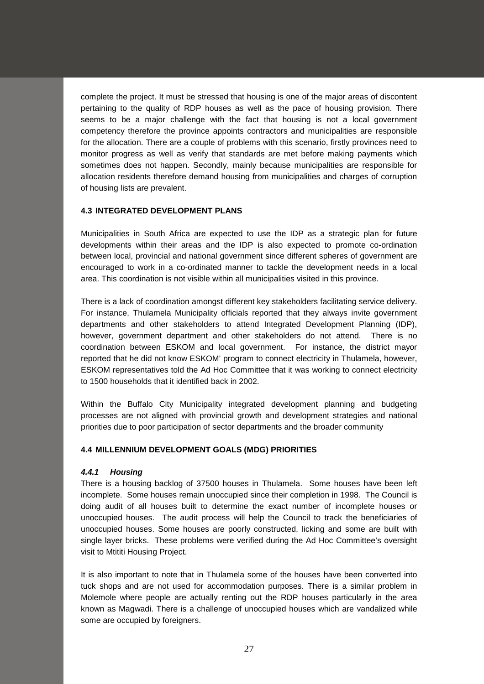complete the project. It must be stressed that housing is one of the major areas of discontent pertaining to the quality of RDP houses as well as the pace of housing provision. There seems to be a major challenge with the fact that housing is not a local government competency therefore the province appoints contractors and municipalities are responsible for the allocation. There are a couple of problems with this scenario, firstly provinces need to monitor progress as well as verify that standards are met before making payments which sometimes does not happen. Secondly, mainly because municipalities are responsible for allocation residents therefore demand housing from municipalities and charges of corruption of housing lists are prevalent.

# **4.3 INTEGRATED DEVELOPMENT PLANS**

Municipalities in South Africa are expected to use the IDP as a strategic plan for future developments within their areas and the IDP is also expected to promote co-ordination between local, provincial and national government since different spheres of government are encouraged to work in a co-ordinated manner to tackle the development needs in a local area. This coordination is not visible within all municipalities visited in this province.

There is a lack of coordination amongst different key stakeholders facilitating service delivery. For instance, Thulamela Municipality officials reported that they always invite government departments and other stakeholders to attend Integrated Development Planning (IDP), however, government department and other stakeholders do not attend. There is no coordination between ESKOM and local government. For instance, the district mayor reported that he did not know ESKOM' program to connect electricity in Thulamela, however, ESKOM representatives told the Ad Hoc Committee that it was working to connect electricity to 1500 households that it identified back in 2002.

Within the Buffalo City Municipality integrated development planning and budgeting processes are not aligned with provincial growth and development strategies and national priorities due to poor participation of sector departments and the broader community

### **4.4 MILLENNIUM DEVELOPMENT GOALS (MDG) PRIORITIES**

#### *4.4.1 Housing*

There is a housing backlog of 37500 houses in Thulamela. Some houses have been left incomplete. Some houses remain unoccupied since their completion in 1998. The Council is doing audit of all houses built to determine the exact number of incomplete houses or unoccupied houses. The audit process will help the Council to track the beneficiaries of unoccupied houses. Some houses are poorly constructed, licking and some are built with single layer bricks. These problems were verified during the Ad Hoc Committee's oversight visit to Mtititi Housing Project.

It is also important to note that in Thulamela some of the houses have been converted into tuck shops and are not used for accommodation purposes. There is a similar problem in Molemole where people are actually renting out the RDP houses particularly in the area known as Magwadi. There is a challenge of unoccupied houses which are vandalized while some are occupied by foreigners.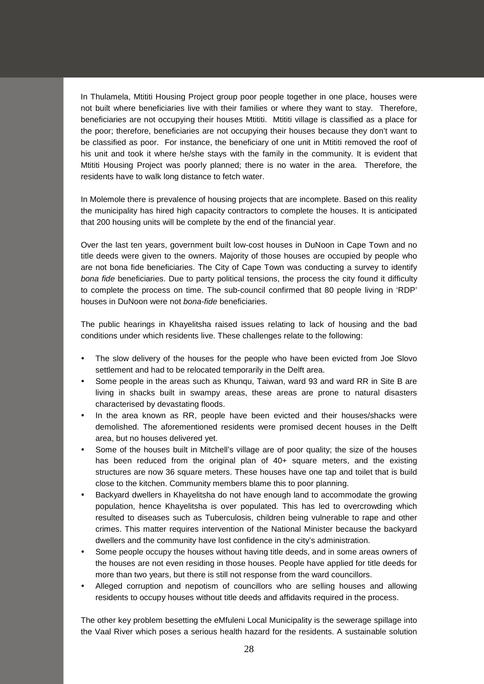In Thulamela, Mtititi Housing Project group poor people together in one place, houses were not built where beneficiaries live with their families or where they want to stay. Therefore, beneficiaries are not occupying their houses Mtititi. Mtititi village is classified as a place for the poor; therefore, beneficiaries are not occupying their houses because they don't want to be classified as poor. For instance, the beneficiary of one unit in Mtititi removed the roof of his unit and took it where he/she stays with the family in the community. It is evident that Mtititi Housing Project was poorly planned; there is no water in the area. Therefore, the residents have to walk long distance to fetch water.

In Molemole there is prevalence of housing projects that are incomplete. Based on this reality the municipality has hired high capacity contractors to complete the houses. It is anticipated that 200 housing units will be complete by the end of the financial year.

Over the last ten years, government built low-cost houses in DuNoon in Cape Town and no title deeds were given to the owners. Majority of those houses are occupied by people who are not bona fide beneficiaries. The City of Cape Town was conducting a survey to identify *bona fide* beneficiaries. Due to party political tensions, the process the city found it difficulty to complete the process on time. The sub-council confirmed that 80 people living in 'RDP' houses in DuNoon were not *bona-fide* beneficiaries.

The public hearings in Khayelitsha raised issues relating to lack of housing and the bad conditions under which residents live. These challenges relate to the following:

- The slow delivery of the houses for the people who have been evicted from Joe Slovo settlement and had to be relocated temporarily in the Delft area.
- Some people in the areas such as Khunqu, Taiwan, ward 93 and ward RR in Site B are living in shacks built in swampy areas, these areas are prone to natural disasters characterised by devastating floods.
- In the area known as RR, people have been evicted and their houses/shacks were demolished. The aforementioned residents were promised decent houses in the Delft area, but no houses delivered yet.
- Some of the houses built in Mitchell's village are of poor quality; the size of the houses has been reduced from the original plan of 40+ square meters, and the existing structures are now 36 square meters. These houses have one tap and toilet that is build close to the kitchen. Community members blame this to poor planning.
- Backyard dwellers in Khayelitsha do not have enough land to accommodate the growing population, hence Khayelitsha is over populated. This has led to overcrowding which resulted to diseases such as Tuberculosis, children being vulnerable to rape and other crimes. This matter requires intervention of the National Minister because the backyard dwellers and the community have lost confidence in the city's administration.
- Some people occupy the houses without having title deeds, and in some areas owners of the houses are not even residing in those houses. People have applied for title deeds for more than two years, but there is still not response from the ward councillors.
- Alleged corruption and nepotism of councillors who are selling houses and allowing residents to occupy houses without title deeds and affidavits required in the process.

The other key problem besetting the eMfuleni Local Municipality is the sewerage spillage into the Vaal River which poses a serious health hazard for the residents. A sustainable solution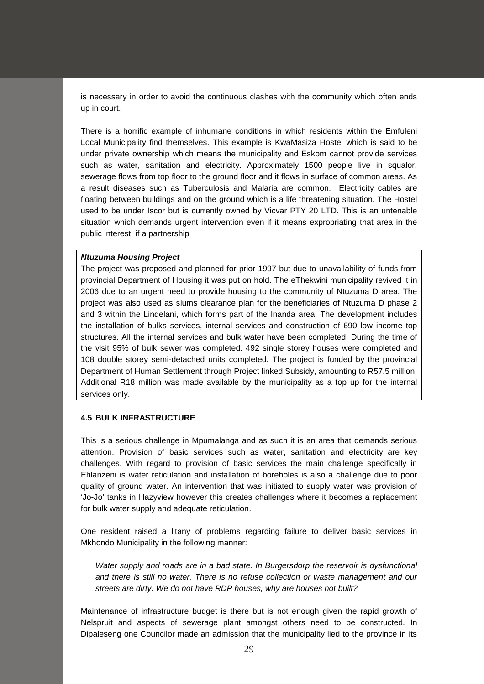is necessary in order to avoid the continuous clashes with the community which often ends up in court.

There is a horrific example of inhumane conditions in which residents within the Emfuleni Local Municipality find themselves. This example is KwaMasiza Hostel which is said to be under private ownership which means the municipality and Eskom cannot provide services such as water, sanitation and electricity. Approximately 1500 people live in squalor, sewerage flows from top floor to the ground floor and it flows in surface of common areas. As a result diseases such as Tuberculosis and Malaria are common. Electricity cables are floating between buildings and on the ground which is a life threatening situation. The Hostel used to be under Iscor but is currently owned by Vicvar PTY 20 LTD. This is an untenable situation which demands urgent intervention even if it means expropriating that area in the public interest, if a partnership

#### *Ntuzuma Housing Project*

The project was proposed and planned for prior 1997 but due to unavailability of funds from provincial Department of Housing it was put on hold. The eThekwini municipality revived it in 2006 due to an urgent need to provide housing to the community of Ntuzuma D area. The project was also used as slums clearance plan for the beneficiaries of Ntuzuma D phase 2 and 3 within the Lindelani, which forms part of the Inanda area. The development includes the installation of bulks services, internal services and construction of 690 low income top structures. All the internal services and bulk water have been completed. During the time of the visit 95% of bulk sewer was completed. 492 single storey houses were completed and 108 double storey semi-detached units completed. The project is funded by the provincial Department of Human Settlement through Project linked Subsidy, amounting to R57.5 million. Additional R18 million was made available by the municipality as a top up for the internal services only.

#### **4.5 BULK INFRASTRUCTURE**

This is a serious challenge in Mpumalanga and as such it is an area that demands serious attention. Provision of basic services such as water, sanitation and electricity are key challenges. With regard to provision of basic services the main challenge specifically in Ehlanzeni is water reticulation and installation of boreholes is also a challenge due to poor quality of ground water. An intervention that was initiated to supply water was provision of 'Jo-Jo' tanks in Hazyview however this creates challenges where it becomes a replacement for bulk water supply and adequate reticulation.

One resident raised a litany of problems regarding failure to deliver basic services in Mkhondo Municipality in the following manner:

*Water supply and roads are in a bad state. In Burgersdorp the reservoir is dysfunctional and there is still no water. There is no refuse collection or waste management and our streets are dirty. We do not have RDP houses, why are houses not built?*

Maintenance of infrastructure budget is there but is not enough given the rapid growth of Nelspruit and aspects of sewerage plant amongst others need to be constructed. In Dipaleseng one Councilor made an admission that the municipality lied to the province in its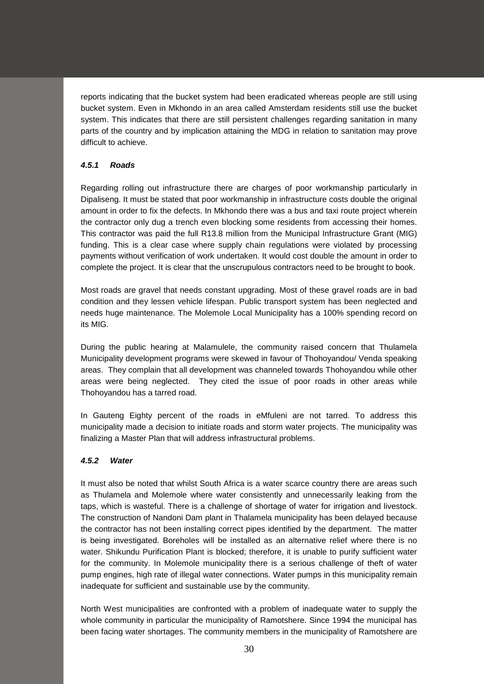reports indicating that the bucket system had been eradicated whereas people are still using bucket system. Even in Mkhondo in an area called Amsterdam residents still use the bucket system. This indicates that there are still persistent challenges regarding sanitation in many parts of the country and by implication attaining the MDG in relation to sanitation may prove difficult to achieve.

# *4.5.1 Roads*

Regarding rolling out infrastructure there are charges of poor workmanship particularly in Dipaliseng. It must be stated that poor workmanship in infrastructure costs double the original amount in order to fix the defects. In Mkhondo there was a bus and taxi route project wherein the contractor only dug a trench even blocking some residents from accessing their homes. This contractor was paid the full R13.8 million from the Municipal Infrastructure Grant (MIG) funding. This is a clear case where supply chain regulations were violated by processing payments without verification of work undertaken. It would cost double the amount in order to complete the project. It is clear that the unscrupulous contractors need to be brought to book.

Most roads are gravel that needs constant upgrading. Most of these gravel roads are in bad condition and they lessen vehicle lifespan. Public transport system has been neglected and needs huge maintenance. The Molemole Local Municipality has a 100% spending record on its MIG.

During the public hearing at Malamulele, the community raised concern that Thulamela Municipality development programs were skewed in favour of Thohoyandou/ Venda speaking areas. They complain that all development was channeled towards Thohoyandou while other areas were being neglected. They cited the issue of poor roads in other areas while Thohoyandou has a tarred road.

In Gauteng Eighty percent of the roads in eMfuleni are not tarred. To address this municipality made a decision to initiate roads and storm water projects. The municipality was finalizing a Master Plan that will address infrastructural problems.

# *4.5.2 Water*

It must also be noted that whilst South Africa is a water scarce country there are areas such as Thulamela and Molemole where water consistently and unnecessarily leaking from the taps, which is wasteful. There is a challenge of shortage of water for irrigation and livestock. The construction of Nandoni Dam plant in Thalamela municipality has been delayed because the contractor has not been installing correct pipes identified by the department. The matter is being investigated. Boreholes will be installed as an alternative relief where there is no water. Shikundu Purification Plant is blocked; therefore, it is unable to purify sufficient water for the community. In Molemole municipality there is a serious challenge of theft of water pump engines, high rate of illegal water connections. Water pumps in this municipality remain inadequate for sufficient and sustainable use by the community.

North West municipalities are confronted with a problem of inadequate water to supply the whole community in particular the municipality of Ramotshere. Since 1994 the municipal has been facing water shortages. The community members in the municipality of Ramotshere are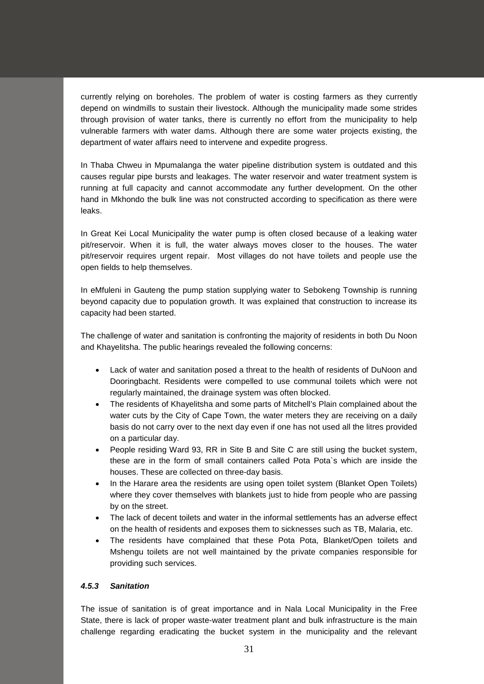currently relying on boreholes. The problem of water is costing farmers as they currently depend on windmills to sustain their livestock. Although the municipality made some strides through provision of water tanks, there is currently no effort from the municipality to help vulnerable farmers with water dams. Although there are some water projects existing, the department of water affairs need to intervene and expedite progress.

In Thaba Chweu in Mpumalanga the water pipeline distribution system is outdated and this causes regular pipe bursts and leakages. The water reservoir and water treatment system is running at full capacity and cannot accommodate any further development. On the other hand in Mkhondo the bulk line was not constructed according to specification as there were leaks.

In Great Kei Local Municipality the water pump is often closed because of a leaking water pit/reservoir. When it is full, the water always moves closer to the houses. The water pit/reservoir requires urgent repair. Most villages do not have toilets and people use the open fields to help themselves.

In eMfuleni in Gauteng the pump station supplying water to Sebokeng Township is running beyond capacity due to population growth. It was explained that construction to increase its capacity had been started.

The challenge of water and sanitation is confronting the majority of residents in both Du Noon and Khayelitsha. The public hearings revealed the following concerns:

- Lack of water and sanitation posed a threat to the health of residents of DuNoon and Dooringbacht. Residents were compelled to use communal toilets which were not regularly maintained, the drainage system was often blocked.
- The residents of Khayelitsha and some parts of Mitchell's Plain complained about the water cuts by the City of Cape Town, the water meters they are receiving on a daily basis do not carry over to the next day even if one has not used all the litres provided on a particular day.
- People residing Ward 93, RR in Site B and Site C are still using the bucket system, these are in the form of small containers called Pota Pota`s which are inside the houses. These are collected on three-day basis.
- In the Harare area the residents are using open toilet system (Blanket Open Toilets) where they cover themselves with blankets just to hide from people who are passing by on the street.
- The lack of decent toilets and water in the informal settlements has an adverse effect on the health of residents and exposes them to sicknesses such as TB, Malaria, etc.
- The residents have complained that these Pota Pota, Blanket/Open toilets and Mshengu toilets are not well maintained by the private companies responsible for providing such services.

# *4.5.3 Sanitation*

The issue of sanitation is of great importance and in Nala Local Municipality in the Free State, there is lack of proper waste-water treatment plant and bulk infrastructure is the main challenge regarding eradicating the bucket system in the municipality and the relevant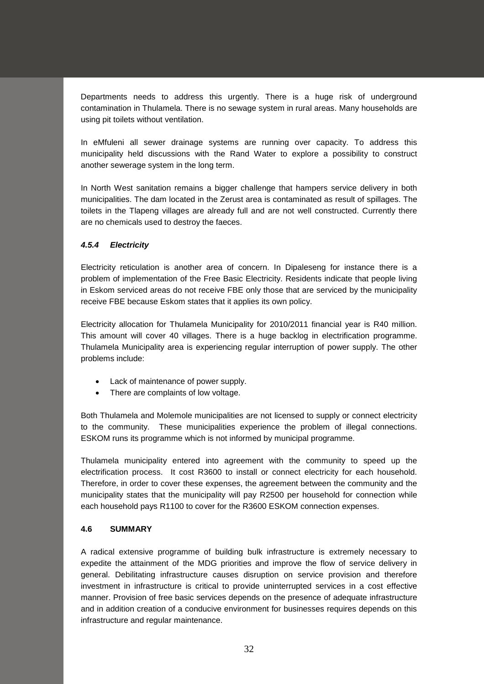Departments needs to address this urgently. There is a huge risk of underground contamination in Thulamela. There is no sewage system in rural areas. Many households are using pit toilets without ventilation.

In eMfuleni all sewer drainage systems are running over capacity. To address this municipality held discussions with the Rand Water to explore a possibility to construct another sewerage system in the long term.

In North West sanitation remains a bigger challenge that hampers service delivery in both municipalities. The dam located in the Zerust area is contaminated as result of spillages. The toilets in the Tlapeng villages are already full and are not well constructed. Currently there are no chemicals used to destroy the faeces.

# *4.5.4 Electricity*

Electricity reticulation is another area of concern. In Dipaleseng for instance there is a problem of implementation of the Free Basic Electricity. Residents indicate that people living in Eskom serviced areas do not receive FBE only those that are serviced by the municipality receive FBE because Eskom states that it applies its own policy.

Electricity allocation for Thulamela Municipality for 2010/2011 financial year is R40 million. This amount will cover 40 villages. There is a huge backlog in electrification programme. Thulamela Municipality area is experiencing regular interruption of power supply. The other problems include:

- Lack of maintenance of power supply.
- There are complaints of low voltage.

Both Thulamela and Molemole municipalities are not licensed to supply or connect electricity to the community. These municipalities experience the problem of illegal connections. ESKOM runs its programme which is not informed by municipal programme.

Thulamela municipality entered into agreement with the community to speed up the electrification process. It cost R3600 to install or connect electricity for each household. Therefore, in order to cover these expenses, the agreement between the community and the municipality states that the municipality will pay R2500 per household for connection while each household pays R1100 to cover for the R3600 ESKOM connection expenses.

# **4.6 SUMMARY**

A radical extensive programme of building bulk infrastructure is extremely necessary to expedite the attainment of the MDG priorities and improve the flow of service delivery in general. Debilitating infrastructure causes disruption on service provision and therefore investment in infrastructure is critical to provide uninterrupted services in a cost effective manner. Provision of free basic services depends on the presence of adequate infrastructure and in addition creation of a conducive environment for businesses requires depends on this infrastructure and regular maintenance.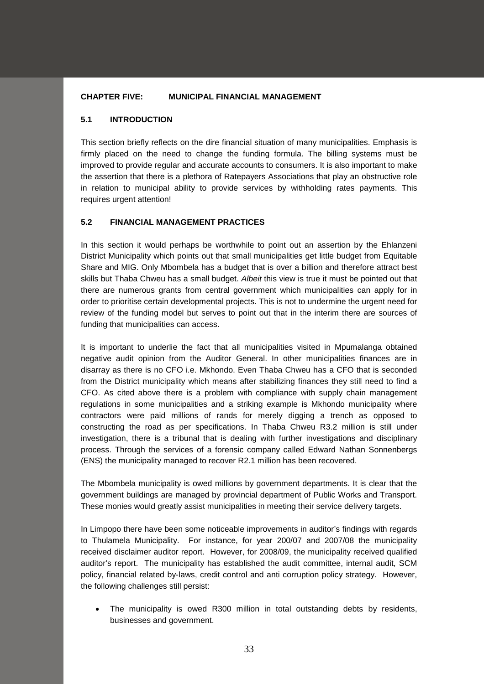### **CHAPTER FIVE: MUNICIPAL FINANCIAL MANAGEMENT**

### **5.1 INTRODUCTION**

This section briefly reflects on the dire financial situation of many municipalities. Emphasis is firmly placed on the need to change the funding formula. The billing systems must be improved to provide regular and accurate accounts to consumers. It is also important to make the assertion that there is a plethora of Ratepayers Associations that play an obstructive role in relation to municipal ability to provide services by withholding rates payments. This requires urgent attention!

### **5.2 FINANCIAL MANAGEMENT PRACTICES**

In this section it would perhaps be worthwhile to point out an assertion by the Ehlanzeni District Municipality which points out that small municipalities get little budget from Equitable Share and MIG. Only Mbombela has a budget that is over a billion and therefore attract best skills but Thaba Chweu has a small budget. *Albeit* this view is true it must be pointed out that there are numerous grants from central government which municipalities can apply for in order to prioritise certain developmental projects. This is not to undermine the urgent need for review of the funding model but serves to point out that in the interim there are sources of funding that municipalities can access.

It is important to underlie the fact that all municipalities visited in Mpumalanga obtained negative audit opinion from the Auditor General. In other municipalities finances are in disarray as there is no CFO i.e. Mkhondo. Even Thaba Chweu has a CFO that is seconded from the District municipality which means after stabilizing finances they still need to find a CFO. As cited above there is a problem with compliance with supply chain management regulations in some municipalities and a striking example is Mkhondo municipality where contractors were paid millions of rands for merely digging a trench as opposed to constructing the road as per specifications. In Thaba Chweu R3.2 million is still under investigation, there is a tribunal that is dealing with further investigations and disciplinary process. Through the services of a forensic company called Edward Nathan Sonnenbergs (ENS) the municipality managed to recover R2.1 million has been recovered.

The Mbombela municipality is owed millions by government departments. It is clear that the government buildings are managed by provincial department of Public Works and Transport. These monies would greatly assist municipalities in meeting their service delivery targets.

In Limpopo there have been some noticeable improvements in auditor's findings with regards to Thulamela Municipality. For instance, for year 200/07 and 2007/08 the municipality received disclaimer auditor report. However, for 2008/09, the municipality received qualified auditor's report. The municipality has established the audit committee, internal audit, SCM policy, financial related by-laws, credit control and anti corruption policy strategy. However, the following challenges still persist:

The municipality is owed R300 million in total outstanding debts by residents, businesses and government.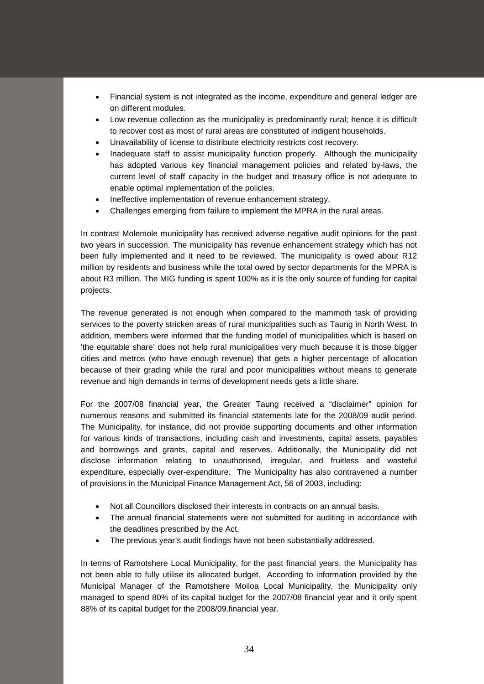- Financial system is not integrated as the income, expenditure and general ledger are on different modules.
- Low revenue collection as the municipality is predominantly rural; hence it is difficult to recover cost as most of rural areas are constituted of indigent households.
- Unavailability of license to distribute electricity restricts cost recovery.
- Inadequate staff to assist municipality function properly. Although the municipality has adopted various key financial management policies and related by-laws, the current level of staff capacity in the budget and treasury office is not adequate to enable optimal implementation of the policies.
- Ineffective implementation of revenue enhancement strategy.
- Challenges emerging from failure to implement the MPRA in the rural areas.

In contrast Molemole municipality has received adverse negative audit opinions for the past two years in succession. The municipality has revenue enhancement strategy which has not been fully implemented and it need to be reviewed. The municipality is owed about R12 million by residents and business while the total owed by sector departments for the MPRA is about R3 million. The MIG funding is spent 100% as it is the only source of funding for capital projects.

The revenue generated is not enough when compared to the mammoth task of providing services to the poverty stricken areas of rural municipalities such as Taung in North West. In addition, members were informed that the funding model of municipalities which is based on 'the equitable share' does not help rural municipalities very much because it is those bigger cities and metros (who have enough revenue) that gets a higher percentage of allocation because of their grading while the rural and poor municipalities without means to generate revenue and high demands in terms of development needs gets a little share.

For the 2007/08 financial year, the Greater Taung received a "disclaimer" opinion for numerous reasons and submitted its financial statements late for the 2008/09 audit period. The Municipality, for instance, did not provide supporting documents and other information for various kinds of transactions, including cash and investments, capital assets, payables and borrowings and grants, capital and reserves. Additionally, the Municipality did not disclose information relating to unauthorised, irregular, and fruitless and wasteful expenditure, especially over-expenditure. The Municipality has also contravened a number of provisions in the Municipal Finance Management Act, 56 of 2003, including:

- Not all Councillors disclosed their interests in contracts on an annual basis.
- The annual financial statements were not submitted for auditing in accordance with the deadlines prescribed by the Act.
- The previous year's audit findings have not been substantially addressed.

In terms of Ramotshere Local Municipality, for the past financial years, the Municipality has not been able to fully utilise its allocated budget. According to information provided by the Municipal Manager of the Ramotshere Moiloa Local Municipality, the Municipality only managed to spend 80% of its capital budget for the 2007/08 financial year and it only spent 88% of its capital budget for the 2008/09.financial year.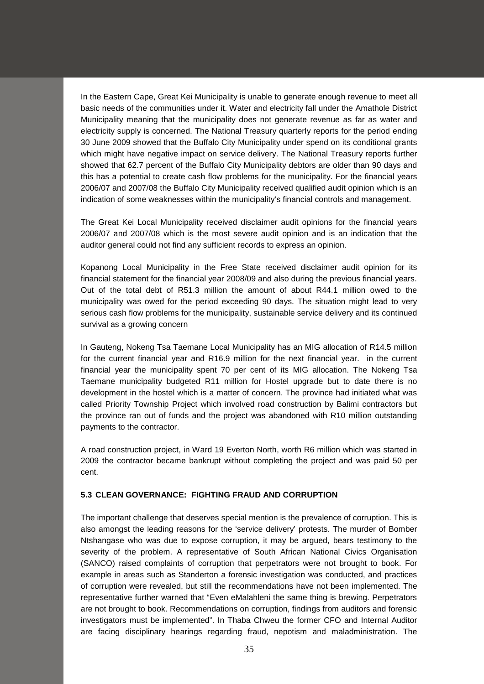In the Eastern Cape, Great Kei Municipality is unable to generate enough revenue to meet all basic needs of the communities under it. Water and electricity fall under the Amathole District Municipality meaning that the municipality does not generate revenue as far as water and electricity supply is concerned. The National Treasury quarterly reports for the period ending 30 June 2009 showed that the Buffalo City Municipality under spend on its conditional grants which might have negative impact on service delivery. The National Treasury reports further showed that 62.7 percent of the Buffalo City Municipality debtors are older than 90 days and this has a potential to create cash flow problems for the municipality. For the financial years 2006/07 and 2007/08 the Buffalo City Municipality received qualified audit opinion which is an indication of some weaknesses within the municipality's financial controls and management.

The Great Kei Local Municipality received disclaimer audit opinions for the financial years 2006/07 and 2007/08 which is the most severe audit opinion and is an indication that the auditor general could not find any sufficient records to express an opinion.

Kopanong Local Municipality in the Free State received disclaimer audit opinion for its financial statement for the financial year 2008/09 and also during the previous financial years. Out of the total debt of R51.3 million the amount of about R44.1 million owed to the municipality was owed for the period exceeding 90 days. The situation might lead to very serious cash flow problems for the municipality, sustainable service delivery and its continued survival as a growing concern

In Gauteng, Nokeng Tsa Taemane Local Municipality has an MIG allocation of R14.5 million for the current financial year and R16.9 million for the next financial year. in the current financial year the municipality spent 70 per cent of its MIG allocation. The Nokeng Tsa Taemane municipality budgeted R11 million for Hostel upgrade but to date there is no development in the hostel which is a matter of concern. The province had initiated what was called Priority Township Project which involved road construction by Balimi contractors but the province ran out of funds and the project was abandoned with R10 million outstanding payments to the contractor.

A road construction project, in Ward 19 Everton North, worth R6 million which was started in 2009 the contractor became bankrupt without completing the project and was paid 50 per cent.

# **5.3 CLEAN GOVERNANCE: FIGHTING FRAUD AND CORRUPTION**

The important challenge that deserves special mention is the prevalence of corruption. This is also amongst the leading reasons for the 'service delivery' protests. The murder of Bomber Ntshangase who was due to expose corruption, it may be argued, bears testimony to the severity of the problem. A representative of South African National Civics Organisation (SANCO) raised complaints of corruption that perpetrators were not brought to book. For example in areas such as Standerton a forensic investigation was conducted, and practices of corruption were revealed, but still the recommendations have not been implemented. The representative further warned that "Even eMalahleni the same thing is brewing. Perpetrators are not brought to book. Recommendations on corruption, findings from auditors and forensic investigators must be implemented". In Thaba Chweu the former CFO and Internal Auditor are facing disciplinary hearings regarding fraud, nepotism and maladministration. The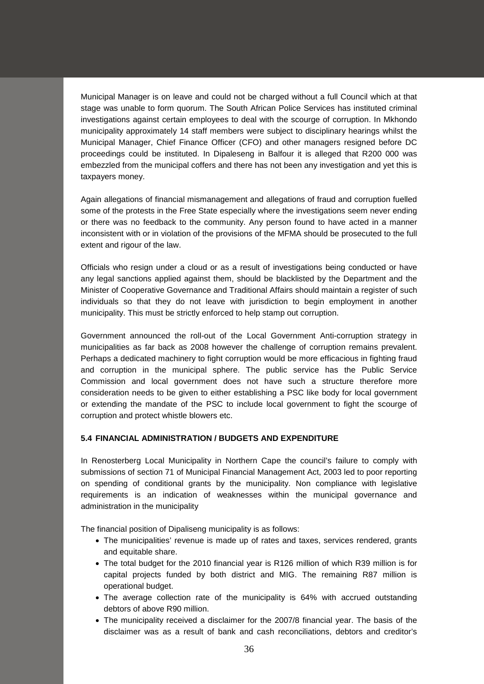Municipal Manager is on leave and could not be charged without a full Council which at that stage was unable to form quorum. The South African Police Services has instituted criminal investigations against certain employees to deal with the scourge of corruption. In Mkhondo municipality approximately 14 staff members were subject to disciplinary hearings whilst the Municipal Manager, Chief Finance Officer (CFO) and other managers resigned before DC proceedings could be instituted. In Dipaleseng in Balfour it is alleged that R200 000 was embezzled from the municipal coffers and there has not been any investigation and yet this is taxpayers money.

Again allegations of financial mismanagement and allegations of fraud and corruption fuelled some of the protests in the Free State especially where the investigations seem never ending or there was no feedback to the community. Any person found to have acted in a manner inconsistent with or in violation of the provisions of the MFMA should be prosecuted to the full extent and rigour of the law.

Officials who resign under a cloud or as a result of investigations being conducted or have any legal sanctions applied against them, should be blacklisted by the Department and the Minister of Cooperative Governance and Traditional Affairs should maintain a register of such individuals so that they do not leave with jurisdiction to begin employment in another municipality. This must be strictly enforced to help stamp out corruption.

Government announced the roll-out of the Local Government Anti-corruption strategy in municipalities as far back as 2008 however the challenge of corruption remains prevalent. Perhaps a dedicated machinery to fight corruption would be more efficacious in fighting fraud and corruption in the municipal sphere. The public service has the Public Service Commission and local government does not have such a structure therefore more consideration needs to be given to either establishing a PSC like body for local government or extending the mandate of the PSC to include local government to fight the scourge of corruption and protect whistle blowers etc.

#### **5.4 FINANCIAL ADMINISTRATION / BUDGETS AND EXPENDITURE**

In Renosterberg Local Municipality in Northern Cape the council's failure to comply with submissions of section 71 of Municipal Financial Management Act, 2003 led to poor reporting on spending of conditional grants by the municipality. Non compliance with legislative requirements is an indication of weaknesses within the municipal governance and administration in the municipality

The financial position of Dipaliseng municipality is as follows:

- The municipalities' revenue is made up of rates and taxes, services rendered, grants and equitable share.
- The total budget for the 2010 financial year is R126 million of which R39 million is for capital projects funded by both district and MIG. The remaining R87 million is operational budget.
- The average collection rate of the municipality is 64% with accrued outstanding debtors of above R90 million.
- The municipality received a disclaimer for the 2007/8 financial year. The basis of the disclaimer was as a result of bank and cash reconciliations, debtors and creditor's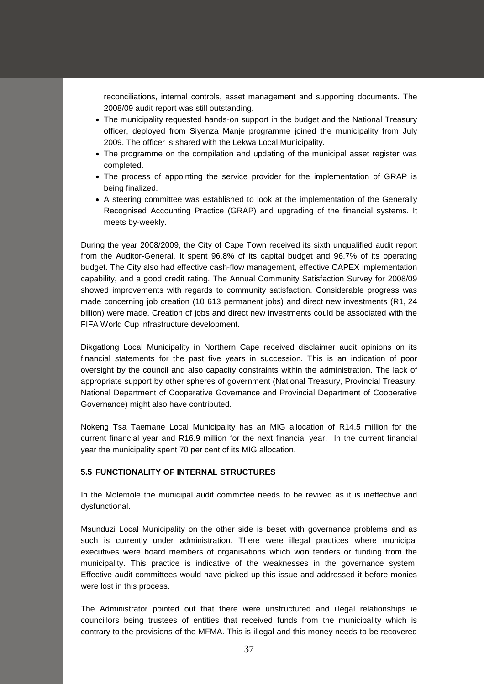reconciliations, internal controls, asset management and supporting documents. The 2008/09 audit report was still outstanding.

- The municipality requested hands-on support in the budget and the National Treasury officer, deployed from Siyenza Manje programme joined the municipality from July 2009. The officer is shared with the Lekwa Local Municipality.
- The programme on the compilation and updating of the municipal asset register was completed.
- The process of appointing the service provider for the implementation of GRAP is being finalized.
- A steering committee was established to look at the implementation of the Generally Recognised Accounting Practice (GRAP) and upgrading of the financial systems. It meets by-weekly.

During the year 2008/2009, the City of Cape Town received its sixth unqualified audit report from the Auditor-General. It spent 96.8% of its capital budget and 96.7% of its operating budget. The City also had effective cash-flow management, effective CAPEX implementation capability, and a good credit rating. The Annual Community Satisfaction Survey for 2008/09 showed improvements with regards to community satisfaction. Considerable progress was made concerning job creation (10 613 permanent jobs) and direct new investments (R1, 24 billion) were made. Creation of jobs and direct new investments could be associated with the FIFA World Cup infrastructure development.

Dikgatlong Local Municipality in Northern Cape received disclaimer audit opinions on its financial statements for the past five years in succession. This is an indication of poor oversight by the council and also capacity constraints within the administration. The lack of appropriate support by other spheres of government (National Treasury, Provincial Treasury, National Department of Cooperative Governance and Provincial Department of Cooperative Governance) might also have contributed.

Nokeng Tsa Taemane Local Municipality has an MIG allocation of R14.5 million for the current financial year and R16.9 million for the next financial year. In the current financial year the municipality spent 70 per cent of its MIG allocation.

#### **5.5 FUNCTIONALITY OF INTERNAL STRUCTURES**

In the Molemole the municipal audit committee needs to be revived as it is ineffective and dysfunctional.

Msunduzi Local Municipality on the other side is beset with governance problems and as such is currently under administration. There were illegal practices where municipal executives were board members of organisations which won tenders or funding from the municipality. This practice is indicative of the weaknesses in the governance system. Effective audit committees would have picked up this issue and addressed it before monies were lost in this process.

The Administrator pointed out that there were unstructured and illegal relationships ie councillors being trustees of entities that received funds from the municipality which is contrary to the provisions of the MFMA. This is illegal and this money needs to be recovered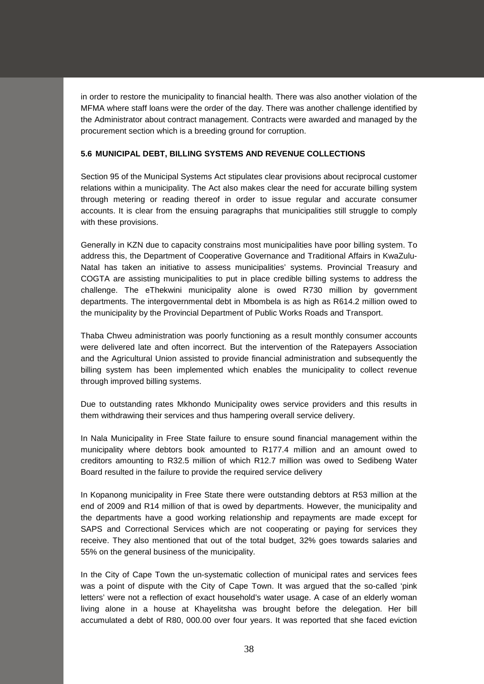in order to restore the municipality to financial health. There was also another violation of the MFMA where staff loans were the order of the day. There was another challenge identified by the Administrator about contract management. Contracts were awarded and managed by the procurement section which is a breeding ground for corruption.

# **5.6 MUNICIPAL DEBT, BILLING SYSTEMS AND REVENUE COLLECTIONS**

Section 95 of the Municipal Systems Act stipulates clear provisions about reciprocal customer relations within a municipality. The Act also makes clear the need for accurate billing system through metering or reading thereof in order to issue regular and accurate consumer accounts. It is clear from the ensuing paragraphs that municipalities still struggle to comply with these provisions.

Generally in KZN due to capacity constrains most municipalities have poor billing system. To address this, the Department of Cooperative Governance and Traditional Affairs in KwaZulu-Natal has taken an initiative to assess municipalities' systems. Provincial Treasury and COGTA are assisting municipalities to put in place credible billing systems to address the challenge. The eThekwini municipality alone is owed R730 million by government departments. The intergovernmental debt in Mbombela is as high as R614.2 million owed to the municipality by the Provincial Department of Public Works Roads and Transport.

Thaba Chweu administration was poorly functioning as a result monthly consumer accounts were delivered late and often incorrect. But the intervention of the Ratepayers Association and the Agricultural Union assisted to provide financial administration and subsequently the billing system has been implemented which enables the municipality to collect revenue through improved billing systems.

Due to outstanding rates Mkhondo Municipality owes service providers and this results in them withdrawing their services and thus hampering overall service delivery.

In Nala Municipality in Free State failure to ensure sound financial management within the municipality where debtors book amounted to R177.4 million and an amount owed to creditors amounting to R32.5 million of which R12.7 million was owed to Sedibeng Water Board resulted in the failure to provide the required service delivery

In Kopanong municipality in Free State there were outstanding debtors at R53 million at the end of 2009 and R14 million of that is owed by departments. However, the municipality and the departments have a good working relationship and repayments are made except for SAPS and Correctional Services which are not cooperating or paying for services they receive. They also mentioned that out of the total budget, 32% goes towards salaries and 55% on the general business of the municipality.

In the City of Cape Town the un-systematic collection of municipal rates and services fees was a point of dispute with the City of Cape Town. It was argued that the so-called 'pink letters' were not a reflection of exact household's water usage. A case of an elderly woman living alone in a house at Khayelitsha was brought before the delegation. Her bill accumulated a debt of R80, 000.00 over four years. It was reported that she faced eviction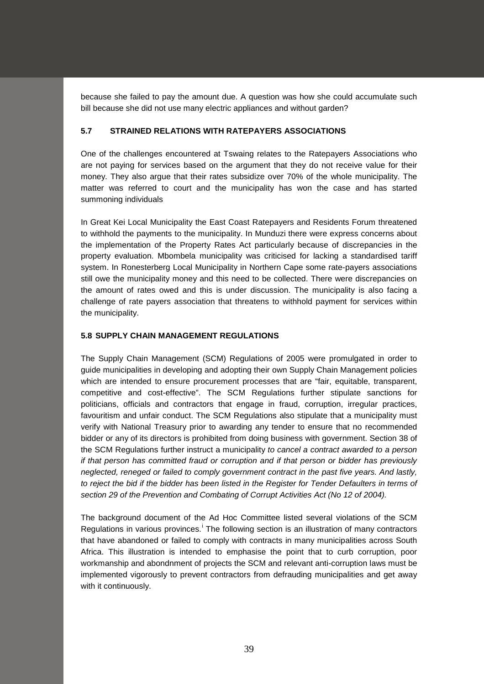because she failed to pay the amount due. A question was how she could accumulate such bill because she did not use many electric appliances and without garden?

# **5.7 STRAINED RELATIONS WITH RATEPAYERS ASSOCIATIONS**

One of the challenges encountered at Tswaing relates to the Ratepayers Associations who are not paying for services based on the argument that they do not receive value for their money. They also argue that their rates subsidize over 70% of the whole municipality. The matter was referred to court and the municipality has won the case and has started summoning individuals

In Great Kei Local Municipality the East Coast Ratepayers and Residents Forum threatened to withhold the payments to the municipality. In Munduzi there were express concerns about the implementation of the Property Rates Act particularly because of discrepancies in the property evaluation. Mbombela municipality was criticised for lacking a standardised tariff system. In Ronesterberg Local Municipality in Northern Cape some rate-payers associations still owe the municipality money and this need to be collected. There were discrepancies on the amount of rates owed and this is under discussion. The municipality is also facing a challenge of rate payers association that threatens to withhold payment for services within the municipality.

# **5.8 SUPPLY CHAIN MANAGEMENT REGULATIONS**

The Supply Chain Management (SCM) Regulations of 2005 were promulgated in order to guide municipalities in developing and adopting their own Supply Chain Management policies which are intended to ensure procurement processes that are "fair, equitable, transparent, competitive and cost-effective". The SCM Regulations further stipulate sanctions for politicians, officials and contractors that engage in fraud, corruption, irregular practices, favouritism and unfair conduct. The SCM Regulations also stipulate that a municipality must verify with National Treasury prior to awarding any tender to ensure that no recommended bidder or any of its directors is prohibited from doing business with government. Section 38 of the SCM Regulations further instruct a municipality *to cancel a contract awarded to a person if that person has committed fraud or corruption and if that person or bidder has previously neglected, reneged or failed to comply government contract in the past five years. And lastly,* to reject the bid if the bidder has been listed in the Register for Tender Defaulters in terms of *section 29 of the Prevention and Combating of Corrupt Activities Act (No 12 of 2004).* 

The background document of the Ad Hoc Committee listed several violations of the SCM Regulat[i](#page-70-0)ons in various provinces.<sup>i</sup> The following section is an illustration of many contractors that have abandoned or failed to comply with contracts in many municipalities across South Africa. This illustration is intended to emphasise the point that to curb corruption, poor workmanship and abondnment of projects the SCM and relevant anti-corruption laws must be implemented vigorously to prevent contractors from defrauding municipalities and get away with it continuously.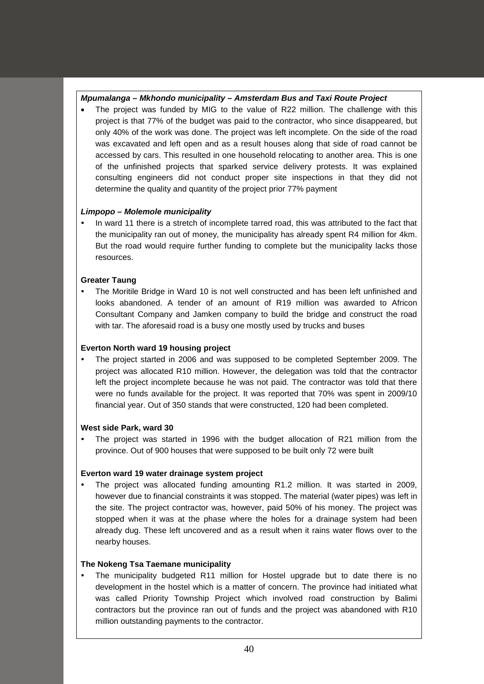# *Mpumalanga – Mkhondo municipality – Amsterdam Bus and Taxi Route Project*

The project was funded by MIG to the value of R22 million. The challenge with this project is that 77% of the budget was paid to the contractor, who since disappeared, but only 40% of the work was done. The project was left incomplete. On the side of the road was excavated and left open and as a result houses along that side of road cannot be accessed by cars. This resulted in one household relocating to another area. This is one of the unfinished projects that sparked service delivery protests. It was explained consulting engineers did not conduct proper site inspections in that they did not determine the quality and quantity of the project prior 77% payment

# *Limpopo – Molemole municipality*

 In ward 11 there is a stretch of incomplete tarred road, this was attributed to the fact that the municipality ran out of money, the municipality has already spent R4 million for 4km. But the road would require further funding to complete but the municipality lacks those resources.

# **Greater Taung**

 The Moritile Bridge in Ward 10 is not well constructed and has been left unfinished and looks abandoned. A tender of an amount of R19 million was awarded to Africon Consultant Company and Jamken company to build the bridge and construct the road with tar. The aforesaid road is a busy one mostly used by trucks and buses

# **Everton North ward 19 housing project**

 The project started in 2006 and was supposed to be completed September 2009. The project was allocated R10 million. However, the delegation was told that the contractor left the project incomplete because he was not paid. The contractor was told that there were no funds available for the project. It was reported that 70% was spent in 2009/10 financial year. Out of 350 stands that were constructed, 120 had been completed.

# **West side Park, ward 30**

 The project was started in 1996 with the budget allocation of R21 million from the province. Out of 900 houses that were supposed to be built only 72 were built

# **Everton ward 19 water drainage system project**

 The project was allocated funding amounting R1.2 million. It was started in 2009, however due to financial constraints it was stopped. The material (water pipes) was left in the site. The project contractor was, however, paid 50% of his money. The project was stopped when it was at the phase where the holes for a drainage system had been already dug. These left uncovered and as a result when it rains water flows over to the nearby houses.

# **The Nokeng Tsa Taemane municipality**

 The municipality budgeted R11 million for Hostel upgrade but to date there is no development in the hostel which is a matter of concern. The province had initiated what was called Priority Township Project which involved road construction by Balimi contractors but the province ran out of funds and the project was abandoned with R10 million outstanding payments to the contractor.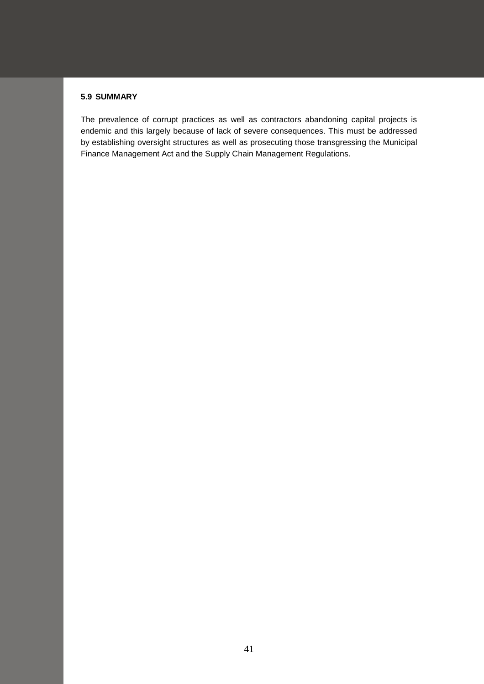# **5.9 SUMMARY**

The prevalence of corrupt practices as well as contractors abandoning capital projects is endemic and this largely because of lack of severe consequences. This must be addressed by establishing oversight structures as well as prosecuting those transgressing the Municipal Finance Management Act and the Supply Chain Management Regulations.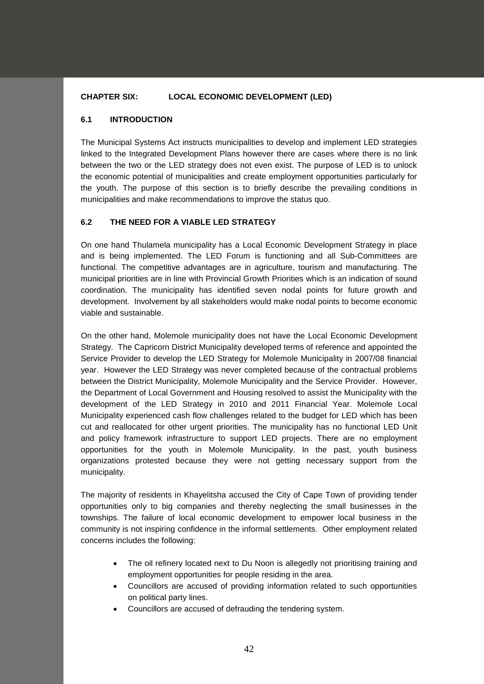# **CHAPTER SIX: LOCAL ECONOMIC DEVELOPMENT (LED)**

### **6.1 INTRODUCTION**

The Municipal Systems Act instructs municipalities to develop and implement LED strategies linked to the Integrated Development Plans however there are cases where there is no link between the two or the LED strategy does not even exist. The purpose of LED is to unlock the economic potential of municipalities and create employment opportunities particularly for the youth. The purpose of this section is to briefly describe the prevailing conditions in municipalities and make recommendations to improve the status quo.

### **6.2 THE NEED FOR A VIABLE LED STRATEGY**

On one hand Thulamela municipality has a Local Economic Development Strategy in place and is being implemented. The LED Forum is functioning and all Sub-Committees are functional. The competitive advantages are in agriculture, tourism and manufacturing. The municipal priorities are in line with Provincial Growth Priorities which is an indication of sound coordination. The municipality has identified seven nodal points for future growth and development. Involvement by all stakeholders would make nodal points to become economic viable and sustainable.

On the other hand, Molemole municipality does not have the Local Economic Development Strategy. The Capricorn District Municipality developed terms of reference and appointed the Service Provider to develop the LED Strategy for Molemole Municipality in 2007/08 financial year. However the LED Strategy was never completed because of the contractual problems between the District Municipality, Molemole Municipality and the Service Provider. However, the Department of Local Government and Housing resolved to assist the Municipality with the development of the LED Strategy in 2010 and 2011 Financial Year. Molemole Local Municipality experienced cash flow challenges related to the budget for LED which has been cut and reallocated for other urgent priorities. The municipality has no functional LED Unit and policy framework infrastructure to support LED projects. There are no employment opportunities for the youth in Molemole Municipality. In the past, youth business organizations protested because they were not getting necessary support from the municipality.

The majority of residents in Khayelitsha accused the City of Cape Town of providing tender opportunities only to big companies and thereby neglecting the small businesses in the townships. The failure of local economic development to empower local business in the community is not inspiring confidence in the informal settlements. Other employment related concerns includes the following:

- The oil refinery located next to Du Noon is allegedly not prioritising training and employment opportunities for people residing in the area.
- Councillors are accused of providing information related to such opportunities on political party lines.
- Councillors are accused of defrauding the tendering system.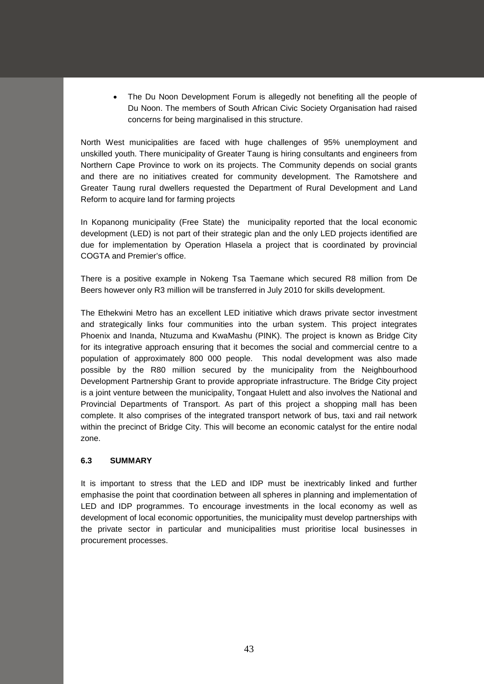• The Du Noon Development Forum is allegedly not benefiting all the people of Du Noon. The members of South African Civic Society Organisation had raised concerns for being marginalised in this structure.

North West municipalities are faced with huge challenges of 95% unemployment and unskilled youth. There municipality of Greater Taung is hiring consultants and engineers from Northern Cape Province to work on its projects. The Community depends on social grants and there are no initiatives created for community development. The Ramotshere and Greater Taung rural dwellers requested the Department of Rural Development and Land Reform to acquire land for farming projects

In Kopanong municipality (Free State) the municipality reported that the local economic development (LED) is not part of their strategic plan and the only LED projects identified are due for implementation by Operation Hlasela a project that is coordinated by provincial COGTA and Premier's office.

There is a positive example in Nokeng Tsa Taemane which secured R8 million from De Beers however only R3 million will be transferred in July 2010 for skills development.

The Ethekwini Metro has an excellent LED initiative which draws private sector investment and strategically links four communities into the urban system. This project integrates Phoenix and Inanda, Ntuzuma and KwaMashu (PINK). The project is known as Bridge City for its integrative approach ensuring that it becomes the social and commercial centre to a population of approximately 800 000 people. This nodal development was also made possible by the R80 million secured by the municipality from the Neighbourhood Development Partnership Grant to provide appropriate infrastructure. The Bridge City project is a joint venture between the municipality, Tongaat Hulett and also involves the National and Provincial Departments of Transport. As part of this project a shopping mall has been complete. It also comprises of the integrated transport network of bus, taxi and rail network within the precinct of Bridge City. This will become an economic catalyst for the entire nodal zone.

# **6.3 SUMMARY**

It is important to stress that the LED and IDP must be inextricably linked and further emphasise the point that coordination between all spheres in planning and implementation of LED and IDP programmes. To encourage investments in the local economy as well as development of local economic opportunities, the municipality must develop partnerships with the private sector in particular and municipalities must prioritise local businesses in procurement processes.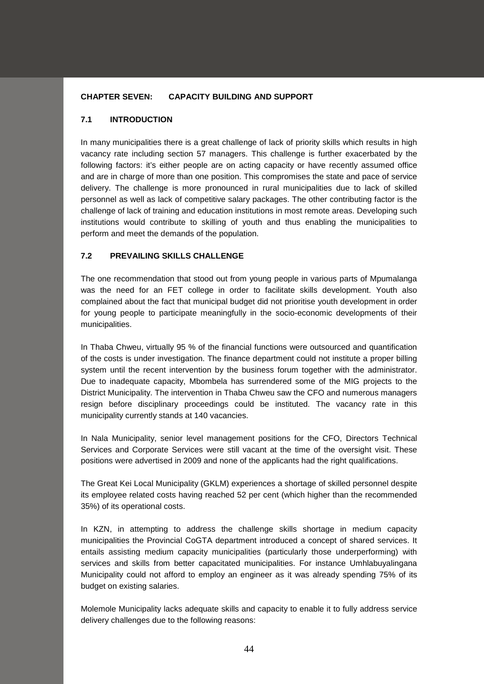# **CHAPTER SEVEN: CAPACITY BUILDING AND SUPPORT**

### **7.1 INTRODUCTION**

In many municipalities there is a great challenge of lack of priority skills which results in high vacancy rate including section 57 managers. This challenge is further exacerbated by the following factors: it's either people are on acting capacity or have recently assumed office and are in charge of more than one position. This compromises the state and pace of service delivery. The challenge is more pronounced in rural municipalities due to lack of skilled personnel as well as lack of competitive salary packages. The other contributing factor is the challenge of lack of training and education institutions in most remote areas. Developing such institutions would contribute to skilling of youth and thus enabling the municipalities to perform and meet the demands of the population.

# **7.2 PREVAILING SKILLS CHALLENGE**

The one recommendation that stood out from young people in various parts of Mpumalanga was the need for an FET college in order to facilitate skills development. Youth also complained about the fact that municipal budget did not prioritise youth development in order for young people to participate meaningfully in the socio-economic developments of their municipalities.

In Thaba Chweu, virtually 95 % of the financial functions were outsourced and quantification of the costs is under investigation. The finance department could not institute a proper billing system until the recent intervention by the business forum together with the administrator. Due to inadequate capacity, Mbombela has surrendered some of the MIG projects to the District Municipality. The intervention in Thaba Chweu saw the CFO and numerous managers resign before disciplinary proceedings could be instituted. The vacancy rate in this municipality currently stands at 140 vacancies.

In Nala Municipality, senior level management positions for the CFO, Directors Technical Services and Corporate Services were still vacant at the time of the oversight visit. These positions were advertised in 2009 and none of the applicants had the right qualifications.

The Great Kei Local Municipality (GKLM) experiences a shortage of skilled personnel despite its employee related costs having reached 52 per cent (which higher than the recommended 35%) of its operational costs.

In KZN, in attempting to address the challenge skills shortage in medium capacity municipalities the Provincial CoGTA department introduced a concept of shared services. It entails assisting medium capacity municipalities (particularly those underperforming) with services and skills from better capacitated municipalities. For instance Umhlabuyalingana Municipality could not afford to employ an engineer as it was already spending 75% of its budget on existing salaries.

Molemole Municipality lacks adequate skills and capacity to enable it to fully address service delivery challenges due to the following reasons: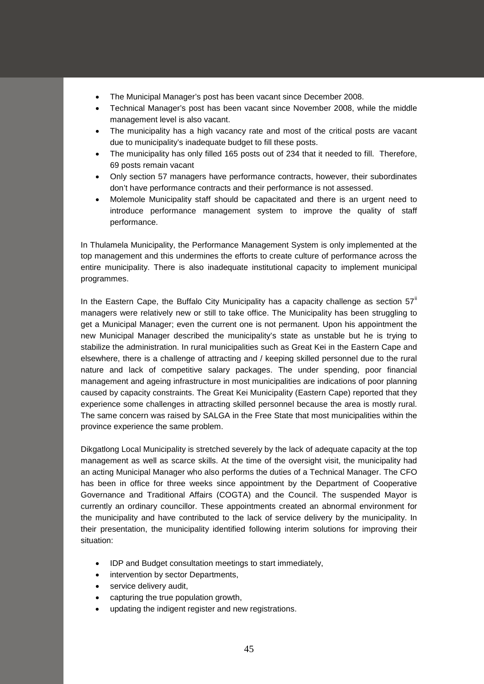- The Municipal Manager's post has been vacant since December 2008.
- Technical Manager's post has been vacant since November 2008, while the middle management level is also vacant.
- The municipality has a high vacancy rate and most of the critical posts are vacant due to municipality's inadequate budget to fill these posts.
- The municipality has only filled 165 posts out of 234 that it needed to fill. Therefore, 69 posts remain vacant
- Only section 57 managers have performance contracts, however, their subordinates don't have performance contracts and their performance is not assessed.
- Molemole Municipality staff should be capacitated and there is an urgent need to introduce performance management system to improve the quality of staff performance.

In Thulamela Municipality, the Performance Management System is only implemented at the top management and this undermines the efforts to create culture of performance across the entire municipality. There is also inadequate institutional capacity to implement municipal programmes.

In the Eastern Cape, the Buffalo City Municipality has a capacity challenge as section  $57^{\text{ii}}$  $57^{\text{ii}}$  $57^{\text{ii}}$ managers were relatively new or still to take office. The Municipality has been struggling to get a Municipal Manager; even the current one is not permanent. Upon his appointment the new Municipal Manager described the municipality's state as unstable but he is trying to stabilize the administration. In rural municipalities such as Great Kei in the Eastern Cape and elsewhere, there is a challenge of attracting and / keeping skilled personnel due to the rural nature and lack of competitive salary packages. The under spending, poor financial management and ageing infrastructure in most municipalities are indications of poor planning caused by capacity constraints. The Great Kei Municipality (Eastern Cape) reported that they experience some challenges in attracting skilled personnel because the area is mostly rural. The same concern was raised by SALGA in the Free State that most municipalities within the province experience the same problem.

Dikgatlong Local Municipality is stretched severely by the lack of adequate capacity at the top management as well as scarce skills. At the time of the oversight visit, the municipality had an acting Municipal Manager who also performs the duties of a Technical Manager. The CFO has been in office for three weeks since appointment by the Department of Cooperative Governance and Traditional Affairs (COGTA) and the Council. The suspended Mayor is currently an ordinary councillor. These appointments created an abnormal environment for the municipality and have contributed to the lack of service delivery by the municipality. In their presentation, the municipality identified following interim solutions for improving their situation:

- IDP and Budget consultation meetings to start immediately,
- intervention by sector Departments,
- service delivery audit.
- capturing the true population growth,
- updating the indigent register and new registrations.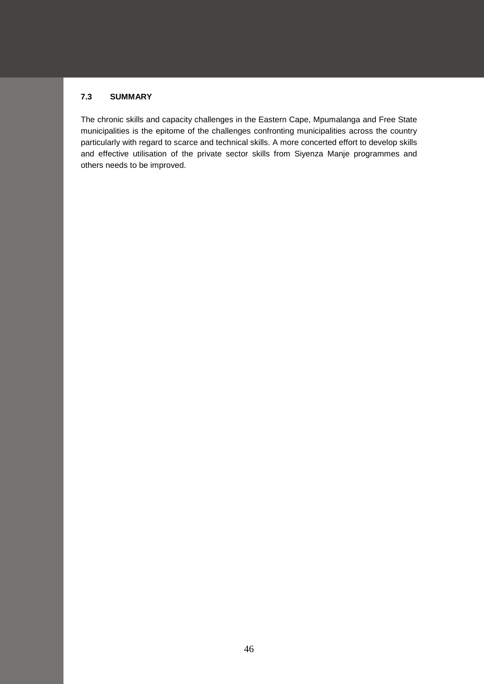# **7.3 SUMMARY**

The chronic skills and capacity challenges in the Eastern Cape, Mpumalanga and Free State municipalities is the epitome of the challenges confronting municipalities across the country particularly with regard to scarce and technical skills. A more concerted effort to develop skills and effective utilisation of the private sector skills from Siyenza Manje programmes and others needs to be improved.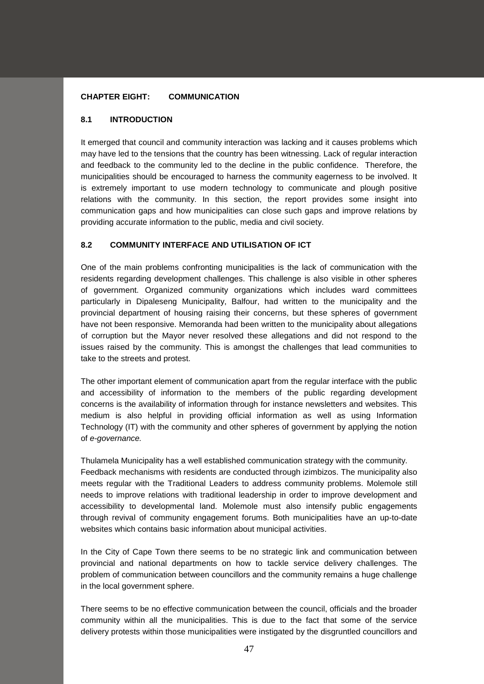### **CHAPTER EIGHT: COMMUNICATION**

### **8.1 INTRODUCTION**

It emerged that council and community interaction was lacking and it causes problems which may have led to the tensions that the country has been witnessing. Lack of regular interaction and feedback to the community led to the decline in the public confidence. Therefore, the municipalities should be encouraged to harness the community eagerness to be involved. It is extremely important to use modern technology to communicate and plough positive relations with the community. In this section, the report provides some insight into communication gaps and how municipalities can close such gaps and improve relations by providing accurate information to the public, media and civil society.

# **8.2 COMMUNITY INTERFACE AND UTILISATION OF ICT**

One of the main problems confronting municipalities is the lack of communication with the residents regarding development challenges. This challenge is also visible in other spheres of government. Organized community organizations which includes ward committees particularly in Dipaleseng Municipality, Balfour, had written to the municipality and the provincial department of housing raising their concerns, but these spheres of government have not been responsive. Memoranda had been written to the municipality about allegations of corruption but the Mayor never resolved these allegations and did not respond to the issues raised by the community. This is amongst the challenges that lead communities to take to the streets and protest.

The other important element of communication apart from the regular interface with the public and accessibility of information to the members of the public regarding development concerns is the availability of information through for instance newsletters and websites. This medium is also helpful in providing official information as well as using Information Technology (IT) with the community and other spheres of government by applying the notion of *e-governance.*

Thulamela Municipality has a well established communication strategy with the community. Feedback mechanisms with residents are conducted through izimbizos. The municipality also meets regular with the Traditional Leaders to address community problems. Molemole still needs to improve relations with traditional leadership in order to improve development and accessibility to developmental land. Molemole must also intensify public engagements through revival of community engagement forums. Both municipalities have an up-to-date websites which contains basic information about municipal activities.

In the City of Cape Town there seems to be no strategic link and communication between provincial and national departments on how to tackle service delivery challenges. The problem of communication between councillors and the community remains a huge challenge in the local government sphere.

There seems to be no effective communication between the council, officials and the broader community within all the municipalities. This is due to the fact that some of the service delivery protests within those municipalities were instigated by the disgruntled councillors and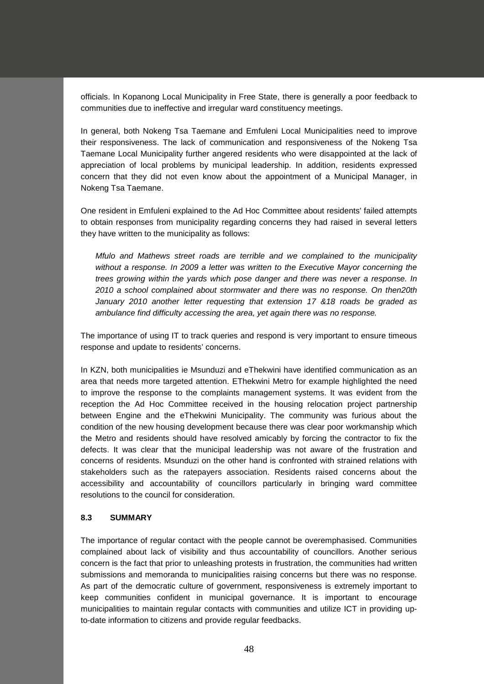officials. In Kopanong Local Municipality in Free State, there is generally a poor feedback to communities due to ineffective and irregular ward constituency meetings.

In general, both Nokeng Tsa Taemane and Emfuleni Local Municipalities need to improve their responsiveness. The lack of communication and responsiveness of the Nokeng Tsa Taemane Local Municipality further angered residents who were disappointed at the lack of appreciation of local problems by municipal leadership. In addition, residents expressed concern that they did not even know about the appointment of a Municipal Manager, in Nokeng Tsa Taemane.

One resident in Emfuleni explained to the Ad Hoc Committee about residents' failed attempts to obtain responses from municipality regarding concerns they had raised in several letters they have written to the municipality as follows:

*Mfulo and Mathews street roads are terrible and we complained to the municipality without a response. In 2009 a letter was written to the Executive Mayor concerning the trees growing within the yards which pose danger and there was never a response. In 2010 a school complained about stormwater and there was no response. On then20th January 2010 another letter requesting that extension 17 &18 roads be graded as ambulance find difficulty accessing the area, yet again there was no response.*

The importance of using IT to track queries and respond is very important to ensure timeous response and update to residents' concerns.

In KZN, both municipalities ie Msunduzi and eThekwini have identified communication as an area that needs more targeted attention. EThekwini Metro for example highlighted the need to improve the response to the complaints management systems. It was evident from the reception the Ad Hoc Committee received in the housing relocation project partnership between Engine and the eThekwini Municipality. The community was furious about the condition of the new housing development because there was clear poor workmanship which the Metro and residents should have resolved amicably by forcing the contractor to fix the defects. It was clear that the municipal leadership was not aware of the frustration and concerns of residents. Msunduzi on the other hand is confronted with strained relations with stakeholders such as the ratepayers association. Residents raised concerns about the accessibility and accountability of councillors particularly in bringing ward committee resolutions to the council for consideration.

#### **8.3 SUMMARY**

The importance of regular contact with the people cannot be overemphasised. Communities complained about lack of visibility and thus accountability of councillors. Another serious concern is the fact that prior to unleashing protests in frustration, the communities had written submissions and memoranda to municipalities raising concerns but there was no response. As part of the democratic culture of government, responsiveness is extremely important to keep communities confident in municipal governance. It is important to encourage municipalities to maintain regular contacts with communities and utilize ICT in providing upto-date information to citizens and provide regular feedbacks.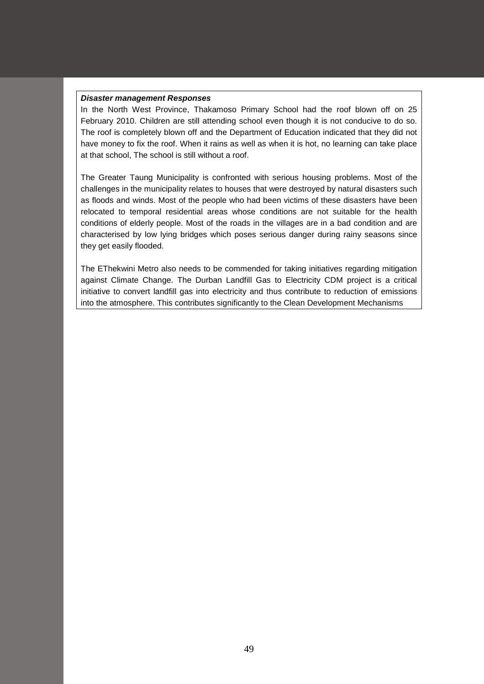#### *Disaster management Responses*

In the North West Province, Thakamoso Primary School had the roof blown off on 25 February 2010. Children are still attending school even though it is not conducive to do so. The roof is completely blown off and the Department of Education indicated that they did not have money to fix the roof. When it rains as well as when it is hot, no learning can take place at that school, The school is still without a roof.

The Greater Taung Municipality is confronted with serious housing problems. Most of the challenges in the municipality relates to houses that were destroyed by natural disasters such as floods and winds. Most of the people who had been victims of these disasters have been relocated to temporal residential areas whose conditions are not suitable for the health conditions of elderly people. Most of the roads in the villages are in a bad condition and are characterised by low lying bridges which poses serious danger during rainy seasons since they get easily flooded.

The EThekwini Metro also needs to be commended for taking initiatives regarding mitigation against Climate Change. The Durban Landfill Gas to Electricity CDM project is a critical initiative to convert landfill gas into electricity and thus contribute to reduction of emissions into the atmosphere. This contributes significantly to the Clean Development Mechanisms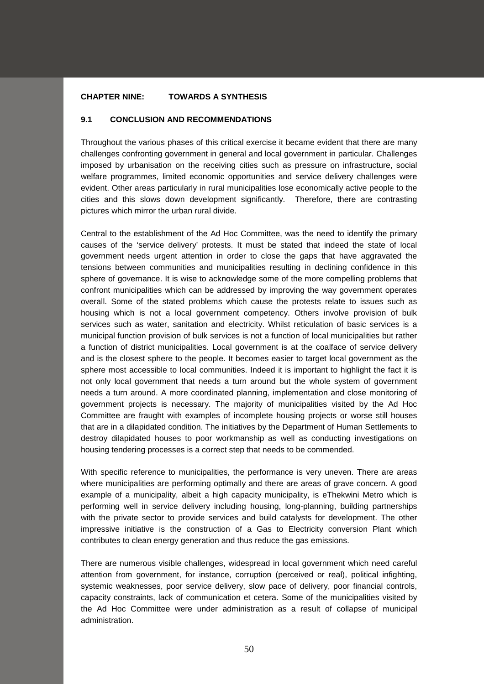### **CHAPTER NINE: TOWARDS A SYNTHESIS**

### **9.1 CONCLUSION AND RECOMMENDATIONS**

Throughout the various phases of this critical exercise it became evident that there are many challenges confronting government in general and local government in particular. Challenges imposed by urbanisation on the receiving cities such as pressure on infrastructure, social welfare programmes, limited economic opportunities and service delivery challenges were evident. Other areas particularly in rural municipalities lose economically active people to the cities and this slows down development significantly. Therefore, there are contrasting pictures which mirror the urban rural divide.

Central to the establishment of the Ad Hoc Committee, was the need to identify the primary causes of the 'service delivery' protests. It must be stated that indeed the state of local government needs urgent attention in order to close the gaps that have aggravated the tensions between communities and municipalities resulting in declining confidence in this sphere of governance. It is wise to acknowledge some of the more compelling problems that confront municipalities which can be addressed by improving the way government operates overall. Some of the stated problems which cause the protests relate to issues such as housing which is not a local government competency. Others involve provision of bulk services such as water, sanitation and electricity. Whilst reticulation of basic services is a municipal function provision of bulk services is not a function of local municipalities but rather a function of district municipalities. Local government is at the coalface of service delivery and is the closest sphere to the people. It becomes easier to target local government as the sphere most accessible to local communities. Indeed it is important to highlight the fact it is not only local government that needs a turn around but the whole system of government needs a turn around. A more coordinated planning, implementation and close monitoring of government projects is necessary. The majority of municipalities visited by the Ad Hoc Committee are fraught with examples of incomplete housing projects or worse still houses that are in a dilapidated condition. The initiatives by the Department of Human Settlements to destroy dilapidated houses to poor workmanship as well as conducting investigations on housing tendering processes is a correct step that needs to be commended.

With specific reference to municipalities, the performance is very uneven. There are areas where municipalities are performing optimally and there are areas of grave concern. A good example of a municipality, albeit a high capacity municipality, is eThekwini Metro which is performing well in service delivery including housing, long-planning, building partnerships with the private sector to provide services and build catalysts for development. The other impressive initiative is the construction of a Gas to Electricity conversion Plant which contributes to clean energy generation and thus reduce the gas emissions.

There are numerous visible challenges, widespread in local government which need careful attention from government, for instance, corruption (perceived or real), political infighting, systemic weaknesses, poor service delivery, slow pace of delivery, poor financial controls, capacity constraints, lack of communication et cetera. Some of the municipalities visited by the Ad Hoc Committee were under administration as a result of collapse of municipal administration.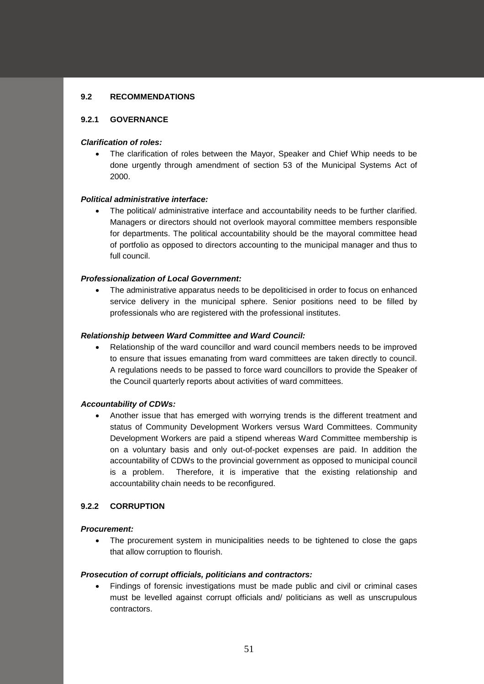### **9.2 RECOMMENDATIONS**

### **9.2.1 GOVERNANCE**

### *Clarification of roles:*

• The clarification of roles between the Mayor, Speaker and Chief Whip needs to be done urgently through amendment of section 53 of the Municipal Systems Act of 2000.

### *Political administrative interface:*

• The political/ administrative interface and accountability needs to be further clarified. Managers or directors should not overlook mayoral committee members responsible for departments. The political accountability should be the mayoral committee head of portfolio as opposed to directors accounting to the municipal manager and thus to full council.

### *Professionalization of Local Government:*

• The administrative apparatus needs to be depoliticised in order to focus on enhanced service delivery in the municipal sphere. Senior positions need to be filled by professionals who are registered with the professional institutes.

#### *Relationship between Ward Committee and Ward Council:*

• Relationship of the ward councillor and ward council members needs to be improved to ensure that issues emanating from ward committees are taken directly to council. A regulations needs to be passed to force ward councillors to provide the Speaker of the Council quarterly reports about activities of ward committees.

#### *Accountability of CDWs:*

• Another issue that has emerged with worrying trends is the different treatment and status of Community Development Workers versus Ward Committees. Community Development Workers are paid a stipend whereas Ward Committee membership is on a voluntary basis and only out-of-pocket expenses are paid. In addition the accountability of CDWs to the provincial government as opposed to municipal council is a problem. Therefore, it is imperative that the existing relationship and accountability chain needs to be reconfigured.

#### **9.2.2 CORRUPTION**

### *Procurement:*

The procurement system in municipalities needs to be tightened to close the gaps that allow corruption to flourish.

#### *Prosecution of corrupt officials, politicians and contractors:*

• Findings of forensic investigations must be made public and civil or criminal cases must be levelled against corrupt officials and/ politicians as well as unscrupulous contractors.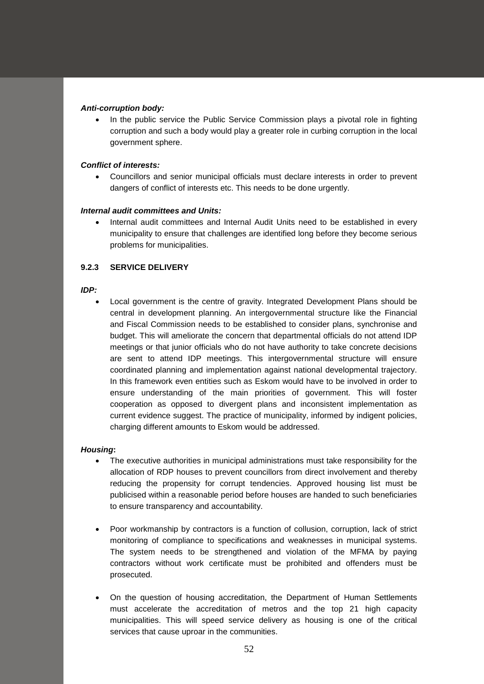### *Anti-corruption body:*

In the public service the Public Service Commission plays a pivotal role in fighting corruption and such a body would play a greater role in curbing corruption in the local government sphere.

### *Conflict of interests:*

• Councillors and senior municipal officials must declare interests in order to prevent dangers of conflict of interests etc. This needs to be done urgently.

### *Internal audit committees and Units:*

• Internal audit committees and Internal Audit Units need to be established in every municipality to ensure that challenges are identified long before they become serious problems for municipalities.

# **9.2.3 SERVICE DELIVERY**

#### *IDP:*

• Local government is the centre of gravity. Integrated Development Plans should be central in development planning. An intergovernmental structure like the Financial and Fiscal Commission needs to be established to consider plans, synchronise and budget. This will ameliorate the concern that departmental officials do not attend IDP meetings or that junior officials who do not have authority to take concrete decisions are sent to attend IDP meetings. This intergovernmental structure will ensure coordinated planning and implementation against national developmental trajectory. In this framework even entities such as Eskom would have to be involved in order to ensure understanding of the main priorities of government. This will foster cooperation as opposed to divergent plans and inconsistent implementation as current evidence suggest. The practice of municipality, informed by indigent policies, charging different amounts to Eskom would be addressed.

#### *Housing***:**

- The executive authorities in municipal administrations must take responsibility for the allocation of RDP houses to prevent councillors from direct involvement and thereby reducing the propensity for corrupt tendencies. Approved housing list must be publicised within a reasonable period before houses are handed to such beneficiaries to ensure transparency and accountability.
- Poor workmanship by contractors is a function of collusion, corruption, lack of strict monitoring of compliance to specifications and weaknesses in municipal systems. The system needs to be strengthened and violation of the MFMA by paying contractors without work certificate must be prohibited and offenders must be prosecuted.
- On the question of housing accreditation, the Department of Human Settlements must accelerate the accreditation of metros and the top 21 high capacity municipalities. This will speed service delivery as housing is one of the critical services that cause uproar in the communities.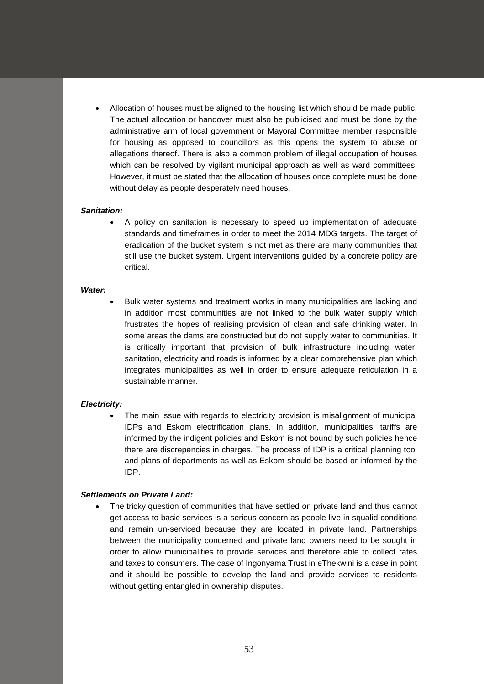• Allocation of houses must be aligned to the housing list which should be made public. The actual allocation or handover must also be publicised and must be done by the administrative arm of local government or Mayoral Committee member responsible for housing as opposed to councillors as this opens the system to abuse or allegations thereof. There is also a common problem of illegal occupation of houses which can be resolved by vigilant municipal approach as well as ward committees. However, it must be stated that the allocation of houses once complete must be done without delay as people desperately need houses.

#### *Sanitation:*

• A policy on sanitation is necessary to speed up implementation of adequate standards and timeframes in order to meet the 2014 MDG targets. The target of eradication of the bucket system is not met as there are many communities that still use the bucket system. Urgent interventions guided by a concrete policy are critical.

#### *Water:*

• Bulk water systems and treatment works in many municipalities are lacking and in addition most communities are not linked to the bulk water supply which frustrates the hopes of realising provision of clean and safe drinking water. In some areas the dams are constructed but do not supply water to communities. It is critically important that provision of bulk infrastructure including water, sanitation, electricity and roads is informed by a clear comprehensive plan which integrates municipalities as well in order to ensure adequate reticulation in a sustainable manner.

#### *Electricity:*

The main issue with regards to electricity provision is misalignment of municipal IDPs and Eskom electrification plans. In addition, municipalities' tariffs are informed by the indigent policies and Eskom is not bound by such policies hence there are discrepencies in charges. The process of IDP is a critical planning tool and plans of departments as well as Eskom should be based or informed by the IDP.

#### *Settlements on Private Land:*

The tricky question of communities that have settled on private land and thus cannot get access to basic services is a serious concern as people live in squalid conditions and remain un-serviced because they are located in private land. Partnerships between the municipality concerned and private land owners need to be sought in order to allow municipalities to provide services and therefore able to collect rates and taxes to consumers. The case of Ingonyama Trust in eThekwini is a case in point and it should be possible to develop the land and provide services to residents without getting entangled in ownership disputes.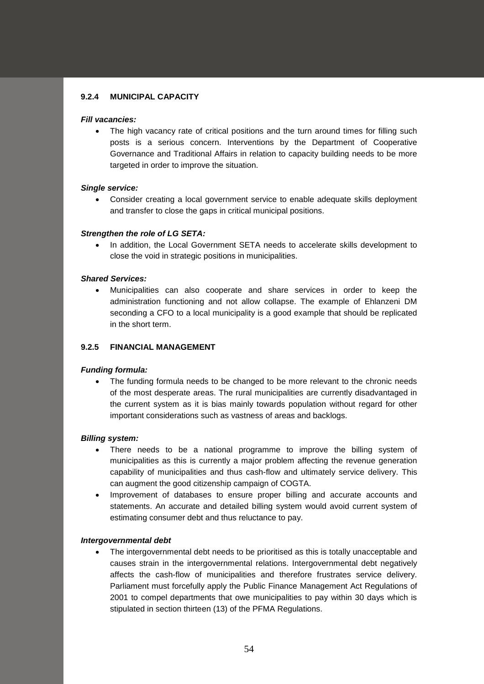# **9.2.4 MUNICIPAL CAPACITY**

### *Fill vacancies:*

The high vacancy rate of critical positions and the turn around times for filling such posts is a serious concern. Interventions by the Department of Cooperative Governance and Traditional Affairs in relation to capacity building needs to be more targeted in order to improve the situation.

### *Single service:*

• Consider creating a local government service to enable adequate skills deployment and transfer to close the gaps in critical municipal positions.

### *Strengthen the role of LG SETA:*

• In addition, the Local Government SETA needs to accelerate skills development to close the void in strategic positions in municipalities.

### *Shared Services:*

• Municipalities can also cooperate and share services in order to keep the administration functioning and not allow collapse. The example of Ehlanzeni DM seconding a CFO to a local municipality is a good example that should be replicated in the short term.

# **9.2.5 FINANCIAL MANAGEMENT**

### *Funding formula:*

The funding formula needs to be changed to be more relevant to the chronic needs of the most desperate areas. The rural municipalities are currently disadvantaged in the current system as it is bias mainly towards population without regard for other important considerations such as vastness of areas and backlogs.

# *Billing system:*

- There needs to be a national programme to improve the billing system of municipalities as this is currently a major problem affecting the revenue generation capability of municipalities and thus cash-flow and ultimately service delivery. This can augment the good citizenship campaign of COGTA.
- Improvement of databases to ensure proper billing and accurate accounts and statements. An accurate and detailed billing system would avoid current system of estimating consumer debt and thus reluctance to pay.

#### *Intergovernmental debt*

• The intergovernmental debt needs to be prioritised as this is totally unacceptable and causes strain in the intergovernmental relations. Intergovernmental debt negatively affects the cash-flow of municipalities and therefore frustrates service delivery. Parliament must forcefully apply the Public Finance Management Act Regulations of 2001 to compel departments that owe municipalities to pay within 30 days which is stipulated in section thirteen (13) of the PFMA Regulations.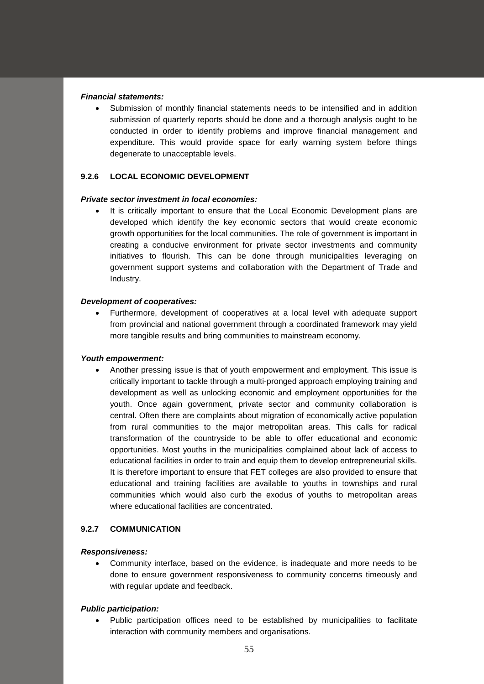### *Financial statements:*

• Submission of monthly financial statements needs to be intensified and in addition submission of quarterly reports should be done and a thorough analysis ought to be conducted in order to identify problems and improve financial management and expenditure. This would provide space for early warning system before things degenerate to unacceptable levels.

# **9.2.6 LOCAL ECONOMIC DEVELOPMENT**

#### *Private sector investment in local economies:*

It is critically important to ensure that the Local Economic Development plans are developed which identify the key economic sectors that would create economic growth opportunities for the local communities. The role of government is important in creating a conducive environment for private sector investments and community initiatives to flourish. This can be done through municipalities leveraging on government support systems and collaboration with the Department of Trade and Industry.

#### *Development of cooperatives:*

• Furthermore, development of cooperatives at a local level with adequate support from provincial and national government through a coordinated framework may yield more tangible results and bring communities to mainstream economy.

#### *Youth empowerment:*

• Another pressing issue is that of youth empowerment and employment. This issue is critically important to tackle through a multi-pronged approach employing training and development as well as unlocking economic and employment opportunities for the youth. Once again government, private sector and community collaboration is central. Often there are complaints about migration of economically active population from rural communities to the major metropolitan areas. This calls for radical transformation of the countryside to be able to offer educational and economic opportunities. Most youths in the municipalities complained about lack of access to educational facilities in order to train and equip them to develop entrepreneurial skills. It is therefore important to ensure that FET colleges are also provided to ensure that educational and training facilities are available to youths in townships and rural communities which would also curb the exodus of youths to metropolitan areas where educational facilities are concentrated.

# **9.2.7 COMMUNICATION**

#### *Responsiveness:*

• Community interface, based on the evidence, is inadequate and more needs to be done to ensure government responsiveness to community concerns timeously and with regular update and feedback.

# *Public participation:*

• Public participation offices need to be established by municipalities to facilitate interaction with community members and organisations.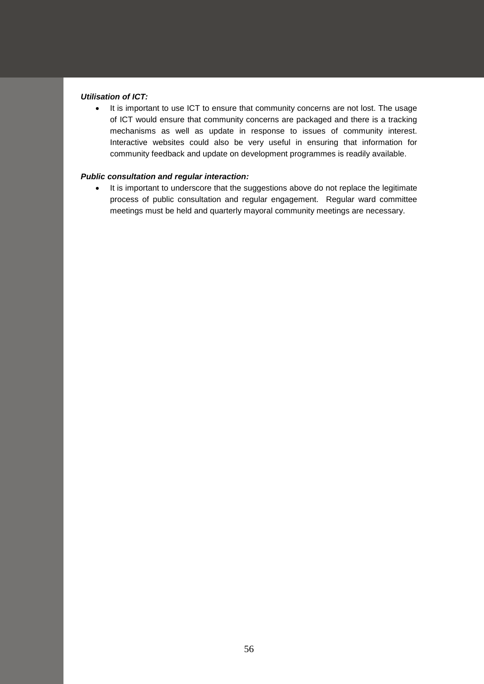# *Utilisation of ICT:*

• It is important to use ICT to ensure that community concerns are not lost. The usage of ICT would ensure that community concerns are packaged and there is a tracking mechanisms as well as update in response to issues of community interest. Interactive websites could also be very useful in ensuring that information for community feedback and update on development programmes is readily available.

# *Public consultation and regular interaction:*

• It is important to underscore that the suggestions above do not replace the legitimate process of public consultation and regular engagement. Regular ward committee meetings must be held and quarterly mayoral community meetings are necessary.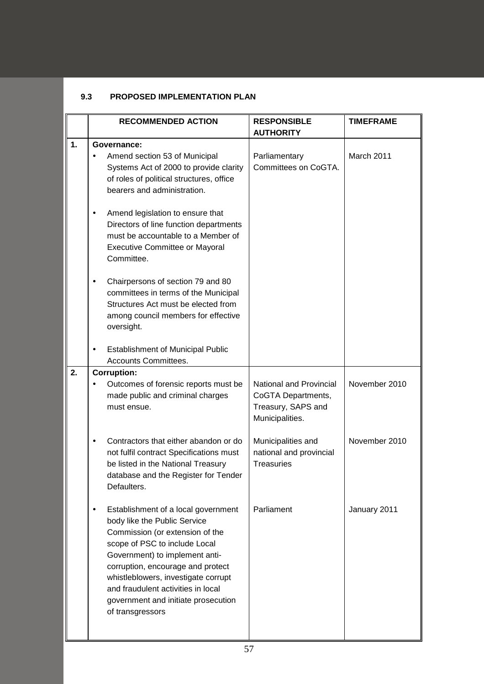# **9.3 PROPOSED IMPLEMENTATION PLAN**

|    | <b>RECOMMENDED ACTION</b>                                                                                                                                                                                                                                                                                                                                           | <b>RESPONSIBLE</b>                                                                     | <b>TIMEFRAME</b> |
|----|---------------------------------------------------------------------------------------------------------------------------------------------------------------------------------------------------------------------------------------------------------------------------------------------------------------------------------------------------------------------|----------------------------------------------------------------------------------------|------------------|
|    |                                                                                                                                                                                                                                                                                                                                                                     | <b>AUTHORITY</b>                                                                       |                  |
| 1. | Governance:<br>Amend section 53 of Municipal<br>Systems Act of 2000 to provide clarity<br>of roles of political structures, office<br>bearers and administration.                                                                                                                                                                                                   | Parliamentary<br>Committees on CoGTA.                                                  | March 2011       |
|    | Amend legislation to ensure that<br>$\bullet$<br>Directors of line function departments<br>must be accountable to a Member of<br><b>Executive Committee or Mayoral</b><br>Committee.                                                                                                                                                                                |                                                                                        |                  |
|    | Chairpersons of section 79 and 80<br>$\bullet$<br>committees in terms of the Municipal<br>Structures Act must be elected from<br>among council members for effective<br>oversight.                                                                                                                                                                                  |                                                                                        |                  |
|    | <b>Establishment of Municipal Public</b><br>٠<br><b>Accounts Committees.</b>                                                                                                                                                                                                                                                                                        |                                                                                        |                  |
| 2. | <b>Corruption:</b>                                                                                                                                                                                                                                                                                                                                                  |                                                                                        |                  |
|    | Outcomes of forensic reports must be<br>made public and criminal charges<br>must ensue.                                                                                                                                                                                                                                                                             | National and Provincial<br>CoGTA Departments,<br>Treasury, SAPS and<br>Municipalities. | November 2010    |
|    | Contractors that either abandon or do<br>$\bullet$<br>not fulfil contract Specifications must<br>be listed in the National Treasury<br>database and the Register for Tender<br>Defaulters.                                                                                                                                                                          | Municipalities and<br>national and provincial<br><b>Treasuries</b>                     | November 2010    |
|    | Establishment of a local government<br>$\bullet$<br>body like the Public Service<br>Commission (or extension of the<br>scope of PSC to include Local<br>Government) to implement anti-<br>corruption, encourage and protect<br>whistleblowers, investigate corrupt<br>and fraudulent activities in local<br>government and initiate prosecution<br>of transgressors | Parliament                                                                             | January 2011     |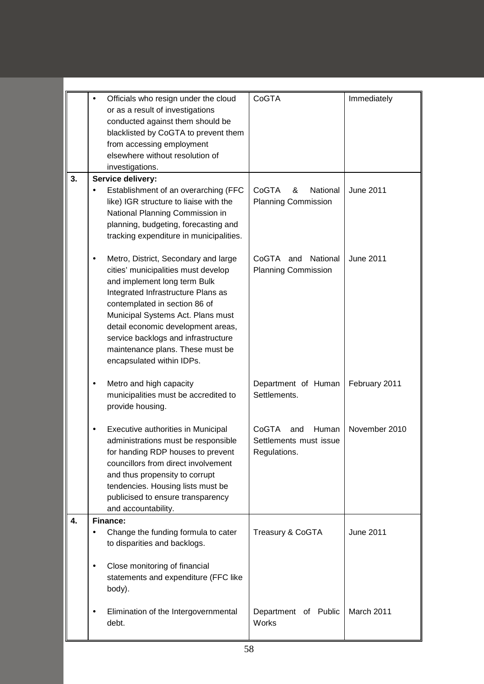|    | Officials who resign under the cloud<br>٠                                      | CoGTA                                                | Immediately      |
|----|--------------------------------------------------------------------------------|------------------------------------------------------|------------------|
|    | or as a result of investigations                                               |                                                      |                  |
|    | conducted against them should be                                               |                                                      |                  |
|    | blacklisted by CoGTA to prevent them<br>from accessing employment              |                                                      |                  |
|    | elsewhere without resolution of                                                |                                                      |                  |
|    | investigations.                                                                |                                                      |                  |
| 3. | Service delivery:                                                              |                                                      |                  |
|    | Establishment of an overarching (FFC<br>like) IGR structure to liaise with the | CoGTA<br>National<br>&<br><b>Planning Commission</b> | <b>June 2011</b> |
|    | National Planning Commission in                                                |                                                      |                  |
|    | planning, budgeting, forecasting and                                           |                                                      |                  |
|    | tracking expenditure in municipalities.                                        |                                                      |                  |
|    | Metro, District, Secondary and large                                           | CoGTA<br>and<br>National                             | <b>June 2011</b> |
|    | cities' municipalities must develop                                            | <b>Planning Commission</b>                           |                  |
|    | and implement long term Bulk                                                   |                                                      |                  |
|    | Integrated Infrastructure Plans as<br>contemplated in section 86 of            |                                                      |                  |
|    | Municipal Systems Act. Plans must                                              |                                                      |                  |
|    | detail economic development areas,                                             |                                                      |                  |
|    | service backlogs and infrastructure<br>maintenance plans. These must be        |                                                      |                  |
|    | encapsulated within IDPs.                                                      |                                                      |                  |
|    |                                                                                |                                                      |                  |
|    | Metro and high capacity<br>٠<br>municipalities must be accredited to           | Department of Human<br>Settlements.                  | February 2011    |
|    | provide housing.                                                               |                                                      |                  |
|    |                                                                                |                                                      |                  |
|    | Executive authorities in Municipal                                             | CoGTA<br>Human<br>and                                | November 2010    |
|    | administrations must be responsible<br>for handing RDP houses to prevent       | Settlements must issue<br>Regulations.               |                  |
|    | councillors from direct involvement                                            |                                                      |                  |
|    | and thus propensity to corrupt                                                 |                                                      |                  |
|    | tendencies. Housing lists must be                                              |                                                      |                  |
|    | publicised to ensure transparency<br>and accountability.                       |                                                      |                  |
| 4. | Finance:                                                                       |                                                      |                  |
|    | Change the funding formula to cater<br>٠                                       | Treasury & CoGTA                                     | <b>June 2011</b> |
|    | to disparities and backlogs.                                                   |                                                      |                  |
|    | Close monitoring of financial<br>٠                                             |                                                      |                  |
|    | statements and expenditure (FFC like                                           |                                                      |                  |
|    | body).                                                                         |                                                      |                  |
|    | Elimination of the Intergovernmental                                           | Department of Public                                 | March 2011       |
|    | debt.                                                                          | <b>Works</b>                                         |                  |
|    |                                                                                |                                                      |                  |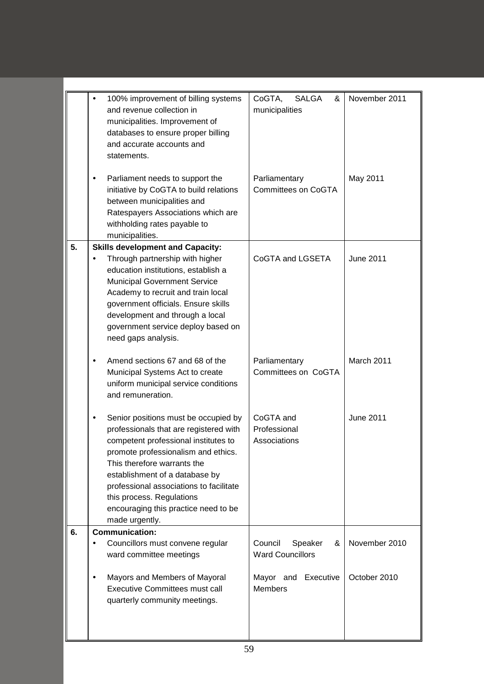|    | 100% improvement of billing systems<br>and revenue collection in<br>municipalities. Improvement of<br>databases to ensure proper billing<br>and accurate accounts and<br>statements.                                                                                                                                                                             | CoGTA,<br><b>SALGA</b><br>&<br>municipalities      | November 2011    |
|----|------------------------------------------------------------------------------------------------------------------------------------------------------------------------------------------------------------------------------------------------------------------------------------------------------------------------------------------------------------------|----------------------------------------------------|------------------|
|    | Parliament needs to support the<br>initiative by CoGTA to build relations<br>between municipalities and<br>Ratespayers Associations which are<br>withholding rates payable to<br>municipalities.                                                                                                                                                                 | Parliamentary<br>Committees on CoGTA               | May 2011         |
| 5. | <b>Skills development and Capacity:</b><br>Through partnership with higher<br>education institutions, establish a<br><b>Municipal Government Service</b><br>Academy to recruit and train local<br>government officials. Ensure skills<br>development and through a local<br>government service deploy based on<br>need gaps analysis.                            | CoGTA and LGSETA                                   | <b>June 2011</b> |
|    | Amend sections 67 and 68 of the<br>Municipal Systems Act to create<br>uniform municipal service conditions<br>and remuneration.                                                                                                                                                                                                                                  | Parliamentary<br>Committees on CoGTA               | March 2011       |
|    | Senior positions must be occupied by<br>professionals that are registered with<br>competent professional institutes to<br>promote professionalism and ethics.<br>This therefore warrants the<br>establishment of a database by<br>professional associations to facilitate<br>this process. Regulations<br>encouraging this practice need to be<br>made urgently. | CoGTA and<br>Professional<br>Associations          | <b>June 2011</b> |
| 6. | <b>Communication:</b>                                                                                                                                                                                                                                                                                                                                            |                                                    |                  |
|    | Councillors must convene regular<br>ward committee meetings                                                                                                                                                                                                                                                                                                      | Council<br>Speaker<br>&<br><b>Ward Councillors</b> | November 2010    |
|    | Mayors and Members of Mayoral<br><b>Executive Committees must call</b><br>quarterly community meetings.                                                                                                                                                                                                                                                          | Mayor and Executive<br><b>Members</b>              | October 2010     |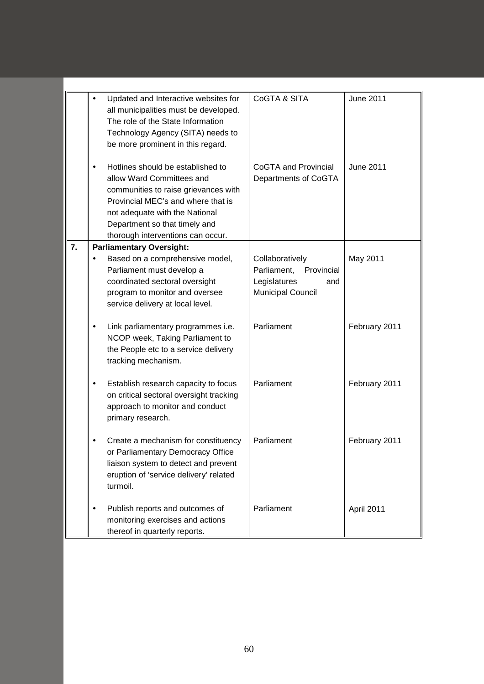|    | Updated and Interactive websites for<br>all municipalities must be developed.<br>The role of the State Information<br>Technology Agency (SITA) needs to<br>be more prominent in this regard.                                                         | CoGTA & SITA                                                                                 | <b>June 2011</b> |
|----|------------------------------------------------------------------------------------------------------------------------------------------------------------------------------------------------------------------------------------------------------|----------------------------------------------------------------------------------------------|------------------|
|    | Hotlines should be established to<br>allow Ward Committees and<br>communities to raise grievances with<br>Provincial MEC's and where that is<br>not adequate with the National<br>Department so that timely and<br>thorough interventions can occur. | <b>CoGTA and Provincial</b><br>Departments of CoGTA                                          | <b>June 2011</b> |
| 7. | <b>Parliamentary Oversight:</b><br>Based on a comprehensive model,<br>Parliament must develop a<br>coordinated sectoral oversight<br>program to monitor and oversee<br>service delivery at local level.                                              | Collaboratively<br>Parliament, Provincial<br>Legislatures<br>and<br><b>Municipal Council</b> | May 2011         |
|    | Link parliamentary programmes i.e.<br>NCOP week, Taking Parliament to<br>the People etc to a service delivery<br>tracking mechanism.                                                                                                                 | Parliament                                                                                   | February 2011    |
|    | Establish research capacity to focus<br>on critical sectoral oversight tracking<br>approach to monitor and conduct<br>primary research.                                                                                                              | Parliament                                                                                   | February 2011    |
|    | Create a mechanism for constituency<br>or Parliamentary Democracy Office<br>liaison system to detect and prevent<br>eruption of 'service delivery' related<br>turmoil.                                                                               | Parliament                                                                                   | February 2011    |
|    | Publish reports and outcomes of<br>monitoring exercises and actions<br>thereof in quarterly reports.                                                                                                                                                 | Parliament                                                                                   | April 2011       |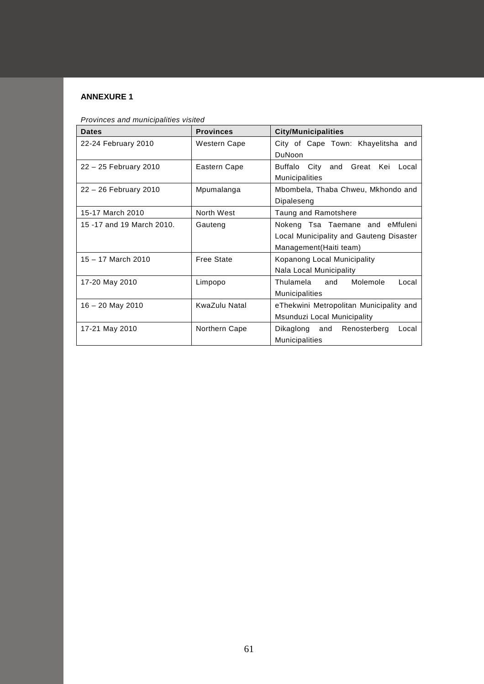# **ANNEXURE 1**

| <b>Dates</b>               | <b>Provinces</b> | <b>City/Municipalities</b>                                                                            |
|----------------------------|------------------|-------------------------------------------------------------------------------------------------------|
| 22-24 February 2010        | Western Cape     | City of Cape Town: Khayelitsha and<br>DuNoon                                                          |
| 22 - 25 February 2010      | Eastern Cape     | Buffalo City<br>Great Kei<br>and<br>Local<br><b>Municipalities</b>                                    |
| 22 - 26 February 2010      | Mpumalanga       | Mbombela, Thaba Chweu, Mkhondo and<br>Dipaleseng                                                      |
| 15-17 March 2010           | North West       | Taung and Ramotshere                                                                                  |
| 15 - 17 and 19 March 2010. | Gauteng          | Nokeng Tsa Taemane and eMfuleni<br>Local Municipality and Gauteng Disaster<br>Management (Haiti team) |
| $15 - 17$ March 2010       | Free State       | Kopanong Local Municipality<br>Nala Local Municipality                                                |
| 17-20 May 2010             | Limpopo          | Thulamela<br>Molemole<br>and<br>Local<br><b>Municipalities</b>                                        |
| $16 - 20$ May 2010         | KwaZulu Natal    | eThekwini Metropolitan Municipality and<br>Msunduzi Local Municipality                                |
| 17-21 May 2010             | Northern Cape    | Dikaglong and<br>Renosterberg<br>Local<br>Municipalities                                              |

*Provinces and municipalities visited*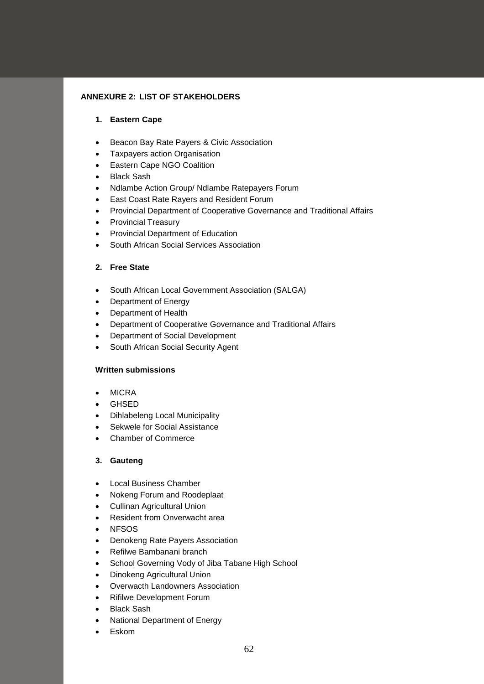# **ANNEXURE 2: LIST OF STAKEHOLDERS**

# **1. Eastern Cape**

- Beacon Bay Rate Payers & Civic Association
- Taxpayers action Organisation
- Eastern Cape NGO Coalition
- Black Sash
- Ndlambe Action Group/ Ndlambe Ratepayers Forum
- East Coast Rate Rayers and Resident Forum
- Provincial Department of Cooperative Governance and Traditional Affairs
- Provincial Treasury
- Provincial Department of Education
- South African Social Services Association

# **2. Free State**

- South African Local Government Association (SALGA)
- Department of Energy
- Department of Health
- Department of Cooperative Governance and Traditional Affairs
- Department of Social Development
- South African Social Security Agent

# **Written submissions**

- MICRA
- GHSED
- Dihlabeleng Local Municipality
- Sekwele for Social Assistance
- Chamber of Commerce

# **3. Gauteng**

- Local Business Chamber
- Nokeng Forum and Roodeplaat
- Cullinan Agricultural Union
- Resident from Onverwacht area
- NFSOS
- Denokeng Rate Payers Association
- Refilwe Bambanani branch
- School Governing Vody of Jiba Tabane High School
- Dinokeng Agricultural Union
- Overwacth Landowners Association
- Rifilwe Development Forum
- **Black Sash**
- National Department of Energy
- Eskom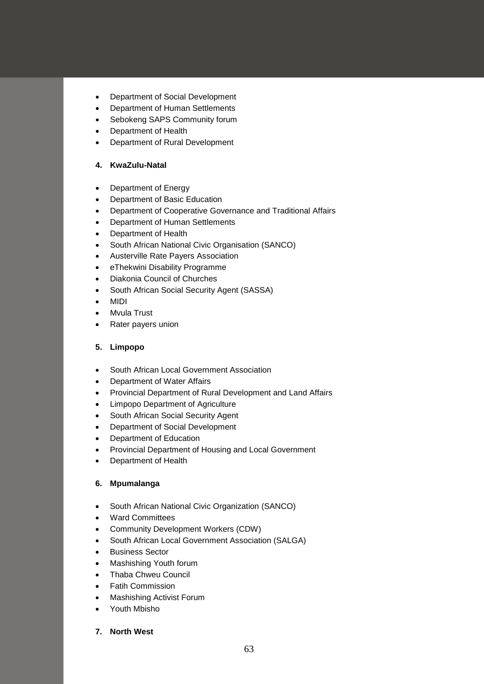- Department of Social Development
- Department of Human Settlements
- Sebokeng SAPS Community forum
- Department of Health
- Department of Rural Development

# **4. KwaZulu-Natal**

- Department of Energy
- Department of Basic Education
- Department of Cooperative Governance and Traditional Affairs
- Department of Human Settlements
- Department of Health
- South African National Civic Organisation (SANCO)
- Austerville Rate Payers Association
- eThekwini Disability Programme
- Diakonia Council of Churches
- South African Social Security Agent (SASSA)
- MIDI
- Mvula Trust
- Rater payers union

# **5. Limpopo**

- South African Local Government Association
- Department of Water Affairs
- Provincial Department of Rural Development and Land Affairs
- Limpopo Department of Agriculture
- South African Social Security Agent
- Department of Social Development
- Department of Education
- Provincial Department of Housing and Local Government
- Department of Health

# **6. Mpumalanga**

- South African National Civic Organization (SANCO)
- Ward Committees
- Community Development Workers (CDW)
- South African Local Government Association (SALGA)
- Business Sector
- Mashishing Youth forum
- Thaba Chweu Council
- Fatih Commission
- Mashishing Activist Forum
- Youth Mbisho

# **7. North West**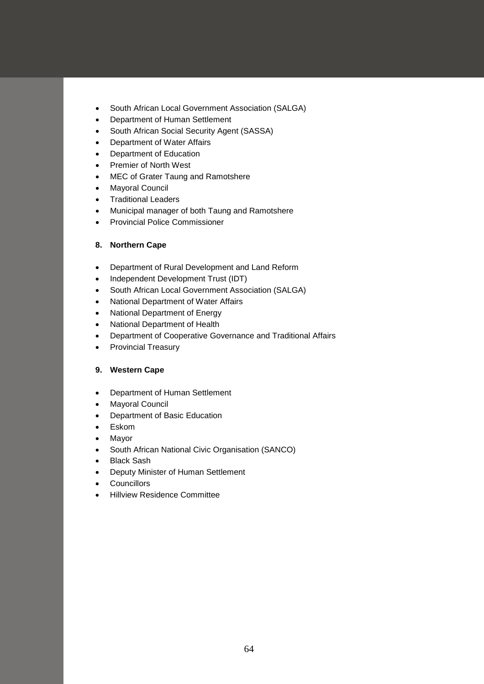- South African Local Government Association (SALGA)
- Department of Human Settlement
- South African Social Security Agent (SASSA)
- Department of Water Affairs
- Department of Education
- Premier of North West
- MEC of Grater Taung and Ramotshere
- Mayoral Council
- Traditional Leaders
- Municipal manager of both Taung and Ramotshere
- Provincial Police Commissioner

# **8. Northern Cape**

- Department of Rural Development and Land Reform
- Independent Development Trust (IDT)
- South African Local Government Association (SALGA)
- National Department of Water Affairs
- National Department of Energy
- National Department of Health
- Department of Cooperative Governance and Traditional Affairs
- Provincial Treasury

# **9. Western Cape**

- Department of Human Settlement
- Mayoral Council
- Department of Basic Education
- Eskom
- Mayor
- South African National Civic Organisation (SANCO)
- Black Sash
- Deputy Minister of Human Settlement
- Councillors
- Hillview Residence Committee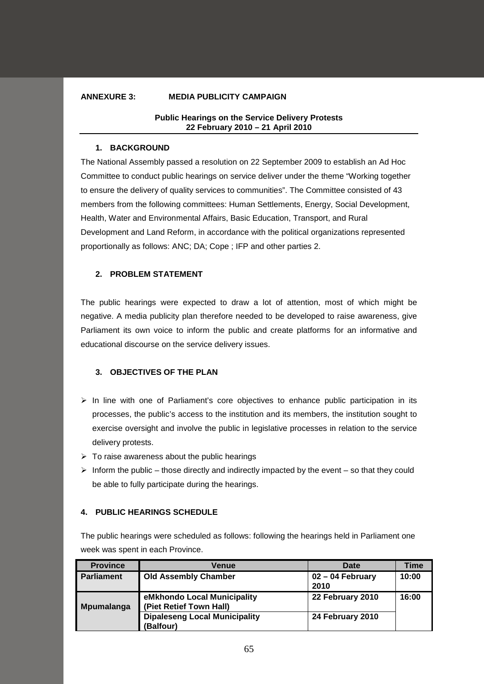# **ANNEXURE 3: MEDIA PUBLICITY CAMPAIGN**

### **Public Hearings on the Service Delivery Protests 22 February 2010 – 21 April 2010**

### **1. BACKGROUND**

The National Assembly passed a resolution on 22 September 2009 to establish an Ad Hoc Committee to conduct public hearings on service deliver under the theme "Working together to ensure the delivery of quality services to communities". The Committee consisted of 43 members from the following committees: Human Settlements, Energy, Social Development, Health, Water and Environmental Affairs, Basic Education, Transport, and Rural Development and Land Reform, in accordance with the political organizations represented proportionally as follows: ANC; DA; Cope ; IFP and other parties 2.

### **2. PROBLEM STATEMENT**

The public hearings were expected to draw a lot of attention, most of which might be negative. A media publicity plan therefore needed to be developed to raise awareness, give Parliament its own voice to inform the public and create platforms for an informative and educational discourse on the service delivery issues.

# **3. OBJECTIVES OF THE PLAN**

- $\triangleright$  In line with one of Parliament's core objectives to enhance public participation in its processes, the public's access to the institution and its members, the institution sought to exercise oversight and involve the public in legislative processes in relation to the service delivery protests.
- $\triangleright$  To raise awareness about the public hearings
- $\triangleright$  Inform the public those directly and indirectly impacted by the event so that they could be able to fully participate during the hearings.

# **4. PUBLIC HEARINGS SCHEDULE**

The public hearings were scheduled as follows: following the hearings held in Parliament one week was spent in each Province.

| <b>Province</b>   | Venue                                                  | <b>Date</b>              | Time  |  |
|-------------------|--------------------------------------------------------|--------------------------|-------|--|
| <b>Parliament</b> | <b>Old Assembly Chamber</b>                            | 02 – 04 February<br>2010 | 10:00 |  |
| <b>Mpumalanga</b> | eMkhondo Local Municipality<br>(Piet Retief Town Hall) | 22 February 2010         | 16:00 |  |
|                   | <b>Dipaleseng Local Municipality</b><br>(Balfour)      | 24 February 2010         |       |  |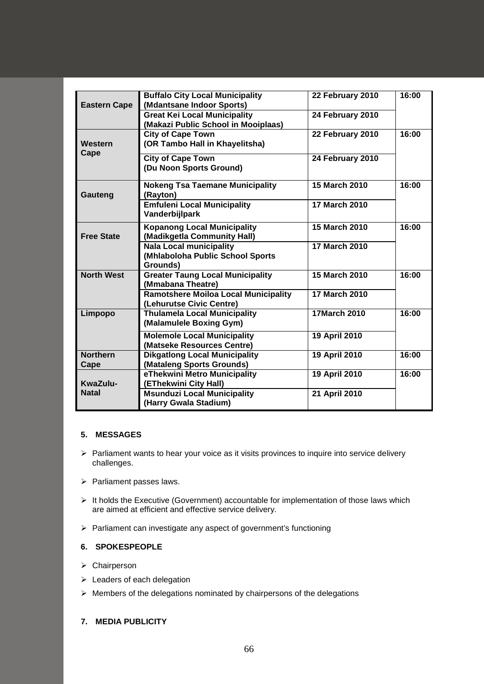| <b>Eastern Cape</b>     | <b>Buffalo City Local Municipality</b><br>(Mdantsane Indoor Sports)            | 22 February 2010     | 16:00 |
|-------------------------|--------------------------------------------------------------------------------|----------------------|-------|
|                         | <b>Great Kei Local Municipality</b><br>(Makazi Public School in Mooiplaas)     | 24 February 2010     |       |
| Western                 | <b>City of Cape Town</b><br>(OR Tambo Hall in Khayelitsha)                     | 22 February 2010     | 16:00 |
| Cape                    | <b>City of Cape Town</b><br>(Du Noon Sports Ground)                            | 24 February 2010     |       |
| Gauteng                 | <b>Nokeng Tsa Taemane Municipality</b><br>(Rayton)                             | 15 March 2010        | 16:00 |
|                         | <b>Emfuleni Local Municipality</b><br>Vanderbijlpark                           | <b>17 March 2010</b> |       |
| <b>Free State</b>       | <b>Kopanong Local Municipality</b><br>(Madikgetla Community Hall)              | <b>15 March 2010</b> | 16:00 |
|                         | <b>Nala Local municipality</b><br>(Mhlaboloha Public School Sports<br>Grounds) | 17 March 2010        |       |
| <b>North West</b>       | <b>Greater Taung Local Municipality</b><br>(Mmabana Theatre)                   | 15 March 2010        | 16:00 |
|                         | <b>Ramotshere Moiloa Local Municipality</b><br>(Lehurutse Civic Centre)        | <b>17 March 2010</b> |       |
| Limpopo                 | <b>Thulamela Local Municipality</b><br>(Malamulele Boxing Gym)                 | <b>17March 2010</b>  | 16:00 |
|                         | <b>Molemole Local Municipality</b><br>(Matseke Resources Centre)               | 19 April 2010        |       |
| <b>Northern</b><br>Cape | <b>Dikgatlong Local Municipality</b><br>(Mataleng Sports Grounds)              | 19 April 2010        | 16:00 |
| KwaZulu-                | eThekwini Metro Municipality<br>(EThekwini City Hall)                          | 19 April 2010        | 16:00 |
| <b>Natal</b>            | <b>Msunduzi Local Municipality</b><br>(Harry Gwala Stadium)                    | 21 April 2010        |       |

# **5. MESSAGES**

- $\triangleright$  Parliament wants to hear your voice as it visits provinces to inquire into service delivery challenges.
- $\triangleright$  Parliament passes laws.
- $\triangleright$  It holds the Executive (Government) accountable for implementation of those laws which are aimed at efficient and effective service delivery.
- Parliament can investigate any aspect of government's functioning

# **6. SPOKESPEOPLE**

- > Chairperson
- > Leaders of each delegation
- $\triangleright$  Members of the delegations nominated by chairpersons of the delegations

# **7. MEDIA PUBLICITY**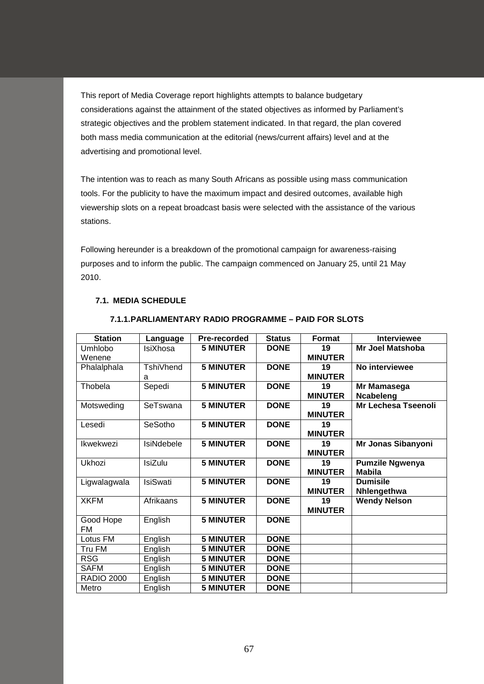This report of Media Coverage report highlights attempts to balance budgetary considerations against the attainment of the stated objectives as informed by Parliament's strategic objectives and the problem statement indicated. In that regard, the plan covered both mass media communication at the editorial (news/current affairs) level and at the advertising and promotional level.

The intention was to reach as many South Africans as possible using mass communication tools. For the publicity to have the maximum impact and desired outcomes, available high viewership slots on a repeat broadcast basis were selected with the assistance of the various stations.

Following hereunder is a breakdown of the promotional campaign for awareness-raising purposes and to inform the public. The campaign commenced on January 25, until 21 May 2010.

# **7.1. MEDIA SCHEDULE**

| <b>Station</b>    | Language        | Pre-recorded     | <b>Status</b> | Format         | <b>Interviewee</b>         |
|-------------------|-----------------|------------------|---------------|----------------|----------------------------|
| Umhlobo           | IsiXhosa        | <b>5 MINUTER</b> | <b>DONE</b>   | 19             | Mr Joel Matshoba           |
| Wenene            |                 |                  |               | <b>MINUTER</b> |                            |
| Phalalphala       | TshiVhend       | <b>5 MINUTER</b> | <b>DONE</b>   | 19             | No interviewee             |
|                   | a               |                  |               | <b>MINUTER</b> |                            |
| Thobela           | Sepedi          | <b>5 MINUTER</b> | <b>DONE</b>   | 19             | Mr Mamasega                |
|                   |                 |                  |               | <b>MINUTER</b> | Ncabeleng                  |
| Motsweding        | SeTswana        | <b>5 MINUTER</b> | <b>DONE</b>   | 19             | <b>Mr Lechesa Tseenoli</b> |
|                   |                 |                  |               | <b>MINUTER</b> |                            |
| Lesedi            | SeSotho         | <b>5 MINUTER</b> | <b>DONE</b>   | 19             |                            |
|                   |                 |                  |               | <b>MINUTER</b> |                            |
| Ikwekwezi         | IsiNdebele      | <b>5 MINUTER</b> | <b>DONE</b>   | 19             | Mr Jonas Sibanyoni         |
|                   |                 |                  |               | <b>MINUTER</b> |                            |
| Ukhozi            | <b>IsiZulu</b>  | <b>5 MINUTER</b> | <b>DONE</b>   | 19             | <b>Pumzile Ngwenya</b>     |
|                   |                 |                  |               | <b>MINUTER</b> | <b>Mabila</b>              |
| Ligwalagwala      | <b>IsiSwati</b> | <b>5 MINUTER</b> | <b>DONE</b>   | 19             | <b>Dumisile</b>            |
|                   |                 |                  |               | <b>MINUTER</b> | Nhlengethwa                |
| <b>XKFM</b>       | Afrikaans       | <b>5 MINUTER</b> | <b>DONE</b>   | 19             | <b>Wendy Nelson</b>        |
|                   |                 |                  |               | <b>MINUTER</b> |                            |
| Good Hope         | English         | <b>5 MINUTER</b> | <b>DONE</b>   |                |                            |
| FM                |                 |                  |               |                |                            |
| Lotus FM          | English         | <b>5 MINUTER</b> | <b>DONE</b>   |                |                            |
| Tru FM            | English         | <b>5 MINUTER</b> | <b>DONE</b>   |                |                            |
| <b>RSG</b>        | English         | <b>5 MINUTER</b> | <b>DONE</b>   |                |                            |
| <b>SAFM</b>       | English         | <b>5 MINUTER</b> | <b>DONE</b>   |                |                            |
| <b>RADIO 2000</b> | English         | <b>5 MINUTER</b> | <b>DONE</b>   |                |                            |
| Metro             | English         | <b>5 MINUTER</b> | <b>DONE</b>   |                |                            |

### **7.1.1.PARLIAMENTARY RADIO PROGRAMME – PAID FOR SLOTS**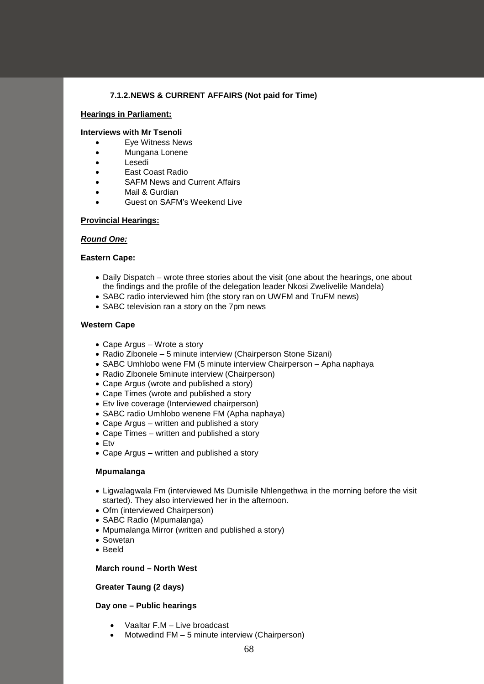### **7.1.2.NEWS & CURRENT AFFAIRS (Not paid for Time)**

#### **Hearings in Parliament:**

#### **Interviews with Mr Tsenoli**

- Eye Witness News
- Mungana Lonene
- Lesedi
- East Coast Radio
- SAFM News and Current Affairs
- Mail & Gurdian
- Guest on SAFM's Weekend Live

#### **Provincial Hearings:**

#### *Round One:*

#### **Eastern Cape:**

- Daily Dispatch wrote three stories about the visit (one about the hearings, one about the findings and the profile of the delegation leader Nkosi Zwelivelile Mandela)
- SABC radio interviewed him (the story ran on UWFM and TruFM news)
- SABC television ran a story on the 7pm news

#### **Western Cape**

- Cape Argus Wrote a story
- Radio Zibonele 5 minute interview (Chairperson Stone Sizani)
- SABC Umhlobo wene FM (5 minute interview Chairperson Apha naphaya
- Radio Zibonele 5minute interview (Chairperson)
- Cape Argus (wrote and published a story)
- Cape Times (wrote and published a story
- Etv live coverage (Interviewed chairperson)
- SABC radio Umhlobo wenene FM (Apha naphaya)
- Cape Argus written and published a story
- Cape Times written and published a story
- Etv
- Cape Argus written and published a story

#### **Mpumalanga**

- Ligwalagwala Fm (interviewed Ms Dumisile Nhlengethwa in the morning before the visit started). They also interviewed her in the afternoon.
- Ofm (interviewed Chairperson)
- SABC Radio (Mpumalanga)
- Mpumalanga Mirror (written and published a story)
- Sowetan
- Beeld

#### **March round – North West**

### **Greater Taung (2 days)**

#### **Day one – Public hearings**

- Vaaltar F.M Live broadcast
- Motwedind FM 5 minute interview (Chairperson)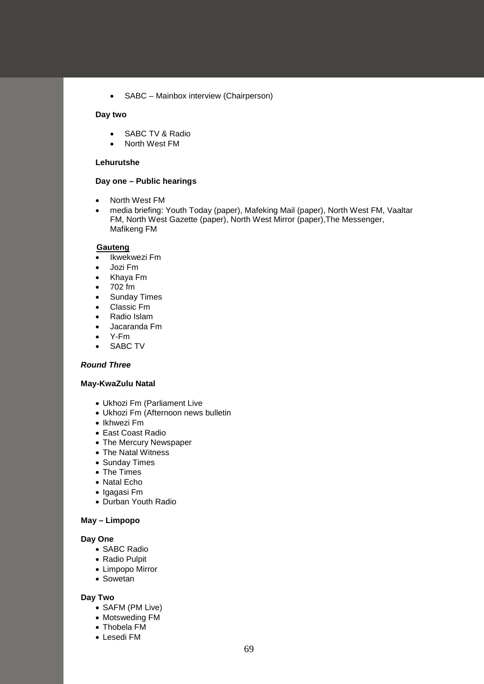• SABC – Mainbox interview (Chairperson)

### **Day two**

- SABC TV & Radio
- North West FM

#### **Lehurutshe**

#### **Day one – Public hearings**

- North West FM
- media briefing: Youth Today (paper), Mafeking Mail (paper), North West FM, Vaaltar FM, North West Gazette (paper), North West Mirror (paper),The Messenger, Mafikeng FM

#### **Gauteng**

- Ikwekwezi Fm
- Jozi Fm
- Khaya Fm
- 702 fm
- Sunday Times
- Classic Fm
- Radio Islam
- Jacaranda Fm
- Y-Fm
- SABC TV

#### *Round Three*

# **May-KwaZulu Natal**

- Ukhozi Fm (Parliament Live
- Ukhozi Fm (Afternoon news bulletin
- Ikhwezi Fm
- East Coast Radio
- The Mercury Newspaper
- The Natal Witness
- Sunday Times
- The Times
- Natal Echo
- Igagasi Fm
- Durban Youth Radio

# **May – Limpopo**

### **Day One**

- SABC Radio
- Radio Pulpit
- Limpopo Mirror
- Sowetan

### **Day Two**

- SAFM (PM Live)
- Motsweding FM
- Thobela FM
- Lesedi FM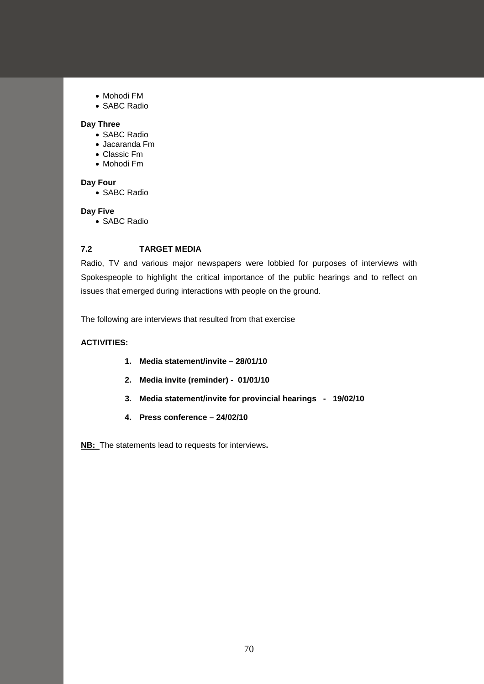- Mohodi FM
- SABC Radio

### **Day Three**

- SABC Radio
- Jacaranda Fm
- Classic Fm
- Mohodi Fm

### **Day Four**

• SABC Radio

### **Day Five**

• SABC Radio

### **7.2 TARGET MEDIA**

Radio, TV and various major newspapers were lobbied for purposes of interviews with Spokespeople to highlight the critical importance of the public hearings and to reflect on issues that emerged during interactions with people on the ground.

The following are interviews that resulted from that exercise

# **ACTIVITIES:**

- **1. Media statement/invite – 28/01/10**
- **2. Media invite (reminder) 01/01/10**
- **3. Media statement/invite for provincial hearings 19/02/10**
- **4. Press conference – 24/02/10**

**NB:** The statements lead to requests for interviews**.**